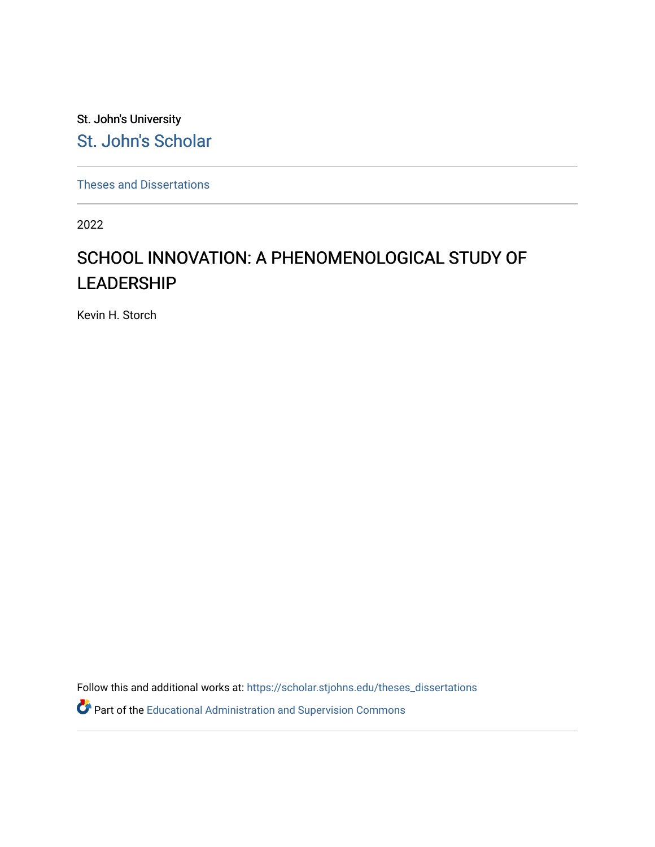St. John's University [St. John's Scholar](https://scholar.stjohns.edu/) 

[Theses and Dissertations](https://scholar.stjohns.edu/theses_dissertations)

2022

# SCHOOL INNOVATION: A PHENOMENOLOGICAL STUDY OF LEADERSHIP

Kevin H. Storch

Follow this and additional works at: [https://scholar.stjohns.edu/theses\\_dissertations](https://scholar.stjohns.edu/theses_dissertations?utm_source=scholar.stjohns.edu%2Ftheses_dissertations%2F349&utm_medium=PDF&utm_campaign=PDFCoverPages)

Part of the [Educational Administration and Supervision Commons](http://network.bepress.com/hgg/discipline/787?utm_source=scholar.stjohns.edu%2Ftheses_dissertations%2F349&utm_medium=PDF&utm_campaign=PDFCoverPages)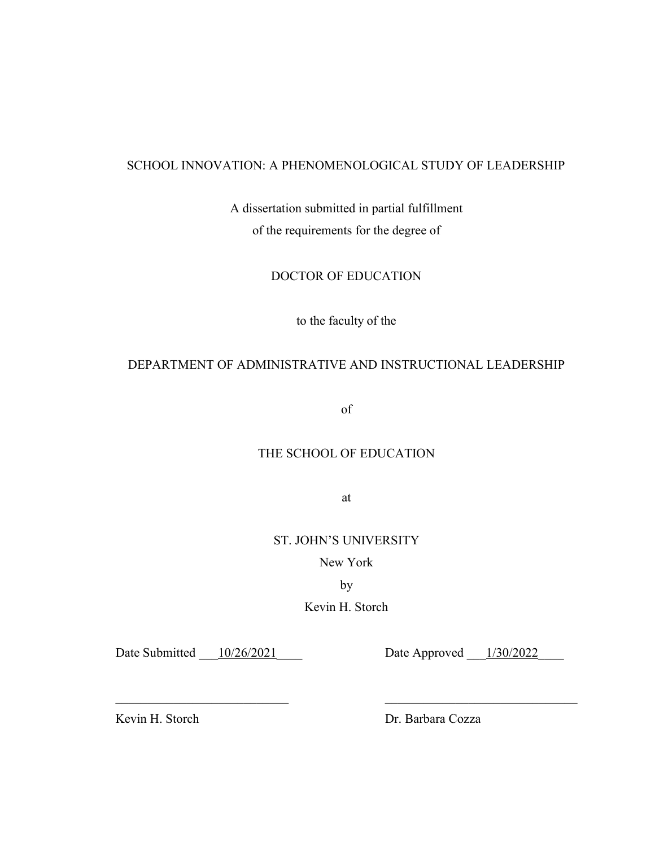# SCHOOL INNOVATION: A PHENOMENOLOGICAL STUDY OF LEADERSHIP

A dissertation submitted in partial fulfillment of the requirements for the degree of

# DOCTOR OF EDUCATION

to the faculty of the

# DEPARTMENT OF ADMINISTRATIVE AND INSTRUCTIONAL LEADERSHIP

of

# THE SCHOOL OF EDUCATION

at

# ST. JOHN'S UNIVERSITY

New York

by

Kevin H. Storch

 $\_$  , and the contribution of  $\_$  , and  $\_$  , and  $\_$  , and  $\_$  , and  $\_$  , and  $\_$  , and  $\_$  , and  $\_$ 

Date Submitted 10/26/2021 Date Approved 1/30/2022

Kevin H. Storch Dr. Barbara Cozza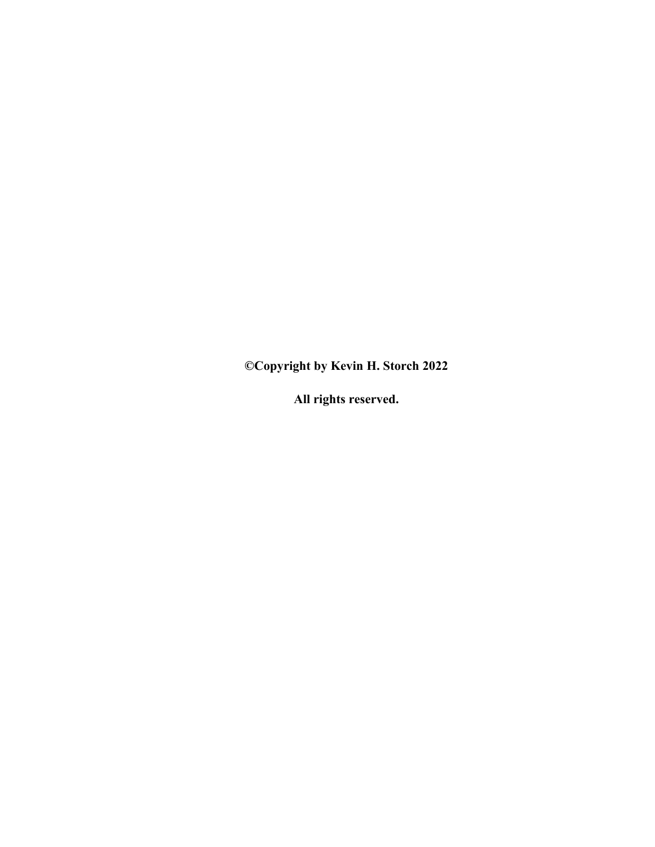**©Copyright by Kevin H. Storch 2022** 

**All rights reserved.**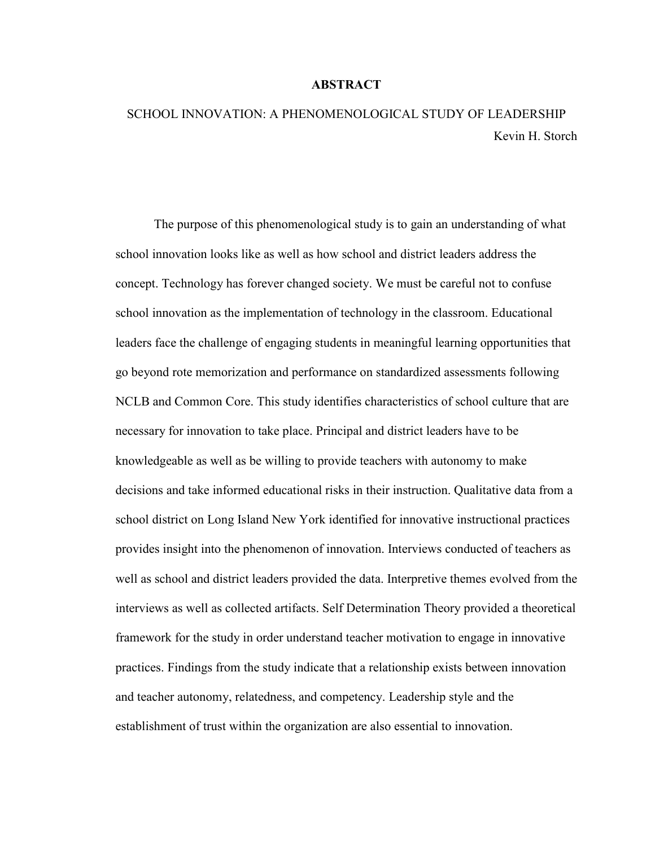#### **ABSTRACT**

# SCHOOL INNOVATION: A PHENOMENOLOGICAL STUDY OF LEADERSHIP Kevin H. Storch

The purpose of this phenomenological study is to gain an understanding of what school innovation looks like as well as how school and district leaders address the concept. Technology has forever changed society. We must be careful not to confuse school innovation as the implementation of technology in the classroom. Educational leaders face the challenge of engaging students in meaningful learning opportunities that go beyond rote memorization and performance on standardized assessments following NCLB and Common Core. This study identifies characteristics of school culture that are necessary for innovation to take place. Principal and district leaders have to be knowledgeable as well as be willing to provide teachers with autonomy to make decisions and take informed educational risks in their instruction. Qualitative data from a school district on Long Island New York identified for innovative instructional practices provides insight into the phenomenon of innovation. Interviews conducted of teachers as well as school and district leaders provided the data. Interpretive themes evolved from the interviews as well as collected artifacts. Self Determination Theory provided a theoretical framework for the study in order understand teacher motivation to engage in innovative practices. Findings from the study indicate that a relationship exists between innovation and teacher autonomy, relatedness, and competency. Leadership style and the establishment of trust within the organization are also essential to innovation.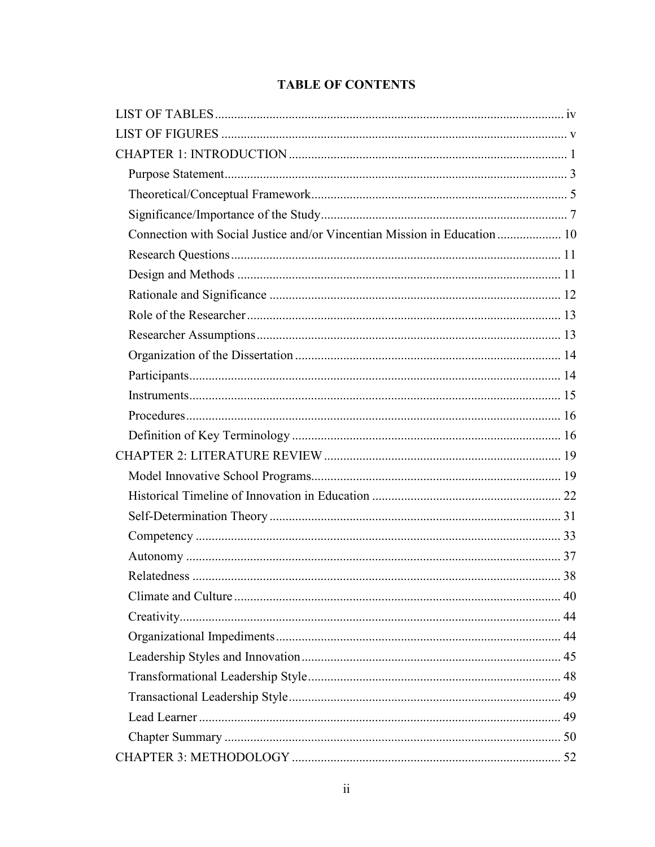# **TABLE OF CONTENTS**

| Connection with Social Justice and/or Vincentian Mission in Education  10 |  |
|---------------------------------------------------------------------------|--|
|                                                                           |  |
|                                                                           |  |
|                                                                           |  |
|                                                                           |  |
|                                                                           |  |
|                                                                           |  |
|                                                                           |  |
|                                                                           |  |
|                                                                           |  |
|                                                                           |  |
|                                                                           |  |
|                                                                           |  |
|                                                                           |  |
|                                                                           |  |
|                                                                           |  |
|                                                                           |  |
|                                                                           |  |
|                                                                           |  |
|                                                                           |  |
|                                                                           |  |
|                                                                           |  |
|                                                                           |  |
|                                                                           |  |
|                                                                           |  |
|                                                                           |  |
|                                                                           |  |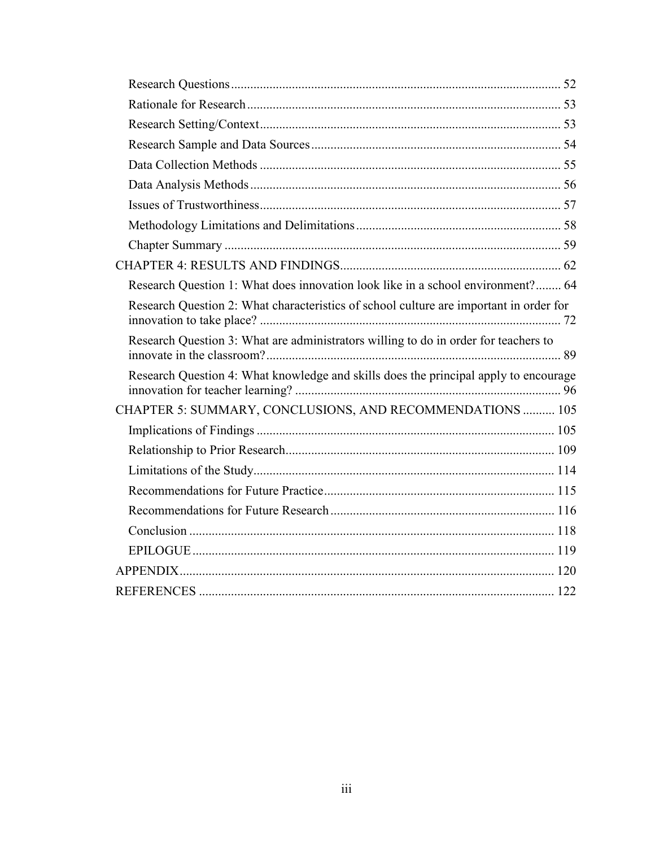| Research Question 1: What does innovation look like in a school environment? 64        |
|----------------------------------------------------------------------------------------|
| Research Question 2: What characteristics of school culture are important in order for |
| Research Question 3: What are administrators willing to do in order for teachers to    |
| Research Question 4: What knowledge and skills does the principal apply to encourage   |
| CHAPTER 5: SUMMARY, CONCLUSIONS, AND RECOMMENDATIONS  105                              |
|                                                                                        |
|                                                                                        |
|                                                                                        |
|                                                                                        |
|                                                                                        |
|                                                                                        |
|                                                                                        |
|                                                                                        |
|                                                                                        |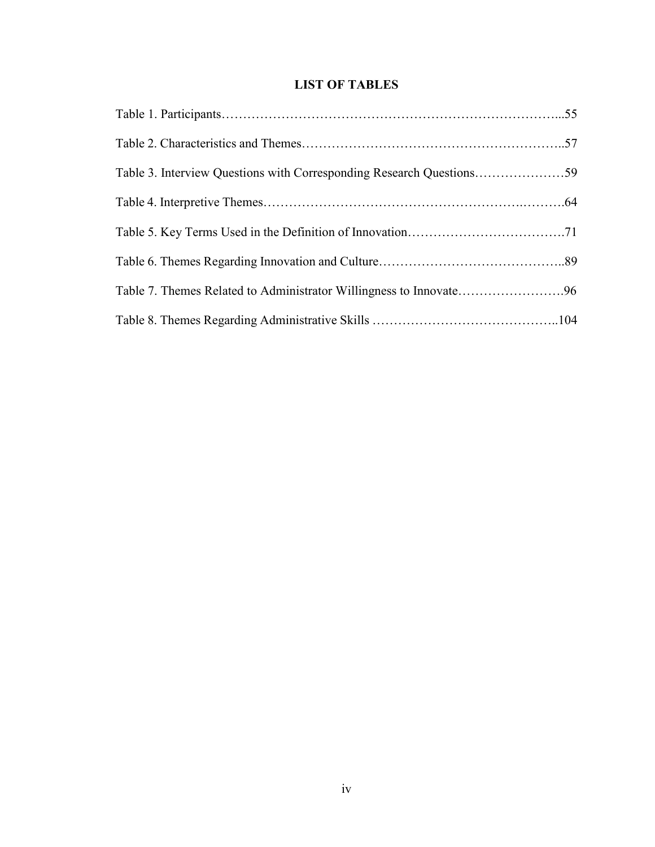# **LIST OF TABLES**

| Table 7. Themes Related to Administrator Willingness to Innovate96 |  |
|--------------------------------------------------------------------|--|
|                                                                    |  |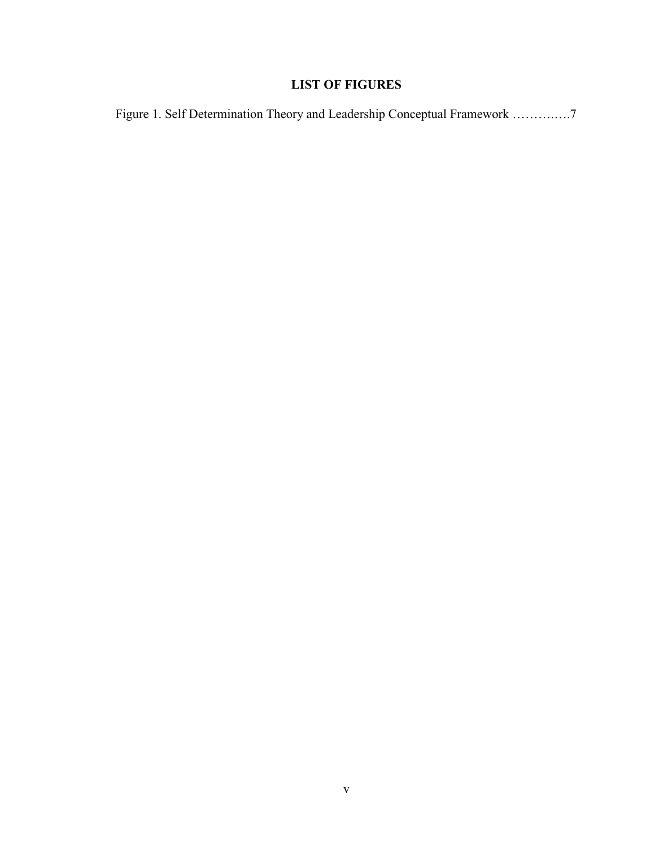# **LIST OF FIGURES**

Figure 1. Self Determination Theory and Leadership Conceptual Framework ……….….7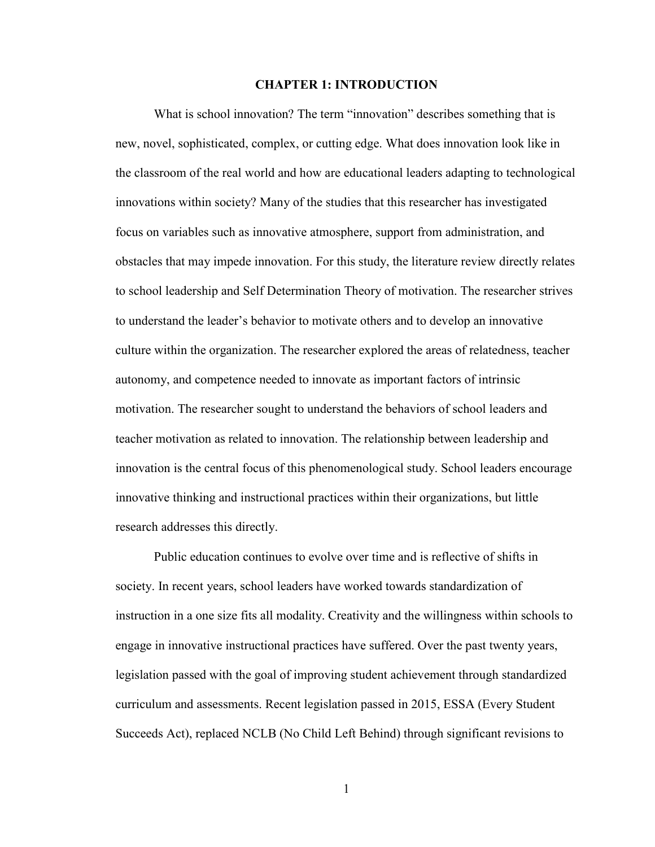#### **CHAPTER 1: INTRODUCTION**

What is school innovation? The term "innovation" describes something that is new, novel, sophisticated, complex, or cutting edge. What does innovation look like in the classroom of the real world and how are educational leaders adapting to technological innovations within society? Many of the studies that this researcher has investigated focus on variables such as innovative atmosphere, support from administration, and obstacles that may impede innovation. For this study, the literature review directly relates to school leadership and Self Determination Theory of motivation. The researcher strives to understand the leader's behavior to motivate others and to develop an innovative culture within the organization. The researcher explored the areas of relatedness, teacher autonomy, and competence needed to innovate as important factors of intrinsic motivation. The researcher sought to understand the behaviors of school leaders and teacher motivation as related to innovation. The relationship between leadership and innovation is the central focus of this phenomenological study. School leaders encourage innovative thinking and instructional practices within their organizations, but little research addresses this directly.

Public education continues to evolve over time and is reflective of shifts in society. In recent years, school leaders have worked towards standardization of instruction in a one size fits all modality. Creativity and the willingness within schools to engage in innovative instructional practices have suffered. Over the past twenty years, legislation passed with the goal of improving student achievement through standardized curriculum and assessments. Recent legislation passed in 2015, ESSA (Every Student Succeeds Act), replaced NCLB (No Child Left Behind) through significant revisions to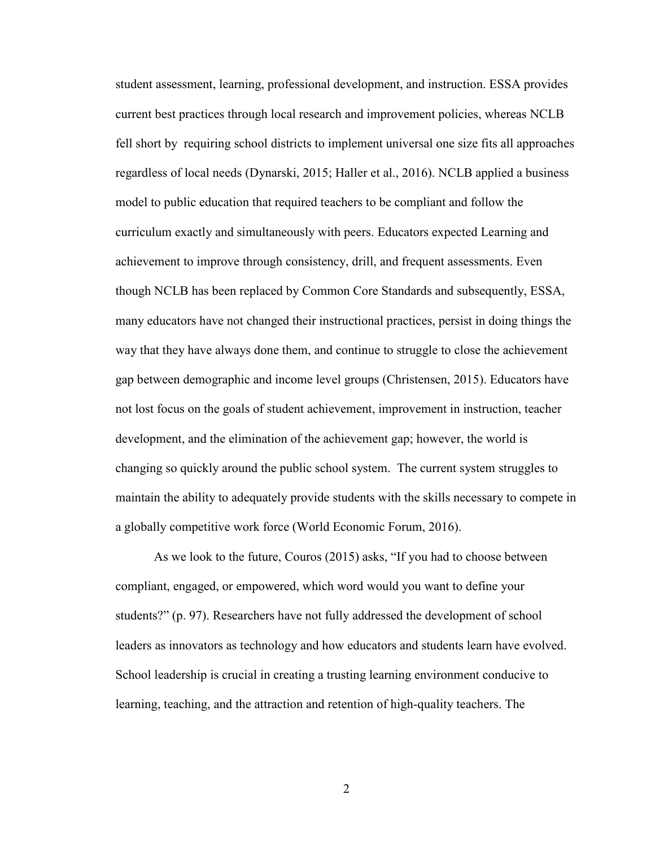student assessment, learning, professional development, and instruction. ESSA provides current best practices through local research and improvement policies, whereas NCLB fell short by requiring school districts to implement universal one size fits all approaches regardless of local needs (Dynarski, 2015; Haller et al., 2016). NCLB applied a business model to public education that required teachers to be compliant and follow the curriculum exactly and simultaneously with peers. Educators expected Learning and achievement to improve through consistency, drill, and frequent assessments. Even though NCLB has been replaced by Common Core Standards and subsequently, ESSA, many educators have not changed their instructional practices, persist in doing things the way that they have always done them, and continue to struggle to close the achievement gap between demographic and income level groups (Christensen, 2015). Educators have not lost focus on the goals of student achievement, improvement in instruction, teacher development, and the elimination of the achievement gap; however, the world is changing so quickly around the public school system. The current system struggles to maintain the ability to adequately provide students with the skills necessary to compete in a globally competitive work force (World Economic Forum, 2016).

As we look to the future, Couros (2015) asks, "If you had to choose between compliant, engaged, or empowered, which word would you want to define your students?" (p. 97). Researchers have not fully addressed the development of school leaders as innovators as technology and how educators and students learn have evolved. School leadership is crucial in creating a trusting learning environment conducive to learning, teaching, and the attraction and retention of high-quality teachers. The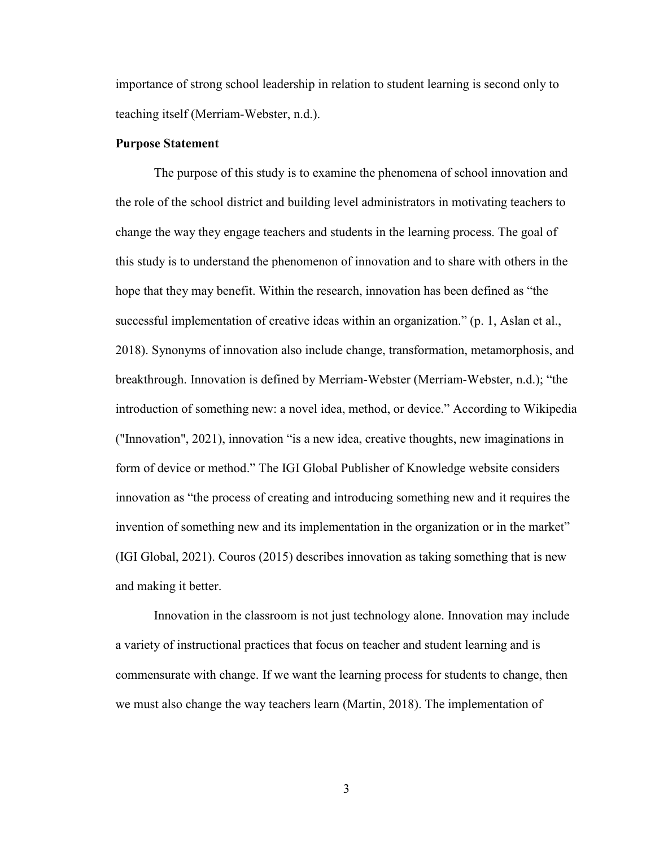importance of strong school leadership in relation to student learning is second only to teaching itself (Merriam-Webster, n.d.).

#### **Purpose Statement**

The purpose of this study is to examine the phenomena of school innovation and the role of the school district and building level administrators in motivating teachers to change the way they engage teachers and students in the learning process. The goal of this study is to understand the phenomenon of innovation and to share with others in the hope that they may benefit. Within the research, innovation has been defined as "the successful implementation of creative ideas within an organization." (p. 1, Aslan et al., 2018). Synonyms of innovation also include change, transformation, metamorphosis, and breakthrough. Innovation is defined by Merriam-Webster (Merriam-Webster, n.d.); "the introduction of something new: a novel idea, method, or device." According to Wikipedia ("Innovation", 2021), innovation "is a new idea, creative thoughts, new imaginations in form of device or method." The IGI Global Publisher of Knowledge website considers innovation as "the process of creating and introducing something new and it requires the invention of something new and its implementation in the organization or in the market" (IGI Global, 2021). Couros (2015) describes innovation as taking something that is new and making it better.

Innovation in the classroom is not just technology alone. Innovation may include a variety of instructional practices that focus on teacher and student learning and is commensurate with change. If we want the learning process for students to change, then we must also change the way teachers learn (Martin, 2018). The implementation of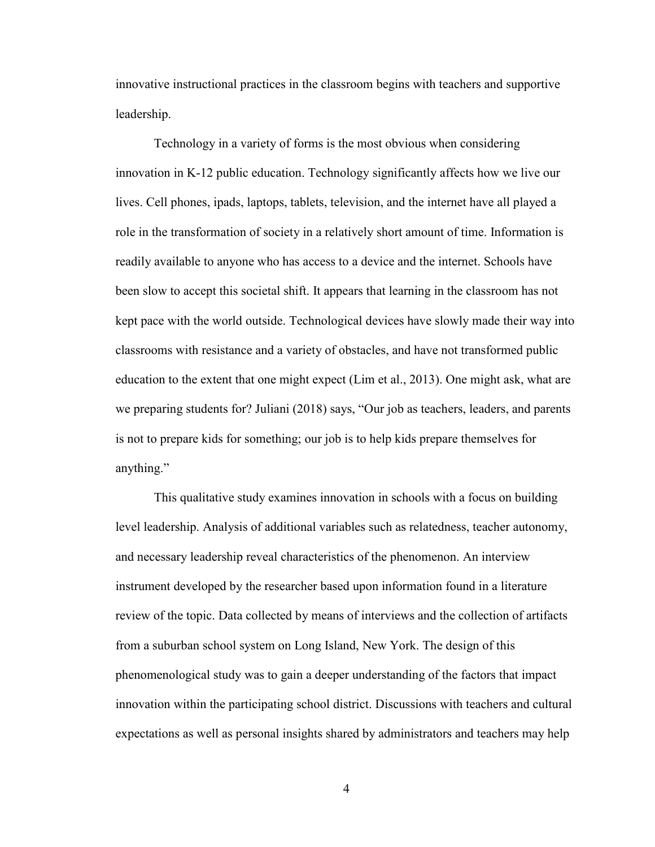innovative instructional practices in the classroom begins with teachers and supportive leadership.

Technology in a variety of forms is the most obvious when considering innovation in K-12 public education. Technology significantly affects how we live our lives. Cell phones, ipads, laptops, tablets, television, and the internet have all played a role in the transformation of society in a relatively short amount of time. Information is readily available to anyone who has access to a device and the internet. Schools have been slow to accept this societal shift. It appears that learning in the classroom has not kept pace with the world outside. Technological devices have slowly made their way into classrooms with resistance and a variety of obstacles, and have not transformed public education to the extent that one might expect (Lim et al., 2013). One might ask, what are we preparing students for? Juliani (2018) says, "Our job as teachers, leaders, and parents is not to prepare kids for something; our job is to help kids prepare themselves for anything."

This qualitative study examines innovation in schools with a focus on building level leadership. Analysis of additional variables such as relatedness, teacher autonomy, and necessary leadership reveal characteristics of the phenomenon. An interview instrument developed by the researcher based upon information found in a literature review of the topic. Data collected by means of interviews and the collection of artifacts from a suburban school system on Long Island, New York. The design of this phenomenological study was to gain a deeper understanding of the factors that impact innovation within the participating school district. Discussions with teachers and cultural expectations as well as personal insights shared by administrators and teachers may help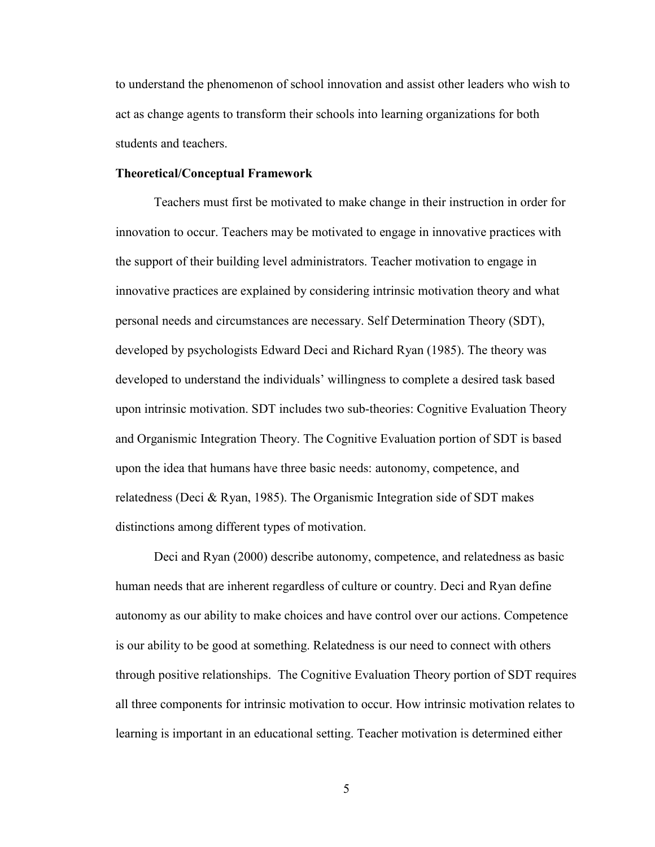to understand the phenomenon of school innovation and assist other leaders who wish to act as change agents to transform their schools into learning organizations for both students and teachers.

#### **Theoretical/Conceptual Framework**

Teachers must first be motivated to make change in their instruction in order for innovation to occur. Teachers may be motivated to engage in innovative practices with the support of their building level administrators. Teacher motivation to engage in innovative practices are explained by considering intrinsic motivation theory and what personal needs and circumstances are necessary. Self Determination Theory (SDT), developed by psychologists Edward Deci and Richard Ryan (1985). The theory was developed to understand the individuals' willingness to complete a desired task based upon intrinsic motivation. SDT includes two sub-theories: Cognitive Evaluation Theory and Organismic Integration Theory. The Cognitive Evaluation portion of SDT is based upon the idea that humans have three basic needs: autonomy, competence, and relatedness (Deci & Ryan, 1985). The Organismic Integration side of SDT makes distinctions among different types of motivation.

Deci and Ryan (2000) describe autonomy, competence, and relatedness as basic human needs that are inherent regardless of culture or country. Deci and Ryan define autonomy as our ability to make choices and have control over our actions. Competence is our ability to be good at something. Relatedness is our need to connect with others through positive relationships. The Cognitive Evaluation Theory portion of SDT requires all three components for intrinsic motivation to occur. How intrinsic motivation relates to learning is important in an educational setting. Teacher motivation is determined either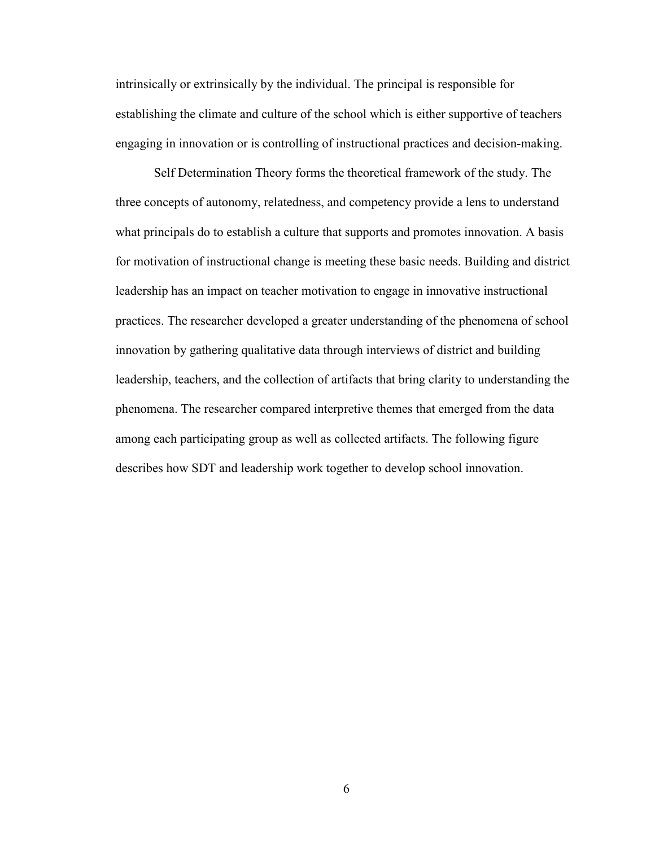intrinsically or extrinsically by the individual. The principal is responsible for establishing the climate and culture of the school which is either supportive of teachers engaging in innovation or is controlling of instructional practices and decision-making.

 Self Determination Theory forms the theoretical framework of the study. The three concepts of autonomy, relatedness, and competency provide a lens to understand what principals do to establish a culture that supports and promotes innovation. A basis for motivation of instructional change is meeting these basic needs. Building and district leadership has an impact on teacher motivation to engage in innovative instructional practices. The researcher developed a greater understanding of the phenomena of school innovation by gathering qualitative data through interviews of district and building leadership, teachers, and the collection of artifacts that bring clarity to understanding the phenomena. The researcher compared interpretive themes that emerged from the data among each participating group as well as collected artifacts. The following figure describes how SDT and leadership work together to develop school innovation.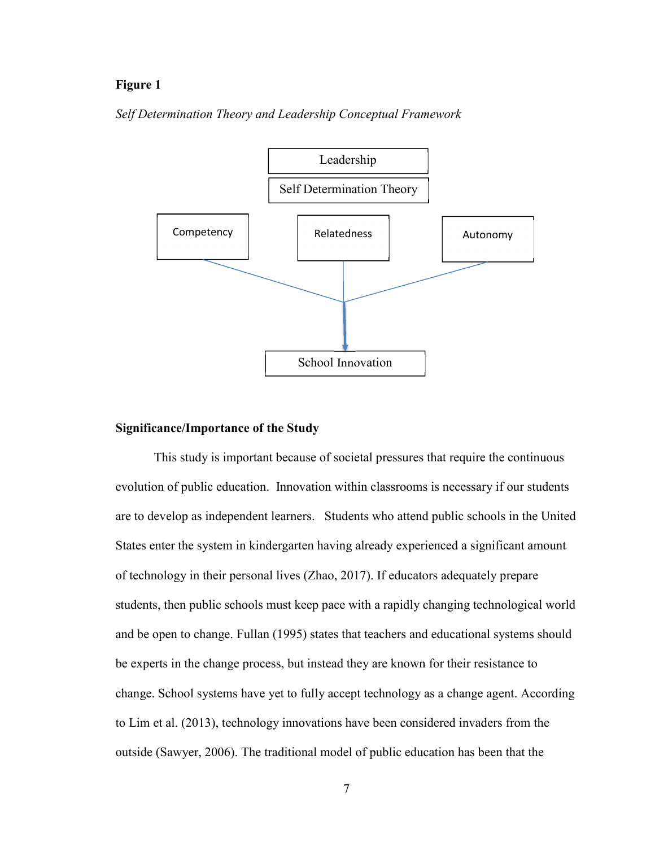#### **Figure 1**

*Self Determination Theory and Leadership Conceptual Framework* 



#### **Significance/Importance of the Study**

This study is important because of societal pressures that require the continuous evolution of public education. Innovation within classrooms is necessary if our students are to develop as independent learners. Students who attend public schools in the United States enter the system in kindergarten having already experienced a significant amount of technology in their personal lives (Zhao, 2017). If educators adequately prepare students, then public schools must keep pace with a rapidly changing technological world and be open to change. Fullan (1995) states that teachers and educational systems should be experts in the change process, but instead they are known for their resistance to change. School systems have yet to fully accept technology as a change agent. According to Lim et al. (2013), technology innovations have been considered invaders from the outside (Sawyer, 2006). The traditional model of public education has been that the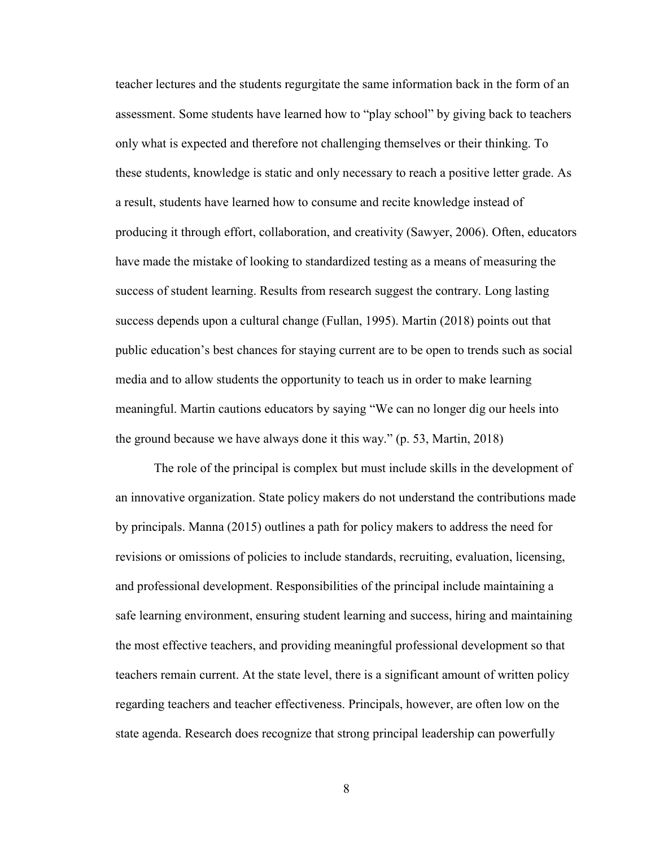teacher lectures and the students regurgitate the same information back in the form of an assessment. Some students have learned how to "play school" by giving back to teachers only what is expected and therefore not challenging themselves or their thinking. To these students, knowledge is static and only necessary to reach a positive letter grade. As a result, students have learned how to consume and recite knowledge instead of producing it through effort, collaboration, and creativity (Sawyer, 2006). Often, educators have made the mistake of looking to standardized testing as a means of measuring the success of student learning. Results from research suggest the contrary. Long lasting success depends upon a cultural change (Fullan, 1995). Martin (2018) points out that public education's best chances for staying current are to be open to trends such as social media and to allow students the opportunity to teach us in order to make learning meaningful. Martin cautions educators by saying "We can no longer dig our heels into the ground because we have always done it this way." (p. 53, Martin, 2018)

The role of the principal is complex but must include skills in the development of an innovative organization. State policy makers do not understand the contributions made by principals. Manna (2015) outlines a path for policy makers to address the need for revisions or omissions of policies to include standards, recruiting, evaluation, licensing, and professional development. Responsibilities of the principal include maintaining a safe learning environment, ensuring student learning and success, hiring and maintaining the most effective teachers, and providing meaningful professional development so that teachers remain current. At the state level, there is a significant amount of written policy regarding teachers and teacher effectiveness. Principals, however, are often low on the state agenda. Research does recognize that strong principal leadership can powerfully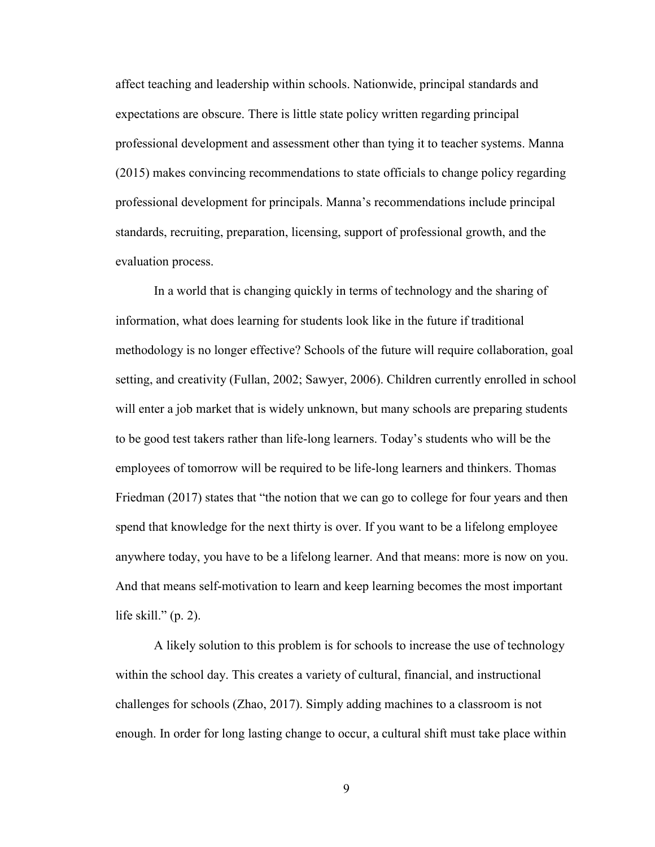affect teaching and leadership within schools. Nationwide, principal standards and expectations are obscure. There is little state policy written regarding principal professional development and assessment other than tying it to teacher systems. Manna (2015) makes convincing recommendations to state officials to change policy regarding professional development for principals. Manna's recommendations include principal standards, recruiting, preparation, licensing, support of professional growth, and the evaluation process.

In a world that is changing quickly in terms of technology and the sharing of information, what does learning for students look like in the future if traditional methodology is no longer effective? Schools of the future will require collaboration, goal setting, and creativity (Fullan, 2002; Sawyer, 2006). Children currently enrolled in school will enter a job market that is widely unknown, but many schools are preparing students to be good test takers rather than life-long learners. Today's students who will be the employees of tomorrow will be required to be life-long learners and thinkers. Thomas Friedman (2017) states that "the notion that we can go to college for four years and then spend that knowledge for the next thirty is over. If you want to be a lifelong employee anywhere today, you have to be a lifelong learner. And that means: more is now on you. And that means self-motivation to learn and keep learning becomes the most important life skill."  $(p. 2)$ .

A likely solution to this problem is for schools to increase the use of technology within the school day. This creates a variety of cultural, financial, and instructional challenges for schools (Zhao, 2017). Simply adding machines to a classroom is not enough. In order for long lasting change to occur, a cultural shift must take place within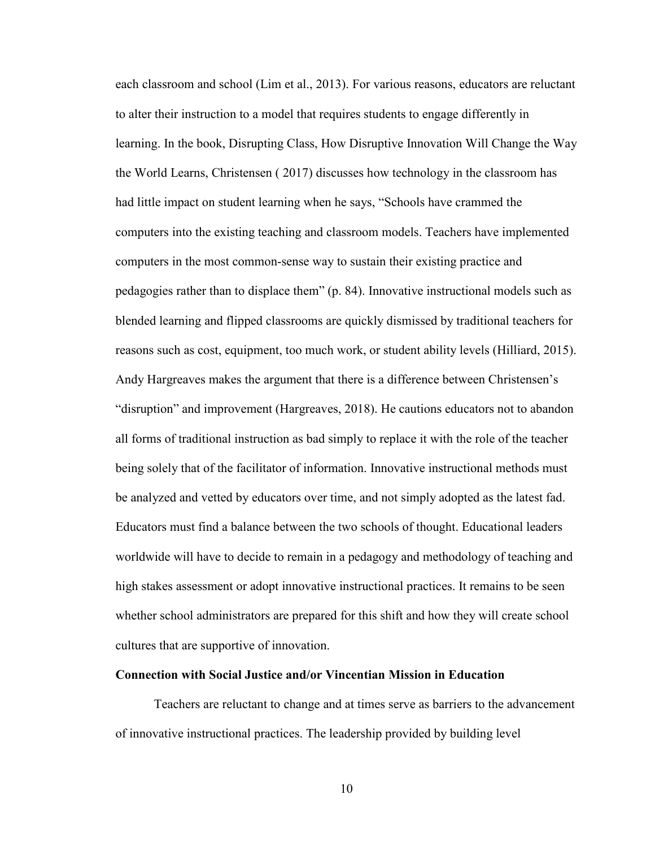each classroom and school (Lim et al., 2013). For various reasons, educators are reluctant to alter their instruction to a model that requires students to engage differently in learning. In the book, Disrupting Class, How Disruptive Innovation Will Change the Way the World Learns, Christensen ( 2017) discusses how technology in the classroom has had little impact on student learning when he says, "Schools have crammed the computers into the existing teaching and classroom models. Teachers have implemented computers in the most common-sense way to sustain their existing practice and pedagogies rather than to displace them" (p. 84). Innovative instructional models such as blended learning and flipped classrooms are quickly dismissed by traditional teachers for reasons such as cost, equipment, too much work, or student ability levels (Hilliard, 2015). Andy Hargreaves makes the argument that there is a difference between Christensen's "disruption" and improvement (Hargreaves, 2018). He cautions educators not to abandon all forms of traditional instruction as bad simply to replace it with the role of the teacher being solely that of the facilitator of information. Innovative instructional methods must be analyzed and vetted by educators over time, and not simply adopted as the latest fad. Educators must find a balance between the two schools of thought. Educational leaders worldwide will have to decide to remain in a pedagogy and methodology of teaching and high stakes assessment or adopt innovative instructional practices. It remains to be seen whether school administrators are prepared for this shift and how they will create school cultures that are supportive of innovation.

#### **Connection with Social Justice and/or Vincentian Mission in Education**

Teachers are reluctant to change and at times serve as barriers to the advancement of innovative instructional practices. The leadership provided by building level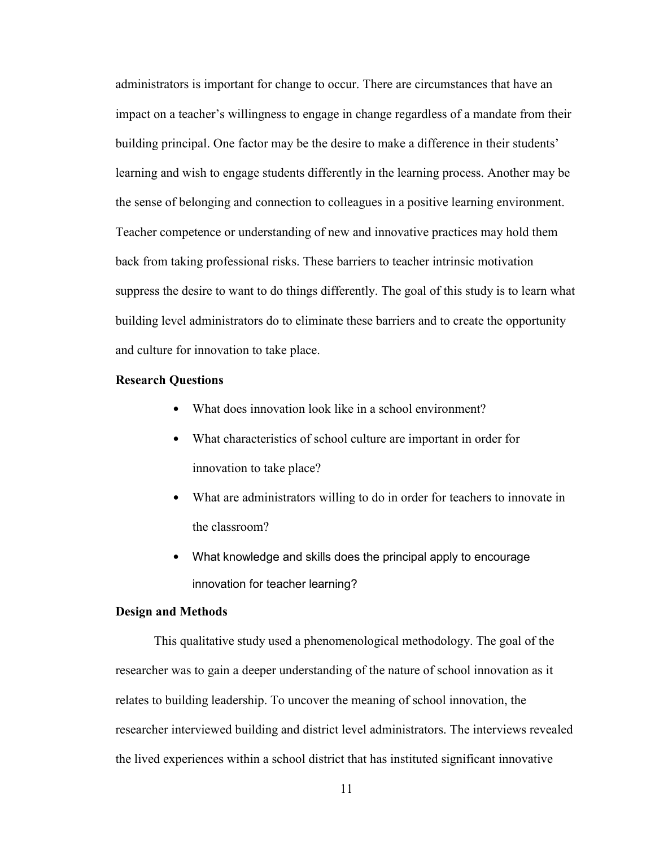administrators is important for change to occur. There are circumstances that have an impact on a teacher's willingness to engage in change regardless of a mandate from their building principal. One factor may be the desire to make a difference in their students' learning and wish to engage students differently in the learning process. Another may be the sense of belonging and connection to colleagues in a positive learning environment. Teacher competence or understanding of new and innovative practices may hold them back from taking professional risks. These barriers to teacher intrinsic motivation suppress the desire to want to do things differently. The goal of this study is to learn what building level administrators do to eliminate these barriers and to create the opportunity and culture for innovation to take place.

#### **Research Questions**

- What does innovation look like in a school environment?
- What characteristics of school culture are important in order for innovation to take place?
- What are administrators willing to do in order for teachers to innovate in the classroom?
- What knowledge and skills does the principal apply to encourage innovation for teacher learning?

#### **Design and Methods**

This qualitative study used a phenomenological methodology. The goal of the researcher was to gain a deeper understanding of the nature of school innovation as it relates to building leadership. To uncover the meaning of school innovation, the researcher interviewed building and district level administrators. The interviews revealed the lived experiences within a school district that has instituted significant innovative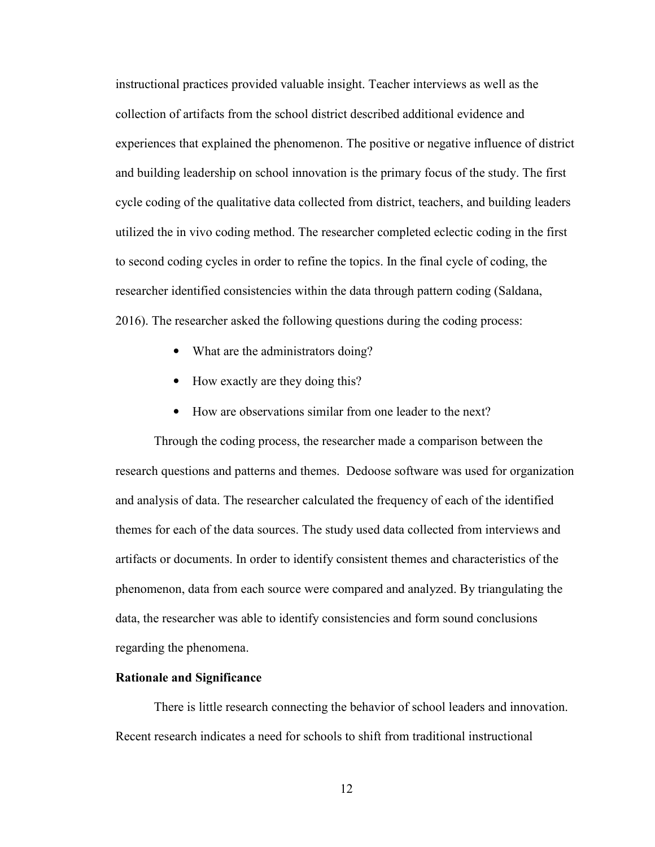instructional practices provided valuable insight. Teacher interviews as well as the collection of artifacts from the school district described additional evidence and experiences that explained the phenomenon. The positive or negative influence of district and building leadership on school innovation is the primary focus of the study. The first cycle coding of the qualitative data collected from district, teachers, and building leaders utilized the in vivo coding method. The researcher completed eclectic coding in the first to second coding cycles in order to refine the topics. In the final cycle of coding, the researcher identified consistencies within the data through pattern coding (Saldana, 2016). The researcher asked the following questions during the coding process:

- What are the administrators doing?
- How exactly are they doing this?
- How are observations similar from one leader to the next?

Through the coding process, the researcher made a comparison between the research questions and patterns and themes. Dedoose software was used for organization and analysis of data. The researcher calculated the frequency of each of the identified themes for each of the data sources. The study used data collected from interviews and artifacts or documents. In order to identify consistent themes and characteristics of the phenomenon, data from each source were compared and analyzed. By triangulating the data, the researcher was able to identify consistencies and form sound conclusions regarding the phenomena.

#### **Rationale and Significance**

There is little research connecting the behavior of school leaders and innovation. Recent research indicates a need for schools to shift from traditional instructional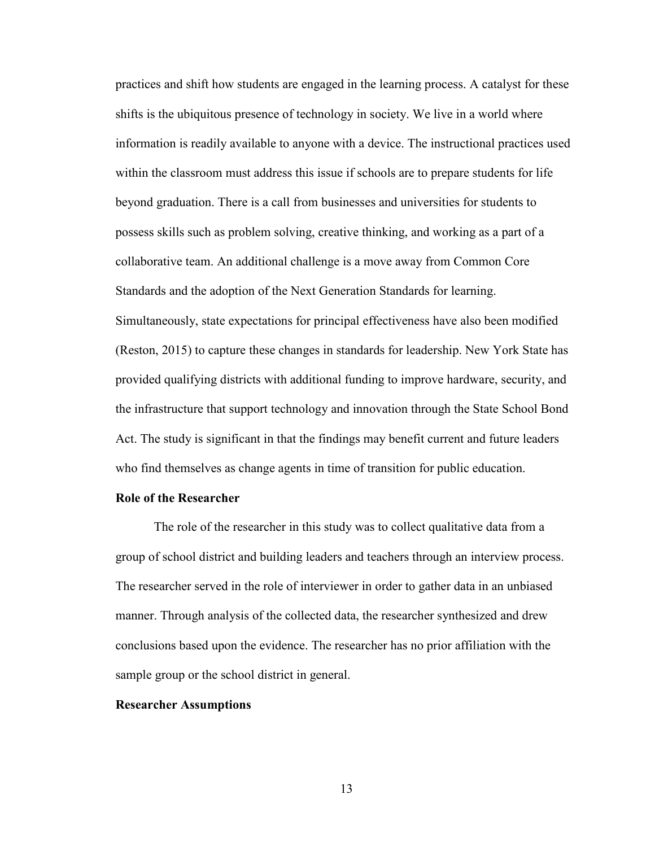practices and shift how students are engaged in the learning process. A catalyst for these shifts is the ubiquitous presence of technology in society. We live in a world where information is readily available to anyone with a device. The instructional practices used within the classroom must address this issue if schools are to prepare students for life beyond graduation. There is a call from businesses and universities for students to possess skills such as problem solving, creative thinking, and working as a part of a collaborative team. An additional challenge is a move away from Common Core Standards and the adoption of the Next Generation Standards for learning. Simultaneously, state expectations for principal effectiveness have also been modified (Reston, 2015) to capture these changes in standards for leadership. New York State has provided qualifying districts with additional funding to improve hardware, security, and the infrastructure that support technology and innovation through the State School Bond Act. The study is significant in that the findings may benefit current and future leaders who find themselves as change agents in time of transition for public education.

#### **Role of the Researcher**

 The role of the researcher in this study was to collect qualitative data from a group of school district and building leaders and teachers through an interview process. The researcher served in the role of interviewer in order to gather data in an unbiased manner. Through analysis of the collected data, the researcher synthesized and drew conclusions based upon the evidence. The researcher has no prior affiliation with the sample group or the school district in general.

#### **Researcher Assumptions**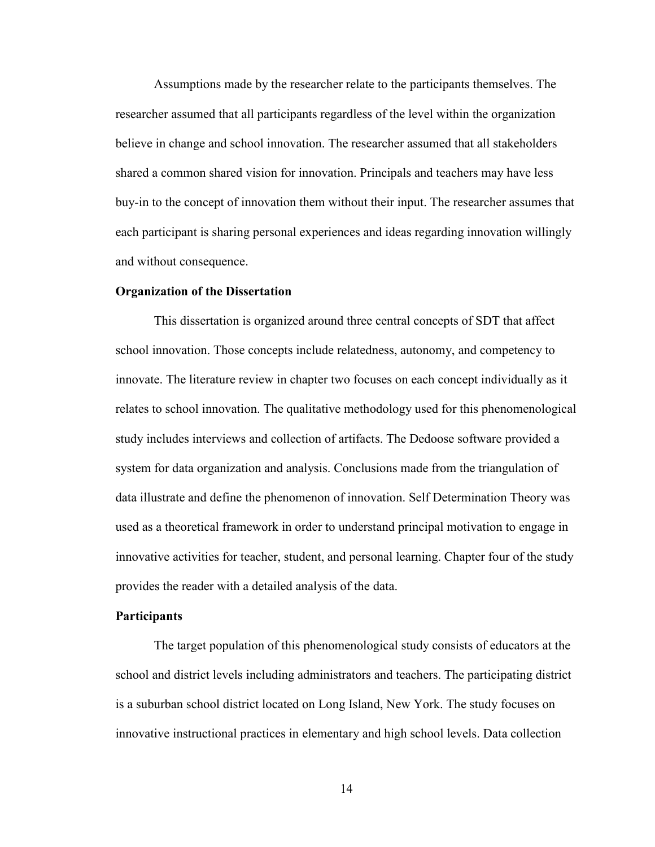Assumptions made by the researcher relate to the participants themselves. The researcher assumed that all participants regardless of the level within the organization believe in change and school innovation. The researcher assumed that all stakeholders shared a common shared vision for innovation. Principals and teachers may have less buy-in to the concept of innovation them without their input. The researcher assumes that each participant is sharing personal experiences and ideas regarding innovation willingly and without consequence.

#### **Organization of the Dissertation**

This dissertation is organized around three central concepts of SDT that affect school innovation. Those concepts include relatedness, autonomy, and competency to innovate. The literature review in chapter two focuses on each concept individually as it relates to school innovation. The qualitative methodology used for this phenomenological study includes interviews and collection of artifacts. The Dedoose software provided a system for data organization and analysis. Conclusions made from the triangulation of data illustrate and define the phenomenon of innovation. Self Determination Theory was used as a theoretical framework in order to understand principal motivation to engage in innovative activities for teacher, student, and personal learning. Chapter four of the study provides the reader with a detailed analysis of the data.

#### **Participants**

The target population of this phenomenological study consists of educators at the school and district levels including administrators and teachers. The participating district is a suburban school district located on Long Island, New York. The study focuses on innovative instructional practices in elementary and high school levels. Data collection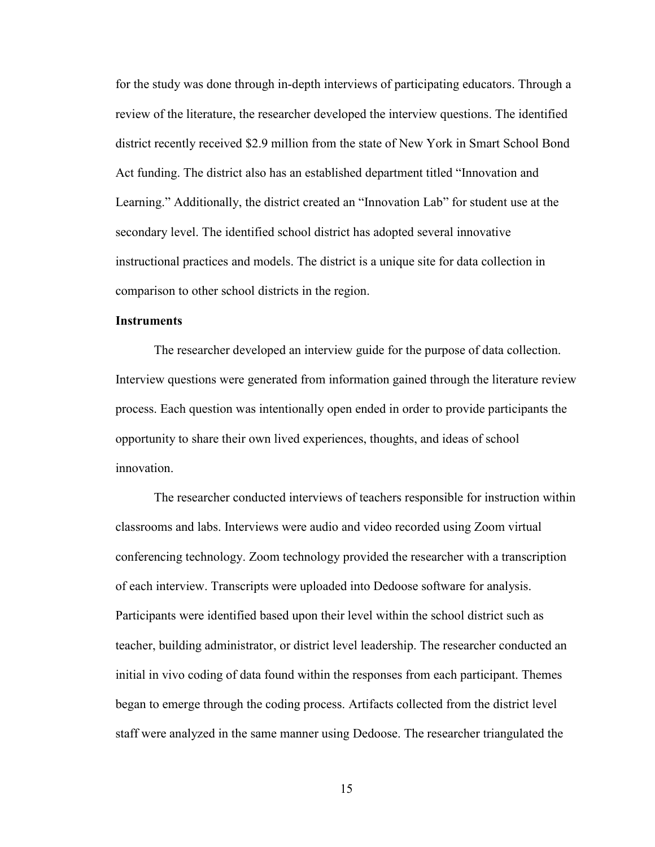for the study was done through in-depth interviews of participating educators. Through a review of the literature, the researcher developed the interview questions. The identified district recently received \$2.9 million from the state of New York in Smart School Bond Act funding. The district also has an established department titled "Innovation and Learning." Additionally, the district created an "Innovation Lab" for student use at the secondary level. The identified school district has adopted several innovative instructional practices and models. The district is a unique site for data collection in comparison to other school districts in the region.

#### **Instruments**

The researcher developed an interview guide for the purpose of data collection. Interview questions were generated from information gained through the literature review process. Each question was intentionally open ended in order to provide participants the opportunity to share their own lived experiences, thoughts, and ideas of school innovation.

The researcher conducted interviews of teachers responsible for instruction within classrooms and labs. Interviews were audio and video recorded using Zoom virtual conferencing technology. Zoom technology provided the researcher with a transcription of each interview. Transcripts were uploaded into Dedoose software for analysis. Participants were identified based upon their level within the school district such as teacher, building administrator, or district level leadership. The researcher conducted an initial in vivo coding of data found within the responses from each participant. Themes began to emerge through the coding process. Artifacts collected from the district level staff were analyzed in the same manner using Dedoose. The researcher triangulated the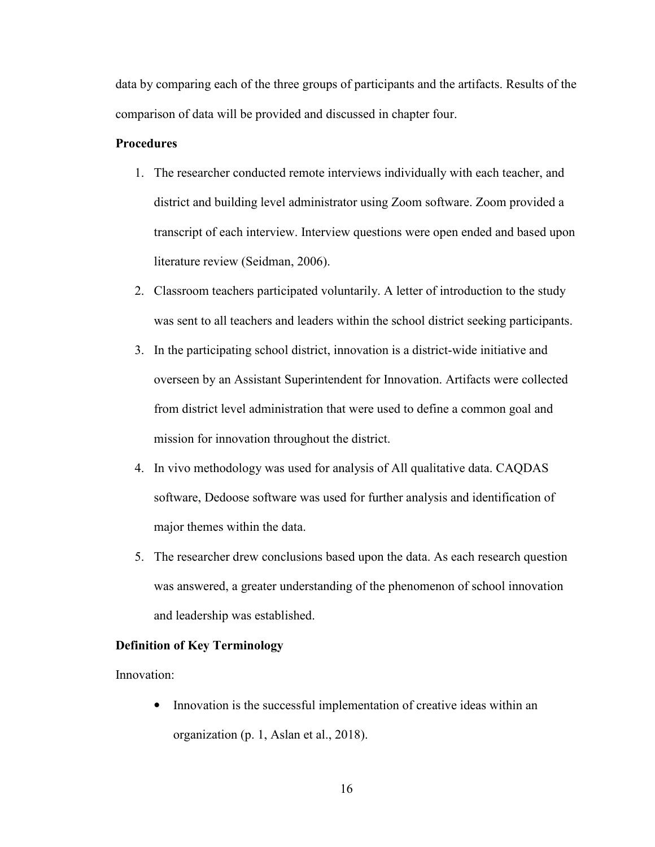data by comparing each of the three groups of participants and the artifacts. Results of the comparison of data will be provided and discussed in chapter four.

### **Procedures**

- 1. The researcher conducted remote interviews individually with each teacher, and district and building level administrator using Zoom software. Zoom provided a transcript of each interview. Interview questions were open ended and based upon literature review (Seidman, 2006).
- 2. Classroom teachers participated voluntarily. A letter of introduction to the study was sent to all teachers and leaders within the school district seeking participants.
- 3. In the participating school district, innovation is a district-wide initiative and overseen by an Assistant Superintendent for Innovation. Artifacts were collected from district level administration that were used to define a common goal and mission for innovation throughout the district.
- 4. In vivo methodology was used for analysis of All qualitative data. CAQDAS software, Dedoose software was used for further analysis and identification of major themes within the data.
- 5. The researcher drew conclusions based upon the data. As each research question was answered, a greater understanding of the phenomenon of school innovation and leadership was established.

#### **Definition of Key Terminology**

Innovation:

• Innovation is the successful implementation of creative ideas within an organization (p. 1, Aslan et al., 2018).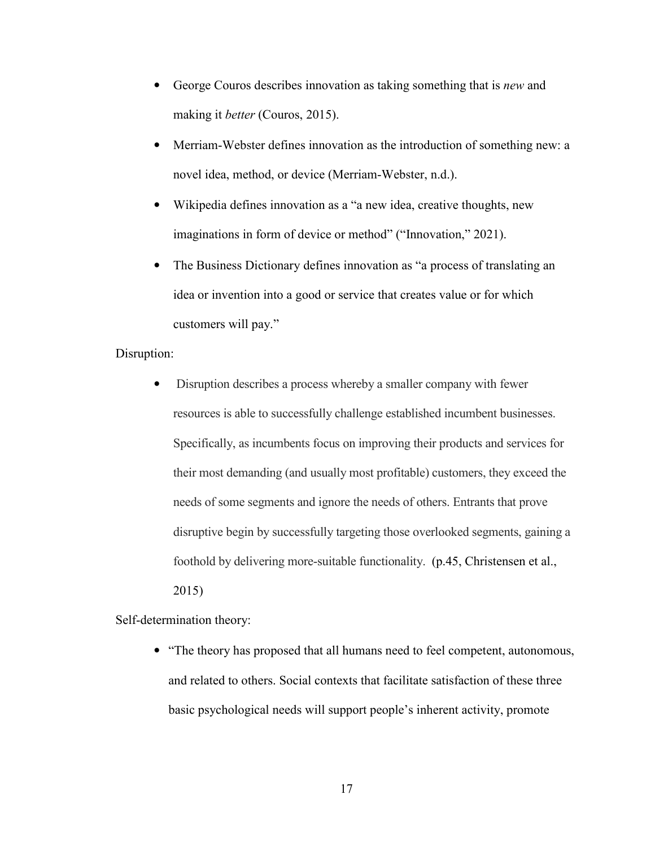- George Couros describes innovation as taking something that is *new* and making it *better* (Couros, 2015).
- Merriam-Webster defines innovation as the introduction of something new: a novel idea, method, or device (Merriam-Webster, n.d.).
- Wikipedia defines innovation as a "a new idea, creative thoughts, new imaginations in form of device or method" ("Innovation," 2021).
- The Business Dictionary defines innovation as "a process of translating an idea or invention into a good or service that creates value or for which customers will pay."

#### Disruption:

• Disruption describes a process whereby a smaller company with fewer resources is able to successfully challenge established incumbent businesses. Specifically, as incumbents focus on improving their products and services for their most demanding (and usually most profitable) customers, they exceed the needs of some segments and ignore the needs of others. Entrants that prove disruptive begin by successfully targeting those overlooked segments, gaining a foothold by delivering more-suitable functionality. (p.45, Christensen et al., 2015)

Self-determination theory:

• "The theory has proposed that all humans need to feel competent, autonomous, and related to others. Social contexts that facilitate satisfaction of these three basic psychological needs will support people's inherent activity, promote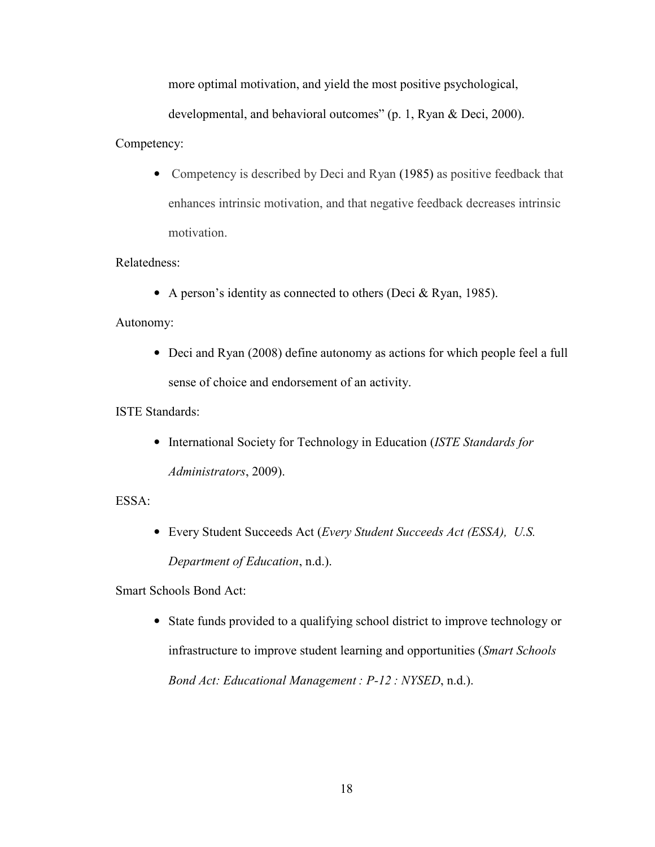more optimal motivation, and yield the most positive psychological,

developmental, and behavioral outcomes" (p. 1, Ryan & Deci, 2000).

### Competency:

• Competency is described by Deci and Ryan (1985) as positive feedback that enhances intrinsic motivation, and that negative feedback decreases intrinsic motivation.

# Relatedness:

• A person's identity as connected to others (Deci & Ryan, 1985).

# Autonomy:

• Deci and Ryan (2008) define autonomy as actions for which people feel a full sense of choice and endorsement of an activity.

# ISTE Standards:

• International Society for Technology in Education (*ISTE Standards for Administrators*, 2009).

### ESSA:

• Every Student Succeeds Act (*Every Student Succeeds Act (ESSA), U.S. Department of Education*, n.d.).

Smart Schools Bond Act:

• State funds provided to a qualifying school district to improve technology or infrastructure to improve student learning and opportunities (*Smart Schools Bond Act: Educational Management : P-12 : NYSED*, n.d.).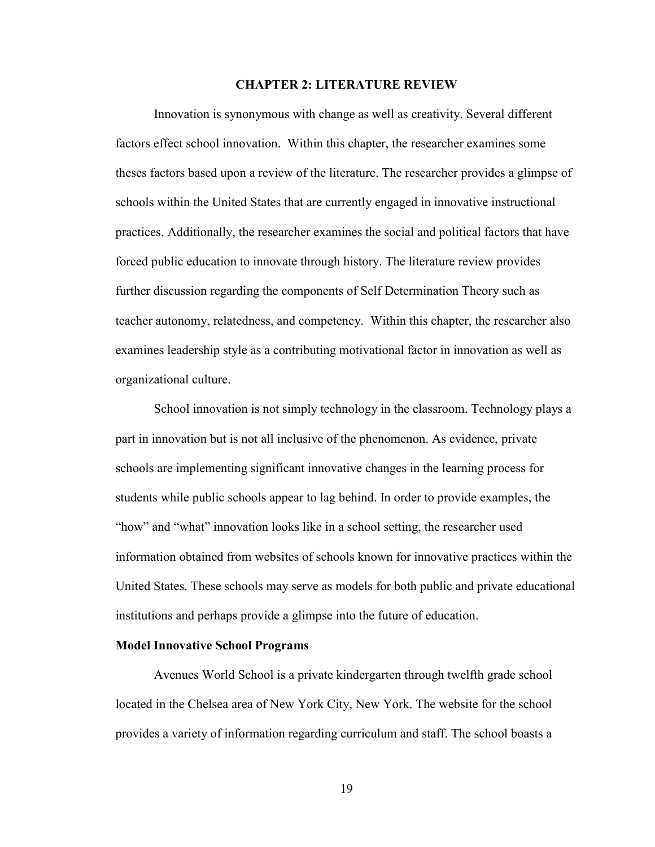#### **CHAPTER 2: LITERATURE REVIEW**

Innovation is synonymous with change as well as creativity. Several different factors effect school innovation. Within this chapter, the researcher examines some theses factors based upon a review of the literature. The researcher provides a glimpse of schools within the United States that are currently engaged in innovative instructional practices. Additionally, the researcher examines the social and political factors that have forced public education to innovate through history. The literature review provides further discussion regarding the components of Self Determination Theory such as teacher autonomy, relatedness, and competency. Within this chapter, the researcher also examines leadership style as a contributing motivational factor in innovation as well as organizational culture.

School innovation is not simply technology in the classroom. Technology plays a part in innovation but is not all inclusive of the phenomenon. As evidence, private schools are implementing significant innovative changes in the learning process for students while public schools appear to lag behind. In order to provide examples, the "how" and "what" innovation looks like in a school setting, the researcher used information obtained from websites of schools known for innovative practices within the United States. These schools may serve as models for both public and private educational institutions and perhaps provide a glimpse into the future of education.

#### **Model Innovative School Programs**

Avenues World School is a private kindergarten through twelfth grade school located in the Chelsea area of New York City, New York. The website for the school provides a variety of information regarding curriculum and staff. The school boasts a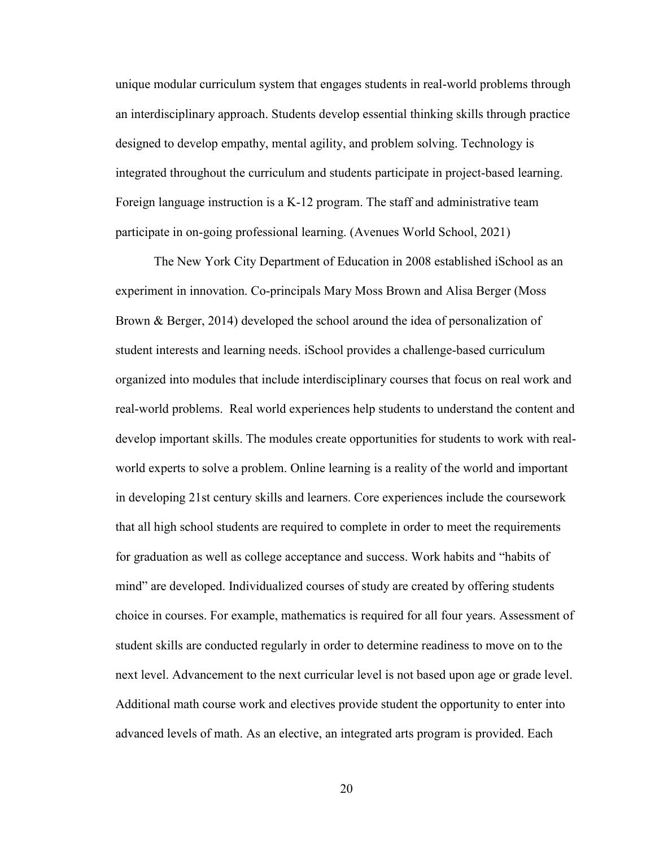unique modular curriculum system that engages students in real-world problems through an interdisciplinary approach. Students develop essential thinking skills through practice designed to develop empathy, mental agility, and problem solving. Technology is integrated throughout the curriculum and students participate in project-based learning. Foreign language instruction is a K-12 program. The staff and administrative team participate in on-going professional learning. (Avenues World School, 2021)

 The New York City Department of Education in 2008 established iSchool as an experiment in innovation. Co-principals Mary Moss Brown and Alisa Berger (Moss Brown & Berger, 2014) developed the school around the idea of personalization of student interests and learning needs. iSchool provides a challenge-based curriculum organized into modules that include interdisciplinary courses that focus on real work and real-world problems. Real world experiences help students to understand the content and develop important skills. The modules create opportunities for students to work with realworld experts to solve a problem. Online learning is a reality of the world and important in developing 21st century skills and learners. Core experiences include the coursework that all high school students are required to complete in order to meet the requirements for graduation as well as college acceptance and success. Work habits and "habits of mind" are developed. Individualized courses of study are created by offering students choice in courses. For example, mathematics is required for all four years. Assessment of student skills are conducted regularly in order to determine readiness to move on to the next level. Advancement to the next curricular level is not based upon age or grade level. Additional math course work and electives provide student the opportunity to enter into advanced levels of math. As an elective, an integrated arts program is provided. Each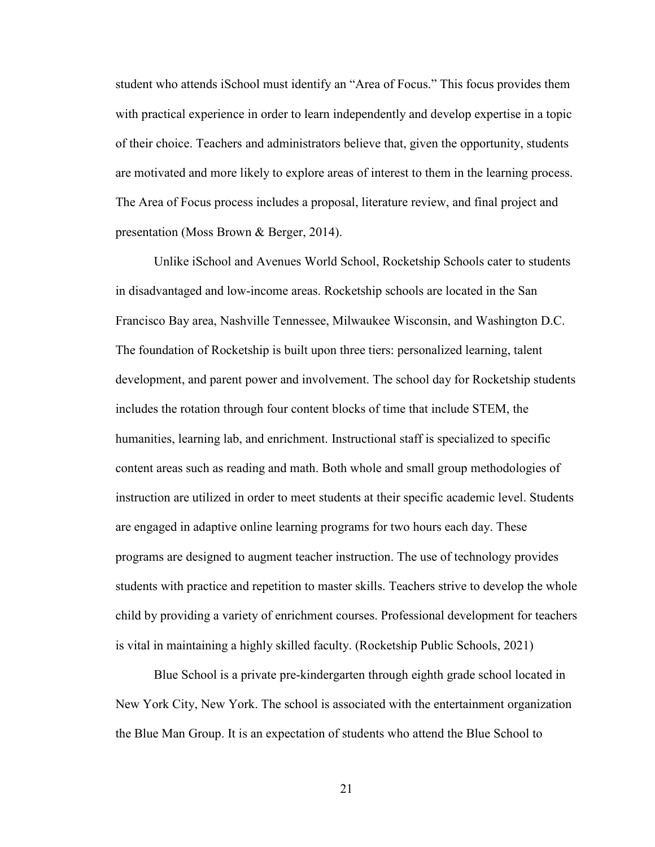student who attends iSchool must identify an "Area of Focus." This focus provides them with practical experience in order to learn independently and develop expertise in a topic of their choice. Teachers and administrators believe that, given the opportunity, students are motivated and more likely to explore areas of interest to them in the learning process. The Area of Focus process includes a proposal, literature review, and final project and presentation (Moss Brown & Berger, 2014).

 Unlike iSchool and Avenues World School, Rocketship Schools cater to students in disadvantaged and low-income areas. Rocketship schools are located in the San Francisco Bay area, Nashville Tennessee, Milwaukee Wisconsin, and Washington D.C. The foundation of Rocketship is built upon three tiers: personalized learning, talent development, and parent power and involvement. The school day for Rocketship students includes the rotation through four content blocks of time that include STEM, the humanities, learning lab, and enrichment. Instructional staff is specialized to specific content areas such as reading and math. Both whole and small group methodologies of instruction are utilized in order to meet students at their specific academic level. Students are engaged in adaptive online learning programs for two hours each day. These programs are designed to augment teacher instruction. The use of technology provides students with practice and repetition to master skills. Teachers strive to develop the whole child by providing a variety of enrichment courses. Professional development for teachers is vital in maintaining a highly skilled faculty. (Rocketship Public Schools, 2021)

 Blue School is a private pre-kindergarten through eighth grade school located in New York City, New York. The school is associated with the entertainment organization the Blue Man Group. It is an expectation of students who attend the Blue School to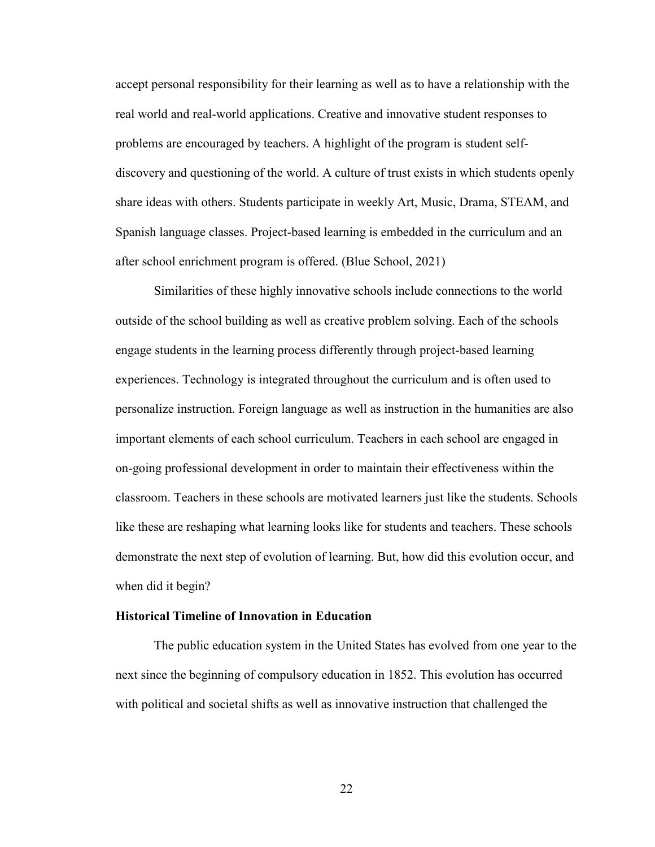accept personal responsibility for their learning as well as to have a relationship with the real world and real-world applications. Creative and innovative student responses to problems are encouraged by teachers. A highlight of the program is student selfdiscovery and questioning of the world. A culture of trust exists in which students openly share ideas with others. Students participate in weekly Art, Music, Drama, STEAM, and Spanish language classes. Project-based learning is embedded in the curriculum and an after school enrichment program is offered. (Blue School, 2021)

 Similarities of these highly innovative schools include connections to the world outside of the school building as well as creative problem solving. Each of the schools engage students in the learning process differently through project-based learning experiences. Technology is integrated throughout the curriculum and is often used to personalize instruction. Foreign language as well as instruction in the humanities are also important elements of each school curriculum. Teachers in each school are engaged in on-going professional development in order to maintain their effectiveness within the classroom. Teachers in these schools are motivated learners just like the students. Schools like these are reshaping what learning looks like for students and teachers. These schools demonstrate the next step of evolution of learning. But, how did this evolution occur, and when did it begin?

#### **Historical Timeline of Innovation in Education**

 The public education system in the United States has evolved from one year to the next since the beginning of compulsory education in 1852. This evolution has occurred with political and societal shifts as well as innovative instruction that challenged the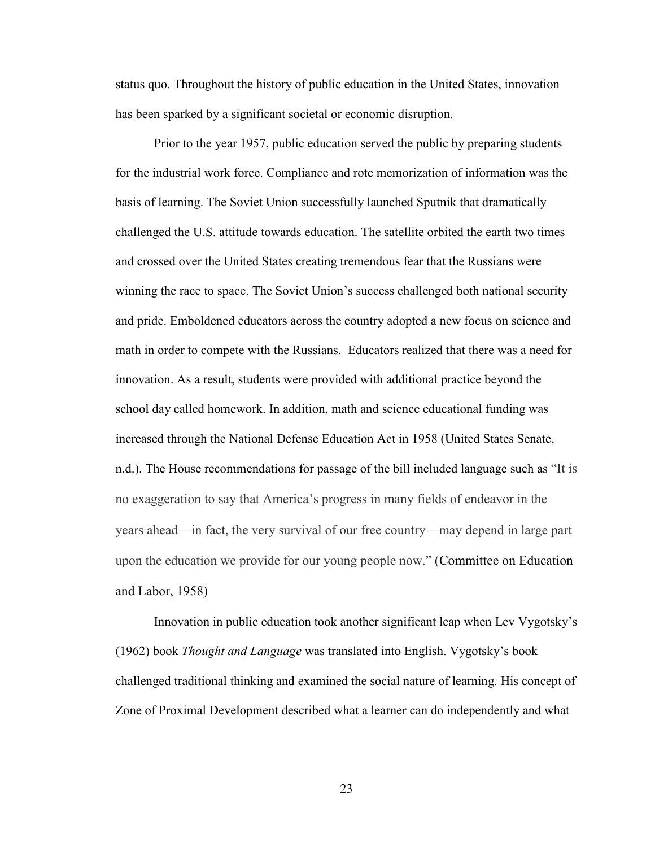status quo. Throughout the history of public education in the United States, innovation has been sparked by a significant societal or economic disruption.

Prior to the year 1957, public education served the public by preparing students for the industrial work force. Compliance and rote memorization of information was the basis of learning. The Soviet Union successfully launched Sputnik that dramatically challenged the U.S. attitude towards education. The satellite orbited the earth two times and crossed over the United States creating tremendous fear that the Russians were winning the race to space. The Soviet Union's success challenged both national security and pride. Emboldened educators across the country adopted a new focus on science and math in order to compete with the Russians. Educators realized that there was a need for innovation. As a result, students were provided with additional practice beyond the school day called homework. In addition, math and science educational funding was increased through the National Defense Education Act in 1958 (United States Senate, n.d.). The House recommendations for passage of the bill included language such as "It is no exaggeration to say that America's progress in many fields of endeavor in the years ahead—in fact, the very survival of our free country—may depend in large part upon the education we provide for our young people now." (Committee on Education and Labor, 1958)

 Innovation in public education took another significant leap when Lev Vygotsky's (1962) book *Thought and Language* was translated into English. Vygotsky's book challenged traditional thinking and examined the social nature of learning. His concept of Zone of Proximal Development described what a learner can do independently and what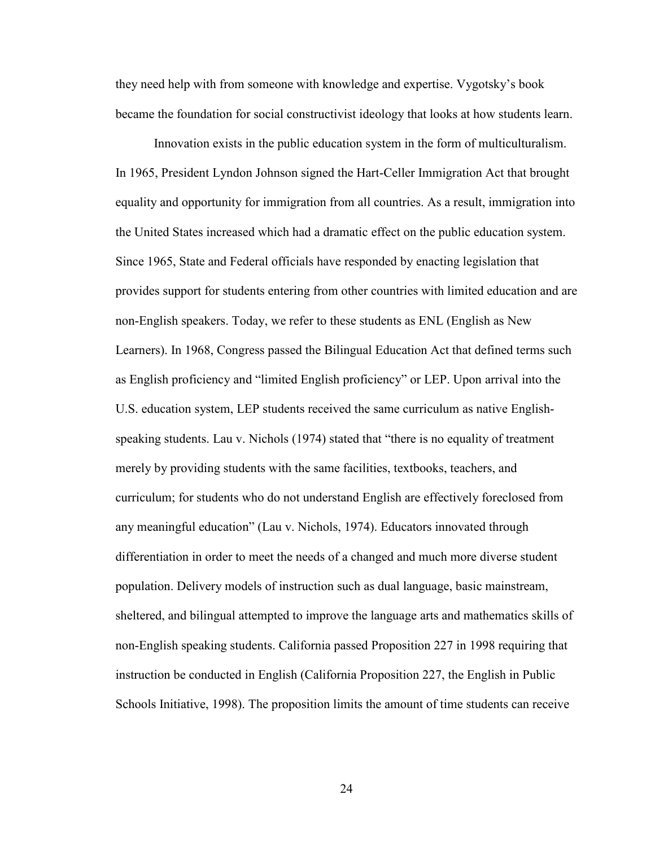they need help with from someone with knowledge and expertise. Vygotsky's book became the foundation for social constructivist ideology that looks at how students learn.

 Innovation exists in the public education system in the form of multiculturalism. In 1965, President Lyndon Johnson signed the Hart-Celler Immigration Act that brought equality and opportunity for immigration from all countries. As a result, immigration into the United States increased which had a dramatic effect on the public education system. Since 1965, State and Federal officials have responded by enacting legislation that provides support for students entering from other countries with limited education and are non-English speakers. Today, we refer to these students as ENL (English as New Learners). In 1968, Congress passed the Bilingual Education Act that defined terms such as English proficiency and "limited English proficiency" or LEP. Upon arrival into the U.S. education system, LEP students received the same curriculum as native Englishspeaking students. Lau v. Nichols (1974) stated that "there is no equality of treatment merely by providing students with the same facilities, textbooks, teachers, and curriculum; for students who do not understand English are effectively foreclosed from any meaningful education" (Lau v. Nichols, 1974). Educators innovated through differentiation in order to meet the needs of a changed and much more diverse student population. Delivery models of instruction such as dual language, basic mainstream, sheltered, and bilingual attempted to improve the language arts and mathematics skills of non-English speaking students. California passed Proposition 227 in 1998 requiring that instruction be conducted in English (California Proposition 227, the English in Public Schools Initiative, 1998). The proposition limits the amount of time students can receive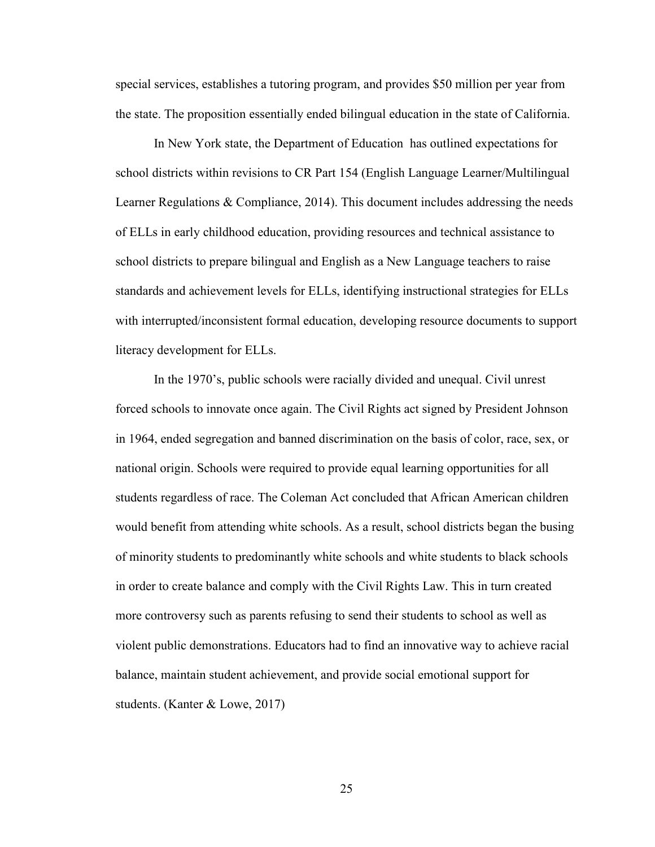special services, establishes a tutoring program, and provides \$50 million per year from the state. The proposition essentially ended bilingual education in the state of California.

In New York state, the Department of Education has outlined expectations for school districts within revisions to CR Part 154 (English Language Learner/Multilingual Learner Regulations & Compliance, 2014). This document includes addressing the needs of ELLs in early childhood education, providing resources and technical assistance to school districts to prepare bilingual and English as a New Language teachers to raise standards and achievement levels for ELLs, identifying instructional strategies for ELLs with interrupted/inconsistent formal education, developing resource documents to support literacy development for ELLs.

In the 1970's, public schools were racially divided and unequal. Civil unrest forced schools to innovate once again. The Civil Rights act signed by President Johnson in 1964, ended segregation and banned discrimination on the basis of color, race, sex, or national origin. Schools were required to provide equal learning opportunities for all students regardless of race. The Coleman Act concluded that African American children would benefit from attending white schools. As a result, school districts began the busing of minority students to predominantly white schools and white students to black schools in order to create balance and comply with the Civil Rights Law. This in turn created more controversy such as parents refusing to send their students to school as well as violent public demonstrations. Educators had to find an innovative way to achieve racial balance, maintain student achievement, and provide social emotional support for students. (Kanter & Lowe, 2017)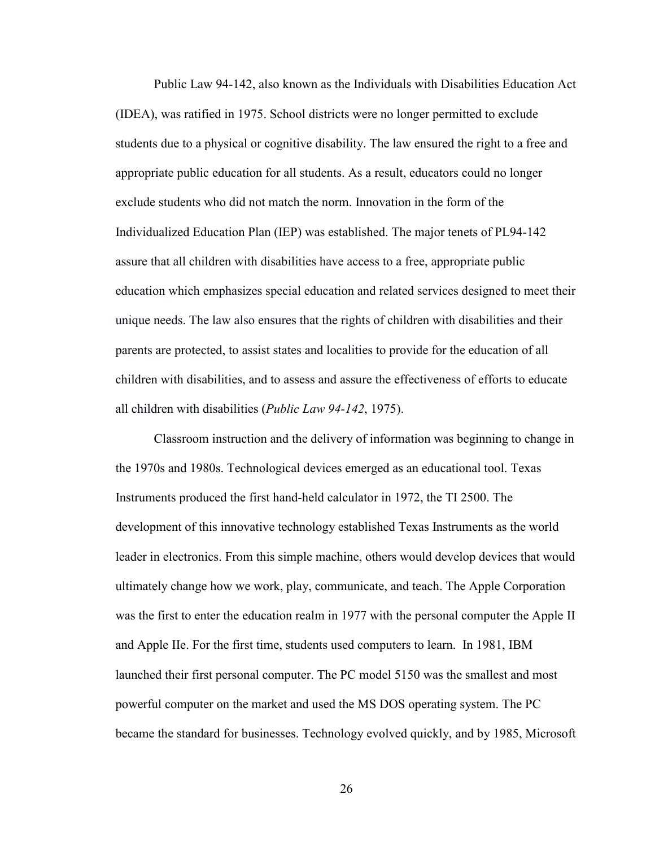Public Law 94-142, also known as the Individuals with Disabilities Education Act (IDEA), was ratified in 1975. School districts were no longer permitted to exclude students due to a physical or cognitive disability. The law ensured the right to a free and appropriate public education for all students. As a result, educators could no longer exclude students who did not match the norm. Innovation in the form of the Individualized Education Plan (IEP) was established. The major tenets of PL94-142 assure that all children with disabilities have access to a free, appropriate public education which emphasizes special education and related services designed to meet their unique needs. The law also ensures that the rights of children with disabilities and their parents are protected, to assist states and localities to provide for the education of all children with disabilities, and to assess and assure the effectiveness of efforts to educate all children with disabilities (*Public Law 94-142*, 1975).

Classroom instruction and the delivery of information was beginning to change in the 1970s and 1980s. Technological devices emerged as an educational tool. Texas Instruments produced the first hand-held calculator in 1972, the TI 2500. The development of this innovative technology established Texas Instruments as the world leader in electronics. From this simple machine, others would develop devices that would ultimately change how we work, play, communicate, and teach. The Apple Corporation was the first to enter the education realm in 1977 with the personal computer the Apple II and Apple IIe. For the first time, students used computers to learn. In 1981, IBM launched their first personal computer. The PC model 5150 was the smallest and most powerful computer on the market and used the MS DOS operating system. The PC became the standard for businesses. Technology evolved quickly, and by 1985, Microsoft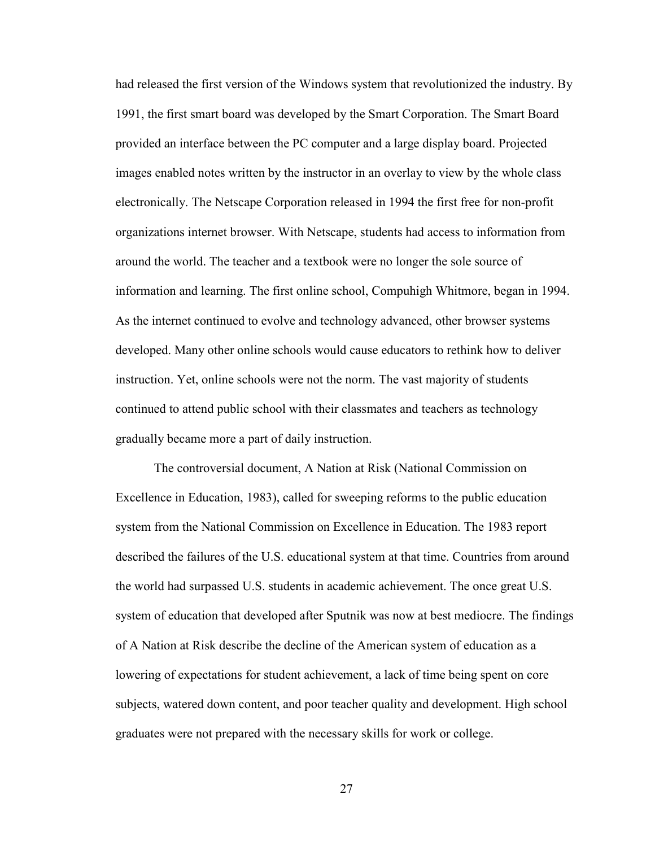had released the first version of the Windows system that revolutionized the industry. By 1991, the first smart board was developed by the Smart Corporation. The Smart Board provided an interface between the PC computer and a large display board. Projected images enabled notes written by the instructor in an overlay to view by the whole class electronically. The Netscape Corporation released in 1994 the first free for non-profit organizations internet browser. With Netscape, students had access to information from around the world. The teacher and a textbook were no longer the sole source of information and learning. The first online school, Compuhigh Whitmore, began in 1994. As the internet continued to evolve and technology advanced, other browser systems developed. Many other online schools would cause educators to rethink how to deliver instruction. Yet, online schools were not the norm. The vast majority of students continued to attend public school with their classmates and teachers as technology gradually became more a part of daily instruction.

The controversial document, A Nation at Risk (National Commission on Excellence in Education, 1983), called for sweeping reforms to the public education system from the National Commission on Excellence in Education. The 1983 report described the failures of the U.S. educational system at that time. Countries from around the world had surpassed U.S. students in academic achievement. The once great U.S. system of education that developed after Sputnik was now at best mediocre. The findings of A Nation at Risk describe the decline of the American system of education as a lowering of expectations for student achievement, a lack of time being spent on core subjects, watered down content, and poor teacher quality and development. High school graduates were not prepared with the necessary skills for work or college.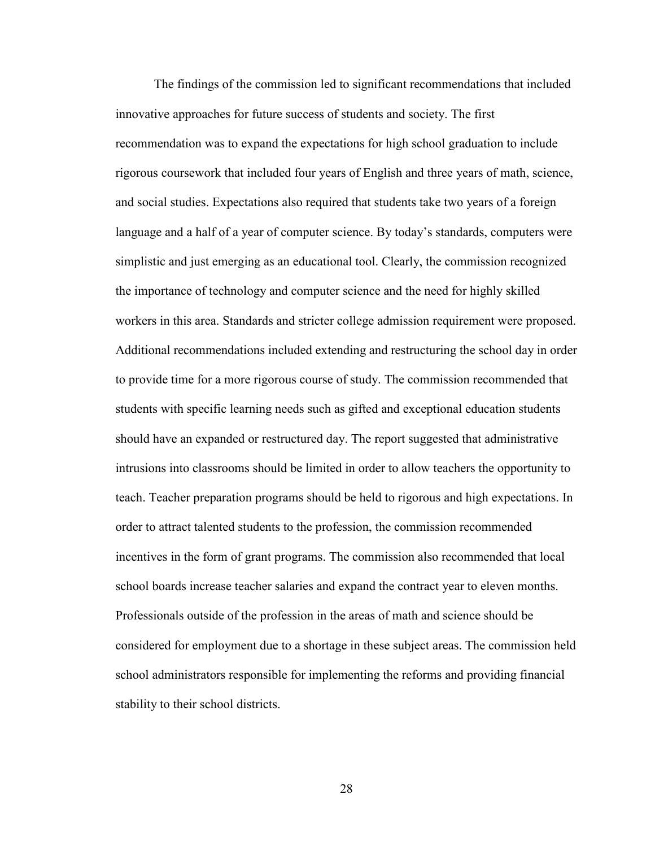The findings of the commission led to significant recommendations that included innovative approaches for future success of students and society. The first recommendation was to expand the expectations for high school graduation to include rigorous coursework that included four years of English and three years of math, science, and social studies. Expectations also required that students take two years of a foreign language and a half of a year of computer science. By today's standards, computers were simplistic and just emerging as an educational tool. Clearly, the commission recognized the importance of technology and computer science and the need for highly skilled workers in this area. Standards and stricter college admission requirement were proposed. Additional recommendations included extending and restructuring the school day in order to provide time for a more rigorous course of study. The commission recommended that students with specific learning needs such as gifted and exceptional education students should have an expanded or restructured day. The report suggested that administrative intrusions into classrooms should be limited in order to allow teachers the opportunity to teach. Teacher preparation programs should be held to rigorous and high expectations. In order to attract talented students to the profession, the commission recommended incentives in the form of grant programs. The commission also recommended that local school boards increase teacher salaries and expand the contract year to eleven months. Professionals outside of the profession in the areas of math and science should be considered for employment due to a shortage in these subject areas. The commission held school administrators responsible for implementing the reforms and providing financial stability to their school districts.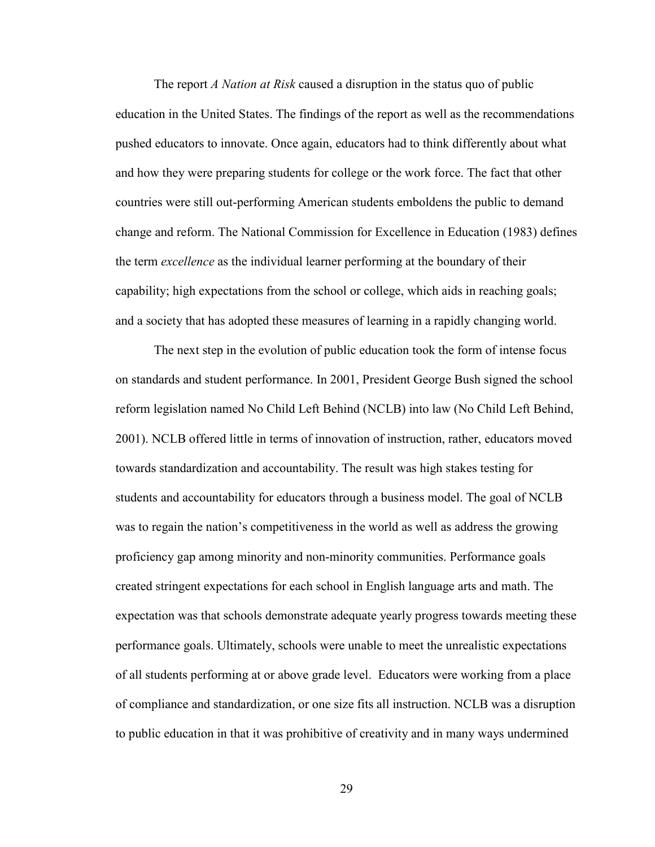The report *A Nation at Risk* caused a disruption in the status quo of public education in the United States. The findings of the report as well as the recommendations pushed educators to innovate. Once again, educators had to think differently about what and how they were preparing students for college or the work force. The fact that other countries were still out-performing American students emboldens the public to demand change and reform. The National Commission for Excellence in Education (1983) defines the term *excellence* as the individual learner performing at the boundary of their capability; high expectations from the school or college, which aids in reaching goals; and a society that has adopted these measures of learning in a rapidly changing world.

The next step in the evolution of public education took the form of intense focus on standards and student performance. In 2001, President George Bush signed the school reform legislation named No Child Left Behind (NCLB) into law (No Child Left Behind, 2001). NCLB offered little in terms of innovation of instruction, rather, educators moved towards standardization and accountability. The result was high stakes testing for students and accountability for educators through a business model. The goal of NCLB was to regain the nation's competitiveness in the world as well as address the growing proficiency gap among minority and non-minority communities. Performance goals created stringent expectations for each school in English language arts and math. The expectation was that schools demonstrate adequate yearly progress towards meeting these performance goals. Ultimately, schools were unable to meet the unrealistic expectations of all students performing at or above grade level. Educators were working from a place of compliance and standardization, or one size fits all instruction. NCLB was a disruption to public education in that it was prohibitive of creativity and in many ways undermined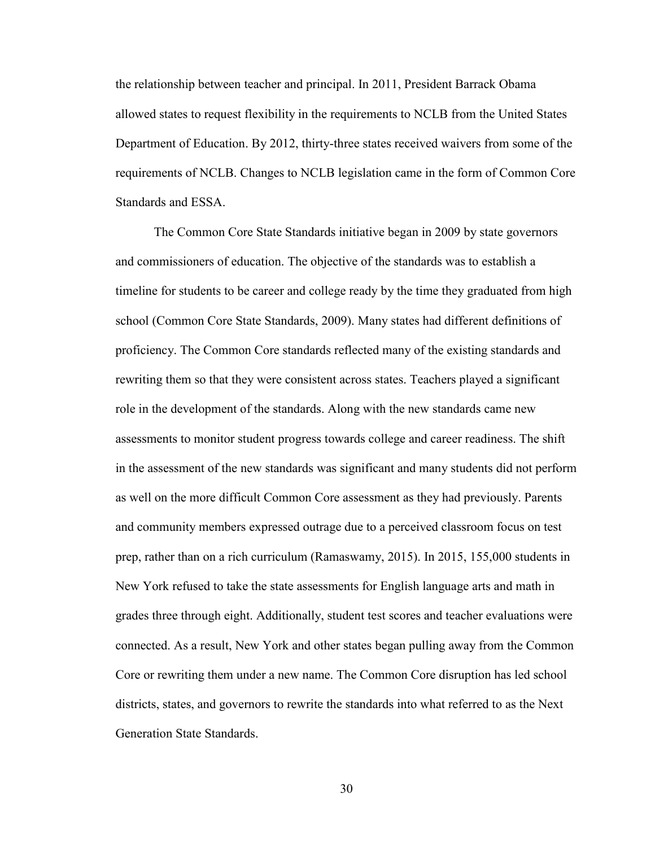the relationship between teacher and principal. In 2011, President Barrack Obama allowed states to request flexibility in the requirements to NCLB from the United States Department of Education. By 2012, thirty-three states received waivers from some of the requirements of NCLB. Changes to NCLB legislation came in the form of Common Core Standards and ESSA.

The Common Core State Standards initiative began in 2009 by state governors and commissioners of education. The objective of the standards was to establish a timeline for students to be career and college ready by the time they graduated from high school (Common Core State Standards, 2009). Many states had different definitions of proficiency. The Common Core standards reflected many of the existing standards and rewriting them so that they were consistent across states. Teachers played a significant role in the development of the standards. Along with the new standards came new assessments to monitor student progress towards college and career readiness. The shift in the assessment of the new standards was significant and many students did not perform as well on the more difficult Common Core assessment as they had previously. Parents and community members expressed outrage due to a perceived classroom focus on test prep, rather than on a rich curriculum (Ramaswamy, 2015). In 2015, 155,000 students in New York refused to take the state assessments for English language arts and math in grades three through eight. Additionally, student test scores and teacher evaluations were connected. As a result, New York and other states began pulling away from the Common Core or rewriting them under a new name. The Common Core disruption has led school districts, states, and governors to rewrite the standards into what referred to as the Next Generation State Standards.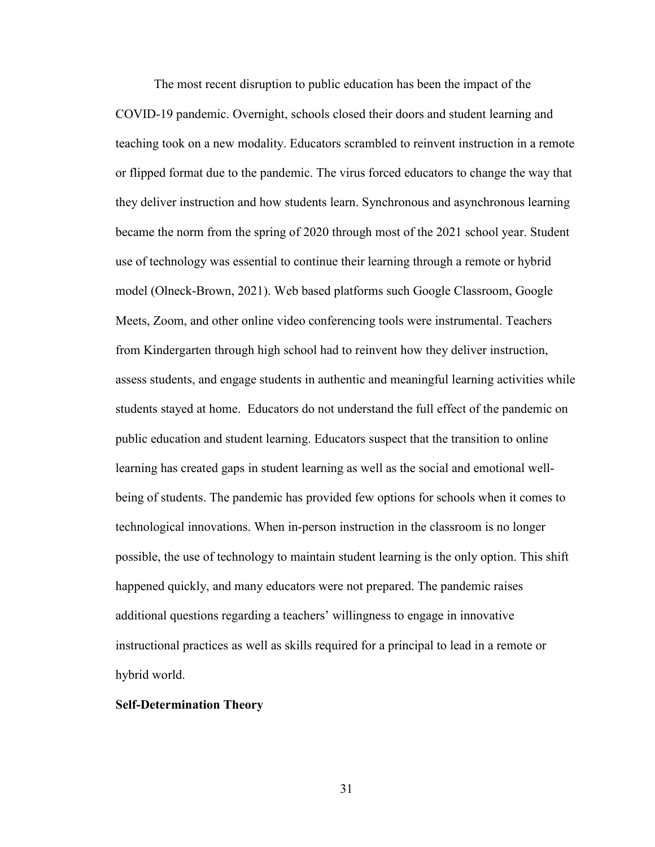The most recent disruption to public education has been the impact of the COVID-19 pandemic. Overnight, schools closed their doors and student learning and teaching took on a new modality. Educators scrambled to reinvent instruction in a remote or flipped format due to the pandemic. The virus forced educators to change the way that they deliver instruction and how students learn. Synchronous and asynchronous learning became the norm from the spring of 2020 through most of the 2021 school year. Student use of technology was essential to continue their learning through a remote or hybrid model (Olneck-Brown, 2021). Web based platforms such Google Classroom, Google Meets, Zoom, and other online video conferencing tools were instrumental. Teachers from Kindergarten through high school had to reinvent how they deliver instruction, assess students, and engage students in authentic and meaningful learning activities while students stayed at home. Educators do not understand the full effect of the pandemic on public education and student learning. Educators suspect that the transition to online learning has created gaps in student learning as well as the social and emotional wellbeing of students. The pandemic has provided few options for schools when it comes to technological innovations. When in-person instruction in the classroom is no longer possible, the use of technology to maintain student learning is the only option. This shift happened quickly, and many educators were not prepared. The pandemic raises additional questions regarding a teachers' willingness to engage in innovative instructional practices as well as skills required for a principal to lead in a remote or hybrid world.

### **Self-Determination Theory**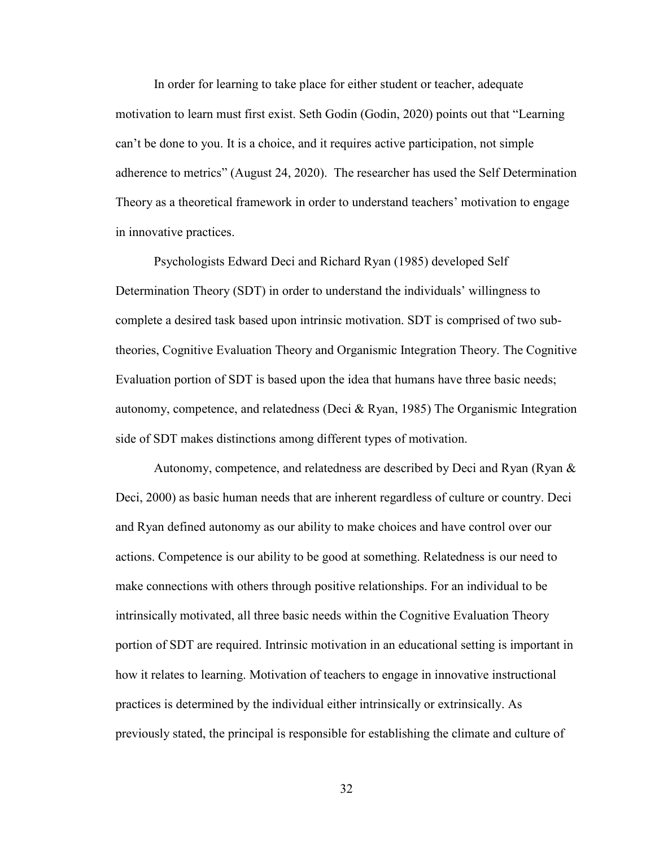In order for learning to take place for either student or teacher, adequate motivation to learn must first exist. Seth Godin (Godin, 2020) points out that "Learning can't be done to you. It is a choice, and it requires active participation, not simple adherence to metrics" (August 24, 2020). The researcher has used the Self Determination Theory as a theoretical framework in order to understand teachers' motivation to engage in innovative practices.

Psychologists Edward Deci and Richard Ryan (1985) developed Self Determination Theory (SDT) in order to understand the individuals' willingness to complete a desired task based upon intrinsic motivation. SDT is comprised of two subtheories, Cognitive Evaluation Theory and Organismic Integration Theory. The Cognitive Evaluation portion of SDT is based upon the idea that humans have three basic needs; autonomy, competence, and relatedness (Deci & Ryan, 1985) The Organismic Integration side of SDT makes distinctions among different types of motivation.

Autonomy, competence, and relatedness are described by Deci and Ryan (Ryan & Deci, 2000) as basic human needs that are inherent regardless of culture or country. Deci and Ryan defined autonomy as our ability to make choices and have control over our actions. Competence is our ability to be good at something. Relatedness is our need to make connections with others through positive relationships. For an individual to be intrinsically motivated, all three basic needs within the Cognitive Evaluation Theory portion of SDT are required. Intrinsic motivation in an educational setting is important in how it relates to learning. Motivation of teachers to engage in innovative instructional practices is determined by the individual either intrinsically or extrinsically. As previously stated, the principal is responsible for establishing the climate and culture of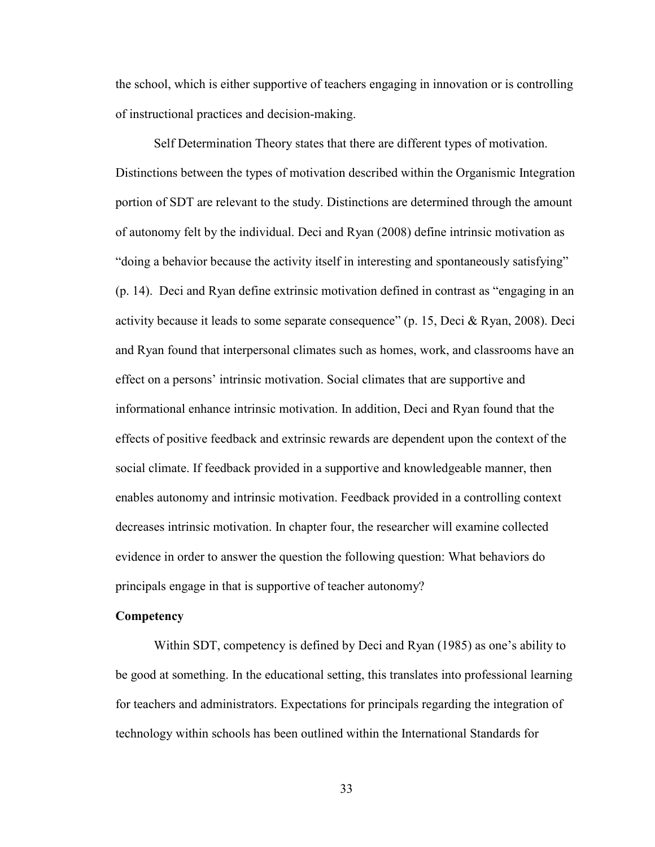the school, which is either supportive of teachers engaging in innovation or is controlling of instructional practices and decision-making.

Self Determination Theory states that there are different types of motivation. Distinctions between the types of motivation described within the Organismic Integration portion of SDT are relevant to the study. Distinctions are determined through the amount of autonomy felt by the individual. Deci and Ryan (2008) define intrinsic motivation as "doing a behavior because the activity itself in interesting and spontaneously satisfying" (p. 14). Deci and Ryan define extrinsic motivation defined in contrast as "engaging in an activity because it leads to some separate consequence" (p. 15, Deci & Ryan, 2008). Deci and Ryan found that interpersonal climates such as homes, work, and classrooms have an effect on a persons' intrinsic motivation. Social climates that are supportive and informational enhance intrinsic motivation. In addition, Deci and Ryan found that the effects of positive feedback and extrinsic rewards are dependent upon the context of the social climate. If feedback provided in a supportive and knowledgeable manner, then enables autonomy and intrinsic motivation. Feedback provided in a controlling context decreases intrinsic motivation. In chapter four, the researcher will examine collected evidence in order to answer the question the following question: What behaviors do principals engage in that is supportive of teacher autonomy?

#### **Competency**

Within SDT, competency is defined by Deci and Ryan (1985) as one's ability to be good at something. In the educational setting, this translates into professional learning for teachers and administrators. Expectations for principals regarding the integration of technology within schools has been outlined within the International Standards for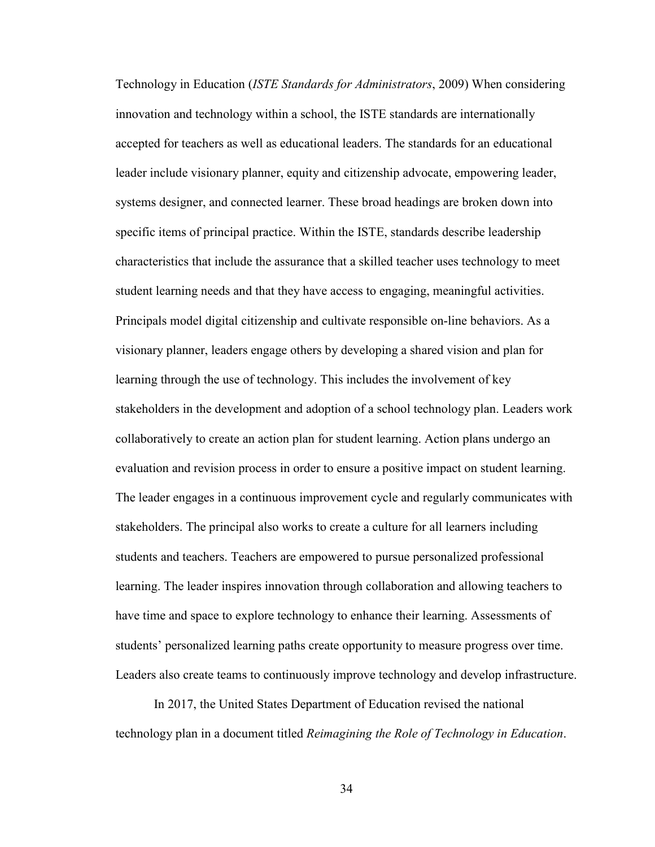Technology in Education (*ISTE Standards for Administrators*, 2009) When considering innovation and technology within a school, the ISTE standards are internationally accepted for teachers as well as educational leaders. The standards for an educational leader include visionary planner, equity and citizenship advocate, empowering leader, systems designer, and connected learner. These broad headings are broken down into specific items of principal practice. Within the ISTE, standards describe leadership characteristics that include the assurance that a skilled teacher uses technology to meet student learning needs and that they have access to engaging, meaningful activities. Principals model digital citizenship and cultivate responsible on-line behaviors. As a visionary planner, leaders engage others by developing a shared vision and plan for learning through the use of technology. This includes the involvement of key stakeholders in the development and adoption of a school technology plan. Leaders work collaboratively to create an action plan for student learning. Action plans undergo an evaluation and revision process in order to ensure a positive impact on student learning. The leader engages in a continuous improvement cycle and regularly communicates with stakeholders. The principal also works to create a culture for all learners including students and teachers. Teachers are empowered to pursue personalized professional learning. The leader inspires innovation through collaboration and allowing teachers to have time and space to explore technology to enhance their learning. Assessments of students' personalized learning paths create opportunity to measure progress over time. Leaders also create teams to continuously improve technology and develop infrastructure.

In 2017, the United States Department of Education revised the national technology plan in a document titled *Reimagining the Role of Technology in Education*.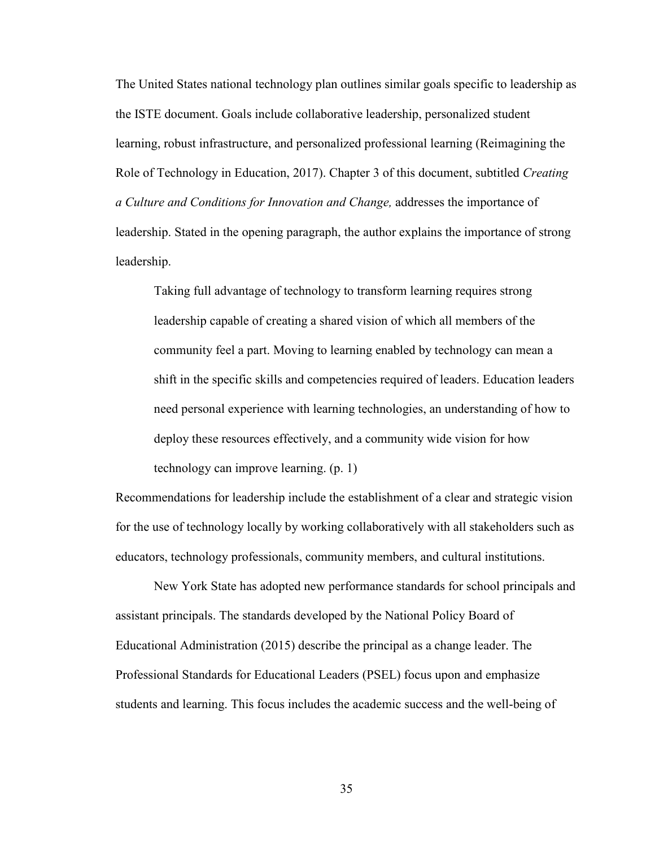The United States national technology plan outlines similar goals specific to leadership as the ISTE document. Goals include collaborative leadership, personalized student learning, robust infrastructure, and personalized professional learning (Reimagining the Role of Technology in Education, 2017). Chapter 3 of this document, subtitled *Creating a Culture and Conditions for Innovation and Change,* addresses the importance of leadership. Stated in the opening paragraph, the author explains the importance of strong leadership.

Taking full advantage of technology to transform learning requires strong leadership capable of creating a shared vision of which all members of the community feel a part. Moving to learning enabled by technology can mean a shift in the specific skills and competencies required of leaders. Education leaders need personal experience with learning technologies, an understanding of how to deploy these resources effectively, and a community wide vision for how technology can improve learning. (p. 1)

Recommendations for leadership include the establishment of a clear and strategic vision for the use of technology locally by working collaboratively with all stakeholders such as educators, technology professionals, community members, and cultural institutions.

 New York State has adopted new performance standards for school principals and assistant principals. The standards developed by the National Policy Board of Educational Administration (2015) describe the principal as a change leader. The Professional Standards for Educational Leaders (PSEL) focus upon and emphasize students and learning. This focus includes the academic success and the well-being of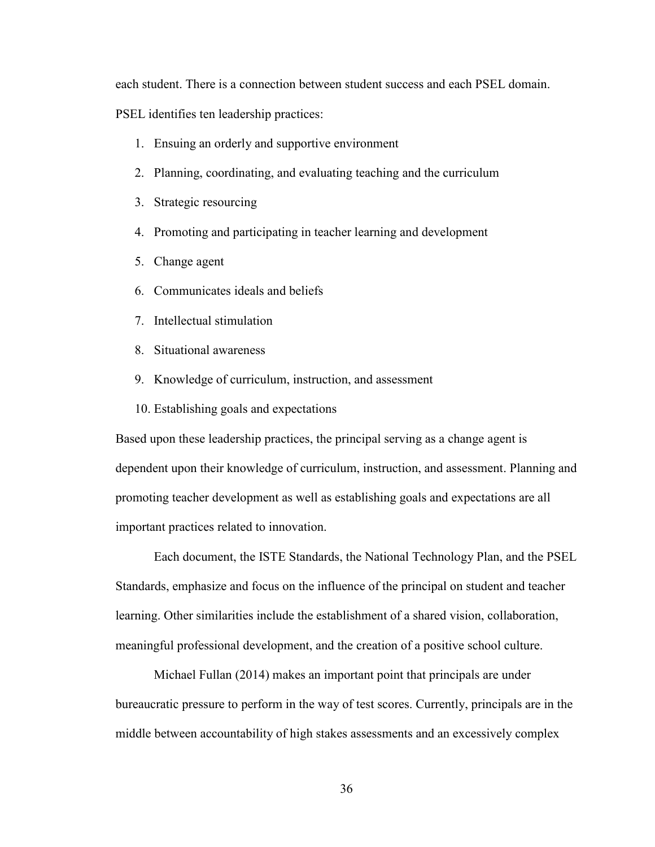each student. There is a connection between student success and each PSEL domain.

PSEL identifies ten leadership practices:

- 1. Ensuing an orderly and supportive environment
- 2. Planning, coordinating, and evaluating teaching and the curriculum
- 3. Strategic resourcing
- 4. Promoting and participating in teacher learning and development
- 5. Change agent
- 6. Communicates ideals and beliefs
- 7. Intellectual stimulation
- 8. Situational awareness
- 9. Knowledge of curriculum, instruction, and assessment
- 10. Establishing goals and expectations

Based upon these leadership practices, the principal serving as a change agent is dependent upon their knowledge of curriculum, instruction, and assessment. Planning and promoting teacher development as well as establishing goals and expectations are all important practices related to innovation.

Each document, the ISTE Standards, the National Technology Plan, and the PSEL Standards, emphasize and focus on the influence of the principal on student and teacher learning. Other similarities include the establishment of a shared vision, collaboration, meaningful professional development, and the creation of a positive school culture.

Michael Fullan (2014) makes an important point that principals are under bureaucratic pressure to perform in the way of test scores. Currently, principals are in the middle between accountability of high stakes assessments and an excessively complex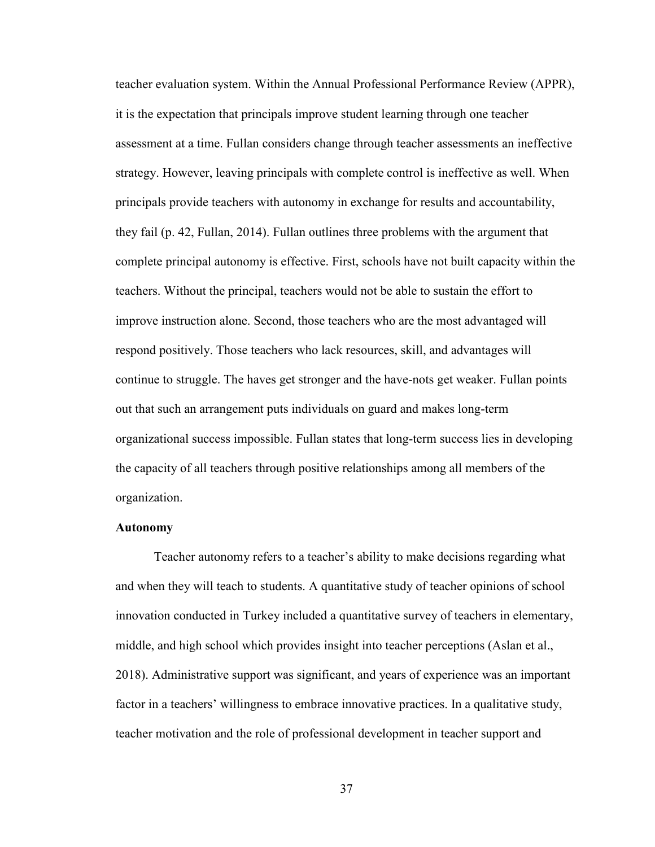teacher evaluation system. Within the Annual Professional Performance Review (APPR), it is the expectation that principals improve student learning through one teacher assessment at a time. Fullan considers change through teacher assessments an ineffective strategy. However, leaving principals with complete control is ineffective as well. When principals provide teachers with autonomy in exchange for results and accountability, they fail (p. 42, Fullan, 2014). Fullan outlines three problems with the argument that complete principal autonomy is effective. First, schools have not built capacity within the teachers. Without the principal, teachers would not be able to sustain the effort to improve instruction alone. Second, those teachers who are the most advantaged will respond positively. Those teachers who lack resources, skill, and advantages will continue to struggle. The haves get stronger and the have-nots get weaker. Fullan points out that such an arrangement puts individuals on guard and makes long-term organizational success impossible. Fullan states that long-term success lies in developing the capacity of all teachers through positive relationships among all members of the organization.

#### **Autonomy**

Teacher autonomy refers to a teacher's ability to make decisions regarding what and when they will teach to students. A quantitative study of teacher opinions of school innovation conducted in Turkey included a quantitative survey of teachers in elementary, middle, and high school which provides insight into teacher perceptions (Aslan et al., 2018). Administrative support was significant, and years of experience was an important factor in a teachers' willingness to embrace innovative practices. In a qualitative study, teacher motivation and the role of professional development in teacher support and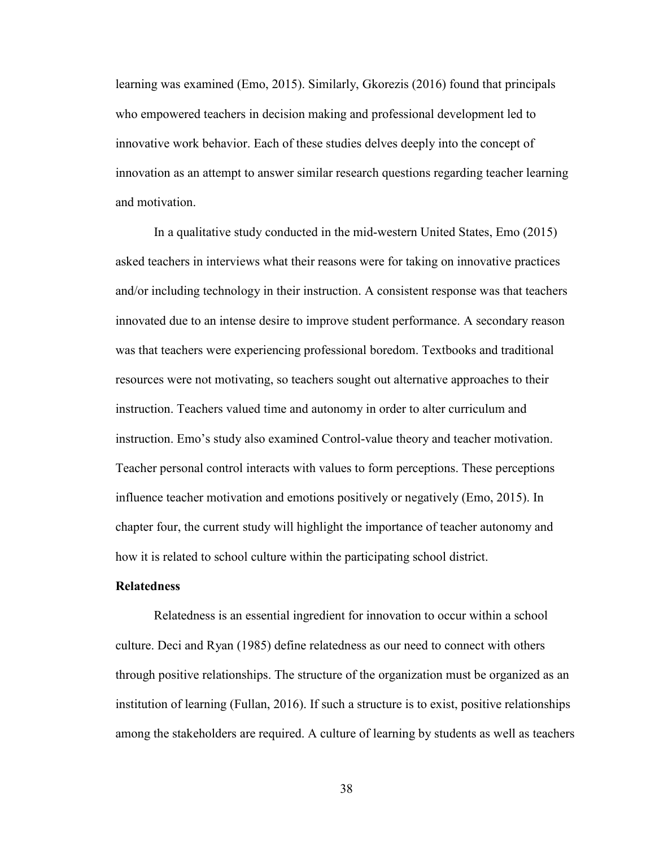learning was examined (Emo, 2015). Similarly, Gkorezis (2016) found that principals who empowered teachers in decision making and professional development led to innovative work behavior. Each of these studies delves deeply into the concept of innovation as an attempt to answer similar research questions regarding teacher learning and motivation.

In a qualitative study conducted in the mid-western United States, Emo (2015) asked teachers in interviews what their reasons were for taking on innovative practices and/or including technology in their instruction. A consistent response was that teachers innovated due to an intense desire to improve student performance. A secondary reason was that teachers were experiencing professional boredom. Textbooks and traditional resources were not motivating, so teachers sought out alternative approaches to their instruction. Teachers valued time and autonomy in order to alter curriculum and instruction. Emo's study also examined Control-value theory and teacher motivation. Teacher personal control interacts with values to form perceptions. These perceptions influence teacher motivation and emotions positively or negatively (Emo, 2015). In chapter four, the current study will highlight the importance of teacher autonomy and how it is related to school culture within the participating school district.

## **Relatedness**

Relatedness is an essential ingredient for innovation to occur within a school culture. Deci and Ryan (1985) define relatedness as our need to connect with others through positive relationships. The structure of the organization must be organized as an institution of learning (Fullan, 2016). If such a structure is to exist, positive relationships among the stakeholders are required. A culture of learning by students as well as teachers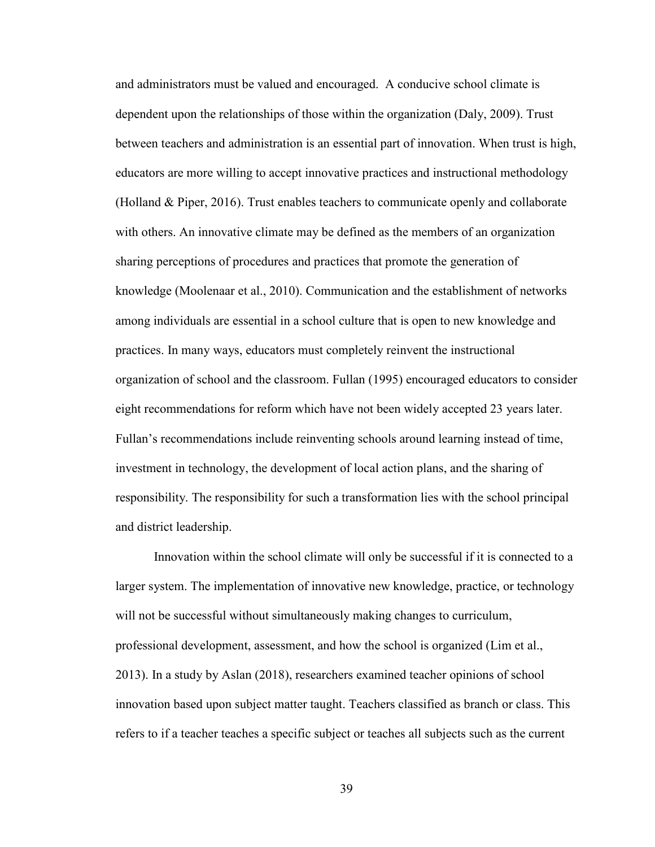and administrators must be valued and encouraged. A conducive school climate is dependent upon the relationships of those within the organization (Daly, 2009). Trust between teachers and administration is an essential part of innovation. When trust is high, educators are more willing to accept innovative practices and instructional methodology (Holland & Piper, 2016). Trust enables teachers to communicate openly and collaborate with others. An innovative climate may be defined as the members of an organization sharing perceptions of procedures and practices that promote the generation of knowledge (Moolenaar et al., 2010). Communication and the establishment of networks among individuals are essential in a school culture that is open to new knowledge and practices. In many ways, educators must completely reinvent the instructional organization of school and the classroom. Fullan (1995) encouraged educators to consider eight recommendations for reform which have not been widely accepted 23 years later. Fullan's recommendations include reinventing schools around learning instead of time, investment in technology, the development of local action plans, and the sharing of responsibility. The responsibility for such a transformation lies with the school principal and district leadership.

Innovation within the school climate will only be successful if it is connected to a larger system. The implementation of innovative new knowledge, practice, or technology will not be successful without simultaneously making changes to curriculum, professional development, assessment, and how the school is organized (Lim et al., 2013). In a study by Aslan (2018), researchers examined teacher opinions of school innovation based upon subject matter taught. Teachers classified as branch or class. This refers to if a teacher teaches a specific subject or teaches all subjects such as the current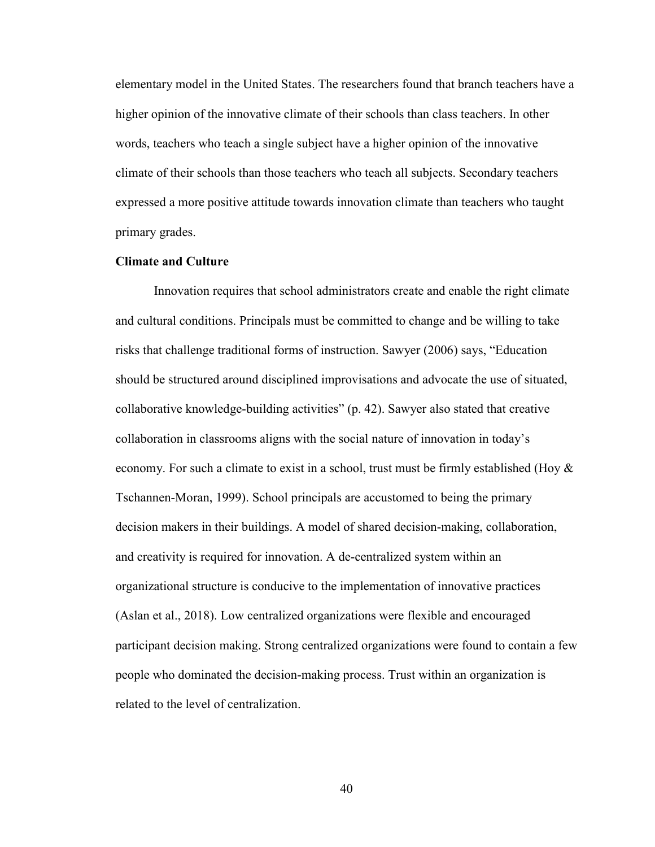elementary model in the United States. The researchers found that branch teachers have a higher opinion of the innovative climate of their schools than class teachers. In other words, teachers who teach a single subject have a higher opinion of the innovative climate of their schools than those teachers who teach all subjects. Secondary teachers expressed a more positive attitude towards innovation climate than teachers who taught primary grades.

### **Climate and Culture**

Innovation requires that school administrators create and enable the right climate and cultural conditions. Principals must be committed to change and be willing to take risks that challenge traditional forms of instruction. Sawyer (2006) says, "Education should be structured around disciplined improvisations and advocate the use of situated, collaborative knowledge-building activities" (p. 42). Sawyer also stated that creative collaboration in classrooms aligns with the social nature of innovation in today's economy. For such a climate to exist in a school, trust must be firmly established (Hoy  $\&$ Tschannen-Moran, 1999). School principals are accustomed to being the primary decision makers in their buildings. A model of shared decision-making, collaboration, and creativity is required for innovation. A de-centralized system within an organizational structure is conducive to the implementation of innovative practices (Aslan et al., 2018). Low centralized organizations were flexible and encouraged participant decision making. Strong centralized organizations were found to contain a few people who dominated the decision-making process. Trust within an organization is related to the level of centralization.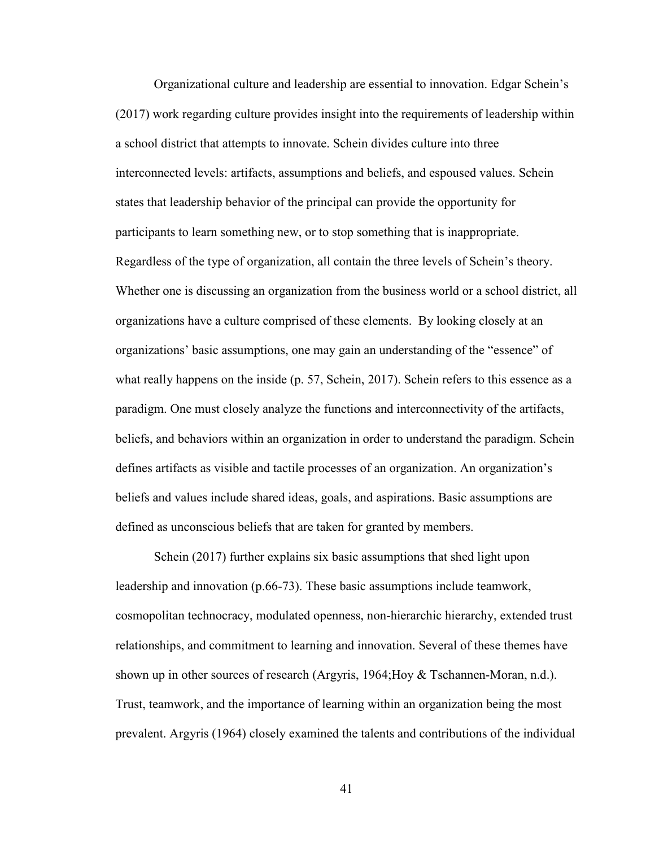Organizational culture and leadership are essential to innovation. Edgar Schein's (2017) work regarding culture provides insight into the requirements of leadership within a school district that attempts to innovate. Schein divides culture into three interconnected levels: artifacts, assumptions and beliefs, and espoused values. Schein states that leadership behavior of the principal can provide the opportunity for participants to learn something new, or to stop something that is inappropriate. Regardless of the type of organization, all contain the three levels of Schein's theory. Whether one is discussing an organization from the business world or a school district, all organizations have a culture comprised of these elements. By looking closely at an organizations' basic assumptions, one may gain an understanding of the "essence" of what really happens on the inside (p. 57, Schein, 2017). Schein refers to this essence as a paradigm. One must closely analyze the functions and interconnectivity of the artifacts, beliefs, and behaviors within an organization in order to understand the paradigm. Schein defines artifacts as visible and tactile processes of an organization. An organization's beliefs and values include shared ideas, goals, and aspirations. Basic assumptions are defined as unconscious beliefs that are taken for granted by members.

Schein (2017) further explains six basic assumptions that shed light upon leadership and innovation (p.66-73). These basic assumptions include teamwork, cosmopolitan technocracy, modulated openness, non-hierarchic hierarchy, extended trust relationships, and commitment to learning and innovation. Several of these themes have shown up in other sources of research (Argyris, 1964;Hoy & Tschannen-Moran, n.d.). Trust, teamwork, and the importance of learning within an organization being the most prevalent. Argyris (1964) closely examined the talents and contributions of the individual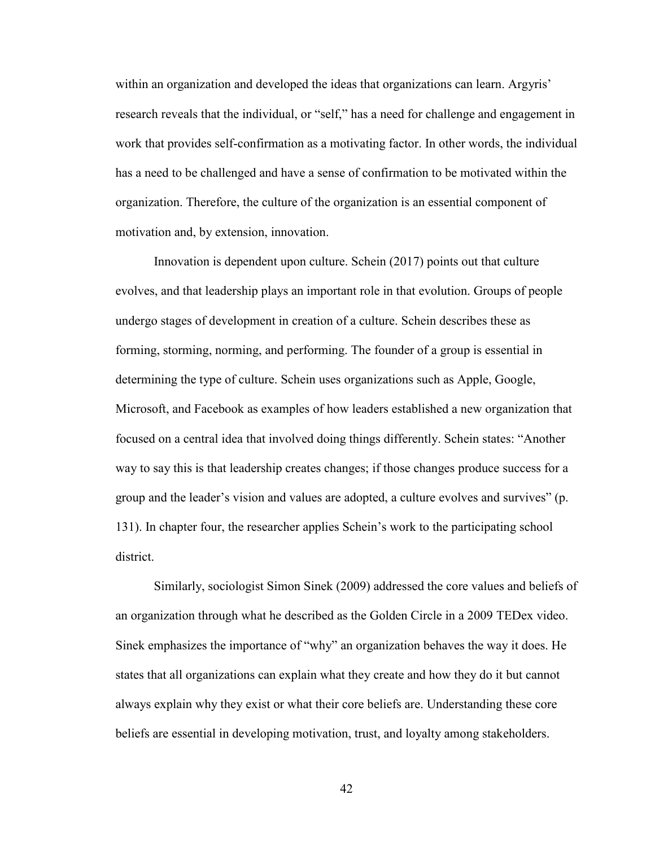within an organization and developed the ideas that organizations can learn. Argyris' research reveals that the individual, or "self," has a need for challenge and engagement in work that provides self-confirmation as a motivating factor. In other words, the individual has a need to be challenged and have a sense of confirmation to be motivated within the organization. Therefore, the culture of the organization is an essential component of motivation and, by extension, innovation.

Innovation is dependent upon culture. Schein (2017) points out that culture evolves, and that leadership plays an important role in that evolution. Groups of people undergo stages of development in creation of a culture. Schein describes these as forming, storming, norming, and performing. The founder of a group is essential in determining the type of culture. Schein uses organizations such as Apple, Google, Microsoft, and Facebook as examples of how leaders established a new organization that focused on a central idea that involved doing things differently. Schein states: "Another way to say this is that leadership creates changes; if those changes produce success for a group and the leader's vision and values are adopted, a culture evolves and survives" (p. 131). In chapter four, the researcher applies Schein's work to the participating school district.

Similarly, sociologist Simon Sinek (2009) addressed the core values and beliefs of an organization through what he described as the Golden Circle in a 2009 TEDex video. Sinek emphasizes the importance of "why" an organization behaves the way it does. He states that all organizations can explain what they create and how they do it but cannot always explain why they exist or what their core beliefs are. Understanding these core beliefs are essential in developing motivation, trust, and loyalty among stakeholders.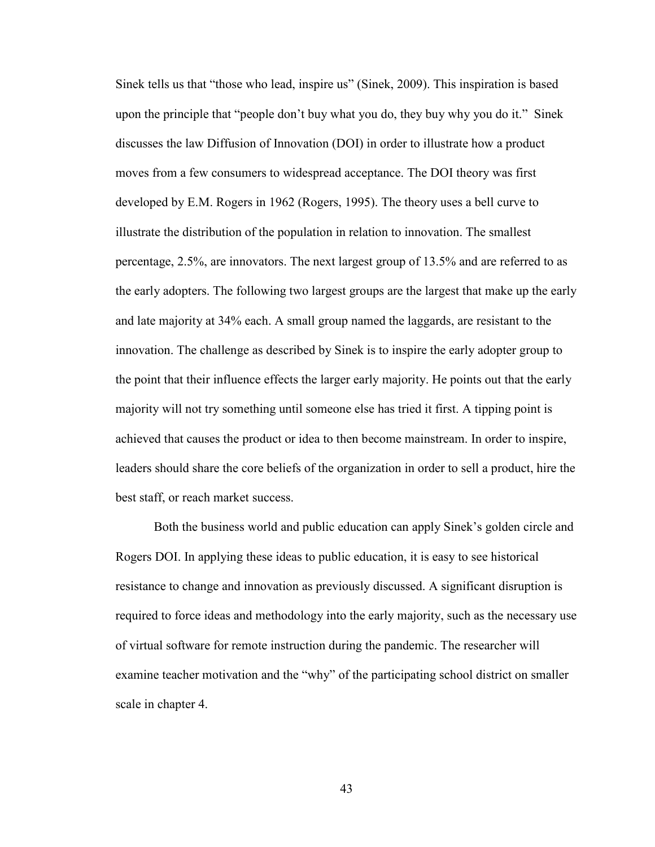Sinek tells us that "those who lead, inspire us" (Sinek, 2009). This inspiration is based upon the principle that "people don't buy what you do, they buy why you do it." Sinek discusses the law Diffusion of Innovation (DOI) in order to illustrate how a product moves from a few consumers to widespread acceptance. The DOI theory was first developed by E.M. Rogers in 1962 (Rogers, 1995). The theory uses a bell curve to illustrate the distribution of the population in relation to innovation. The smallest percentage, 2.5%, are innovators. The next largest group of 13.5% and are referred to as the early adopters. The following two largest groups are the largest that make up the early and late majority at 34% each. A small group named the laggards, are resistant to the innovation. The challenge as described by Sinek is to inspire the early adopter group to the point that their influence effects the larger early majority. He points out that the early majority will not try something until someone else has tried it first. A tipping point is achieved that causes the product or idea to then become mainstream. In order to inspire, leaders should share the core beliefs of the organization in order to sell a product, hire the best staff, or reach market success.

Both the business world and public education can apply Sinek's golden circle and Rogers DOI. In applying these ideas to public education, it is easy to see historical resistance to change and innovation as previously discussed. A significant disruption is required to force ideas and methodology into the early majority, such as the necessary use of virtual software for remote instruction during the pandemic. The researcher will examine teacher motivation and the "why" of the participating school district on smaller scale in chapter 4.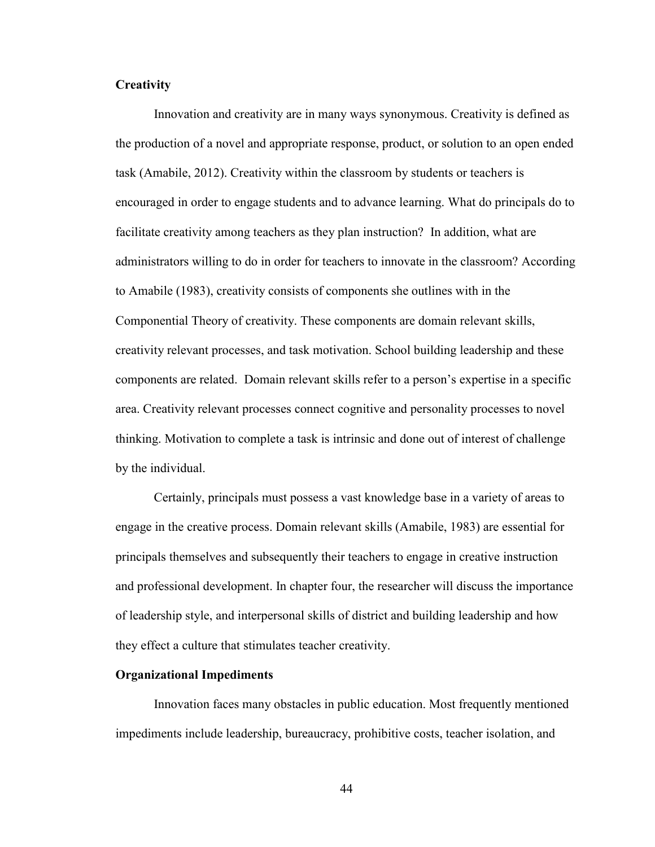## **Creativity**

Innovation and creativity are in many ways synonymous. Creativity is defined as the production of a novel and appropriate response, product, or solution to an open ended task (Amabile, 2012). Creativity within the classroom by students or teachers is encouraged in order to engage students and to advance learning. What do principals do to facilitate creativity among teachers as they plan instruction? In addition, what are administrators willing to do in order for teachers to innovate in the classroom? According to Amabile (1983), creativity consists of components she outlines with in the Componential Theory of creativity. These components are domain relevant skills, creativity relevant processes, and task motivation. School building leadership and these components are related. Domain relevant skills refer to a person's expertise in a specific area. Creativity relevant processes connect cognitive and personality processes to novel thinking. Motivation to complete a task is intrinsic and done out of interest of challenge by the individual.

Certainly, principals must possess a vast knowledge base in a variety of areas to engage in the creative process. Domain relevant skills (Amabile, 1983) are essential for principals themselves and subsequently their teachers to engage in creative instruction and professional development. In chapter four, the researcher will discuss the importance of leadership style, and interpersonal skills of district and building leadership and how they effect a culture that stimulates teacher creativity.

#### **Organizational Impediments**

Innovation faces many obstacles in public education. Most frequently mentioned impediments include leadership, bureaucracy, prohibitive costs, teacher isolation, and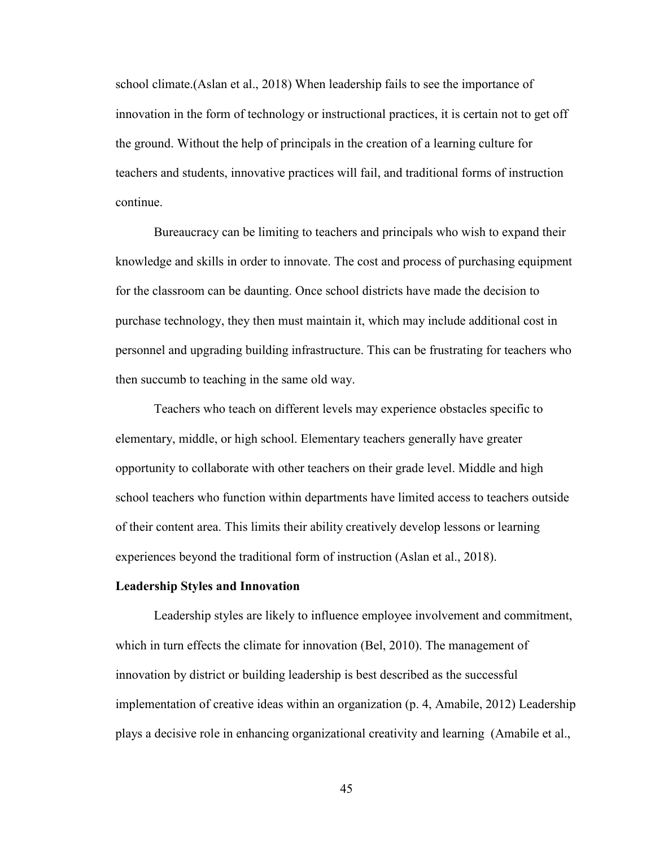school climate.(Aslan et al., 2018) When leadership fails to see the importance of innovation in the form of technology or instructional practices, it is certain not to get off the ground. Without the help of principals in the creation of a learning culture for teachers and students, innovative practices will fail, and traditional forms of instruction continue.

Bureaucracy can be limiting to teachers and principals who wish to expand their knowledge and skills in order to innovate. The cost and process of purchasing equipment for the classroom can be daunting. Once school districts have made the decision to purchase technology, they then must maintain it, which may include additional cost in personnel and upgrading building infrastructure. This can be frustrating for teachers who then succumb to teaching in the same old way.

Teachers who teach on different levels may experience obstacles specific to elementary, middle, or high school. Elementary teachers generally have greater opportunity to collaborate with other teachers on their grade level. Middle and high school teachers who function within departments have limited access to teachers outside of their content area. This limits their ability creatively develop lessons or learning experiences beyond the traditional form of instruction (Aslan et al., 2018).

#### **Leadership Styles and Innovation**

Leadership styles are likely to influence employee involvement and commitment, which in turn effects the climate for innovation (Bel, 2010). The management of innovation by district or building leadership is best described as the successful implementation of creative ideas within an organization (p. 4, Amabile, 2012) Leadership plays a decisive role in enhancing organizational creativity and learning (Amabile et al.,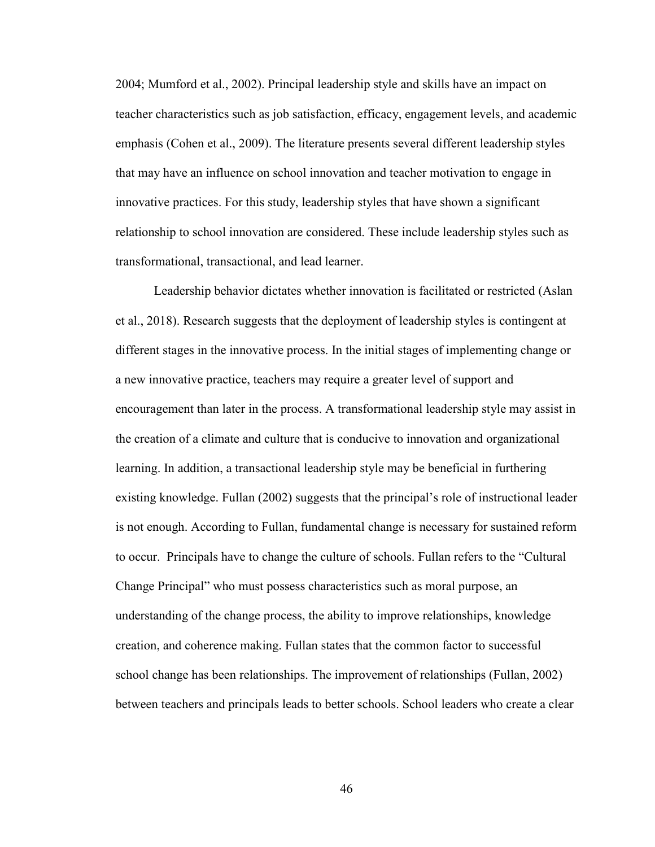2004; Mumford et al., 2002). Principal leadership style and skills have an impact on teacher characteristics such as job satisfaction, efficacy, engagement levels, and academic emphasis (Cohen et al., 2009). The literature presents several different leadership styles that may have an influence on school innovation and teacher motivation to engage in innovative practices. For this study, leadership styles that have shown a significant relationship to school innovation are considered. These include leadership styles such as transformational, transactional, and lead learner.

Leadership behavior dictates whether innovation is facilitated or restricted (Aslan et al., 2018). Research suggests that the deployment of leadership styles is contingent at different stages in the innovative process. In the initial stages of implementing change or a new innovative practice, teachers may require a greater level of support and encouragement than later in the process. A transformational leadership style may assist in the creation of a climate and culture that is conducive to innovation and organizational learning. In addition, a transactional leadership style may be beneficial in furthering existing knowledge. Fullan (2002) suggests that the principal's role of instructional leader is not enough. According to Fullan, fundamental change is necessary for sustained reform to occur. Principals have to change the culture of schools. Fullan refers to the "Cultural Change Principal" who must possess characteristics such as moral purpose, an understanding of the change process, the ability to improve relationships, knowledge creation, and coherence making. Fullan states that the common factor to successful school change has been relationships. The improvement of relationships (Fullan, 2002) between teachers and principals leads to better schools. School leaders who create a clear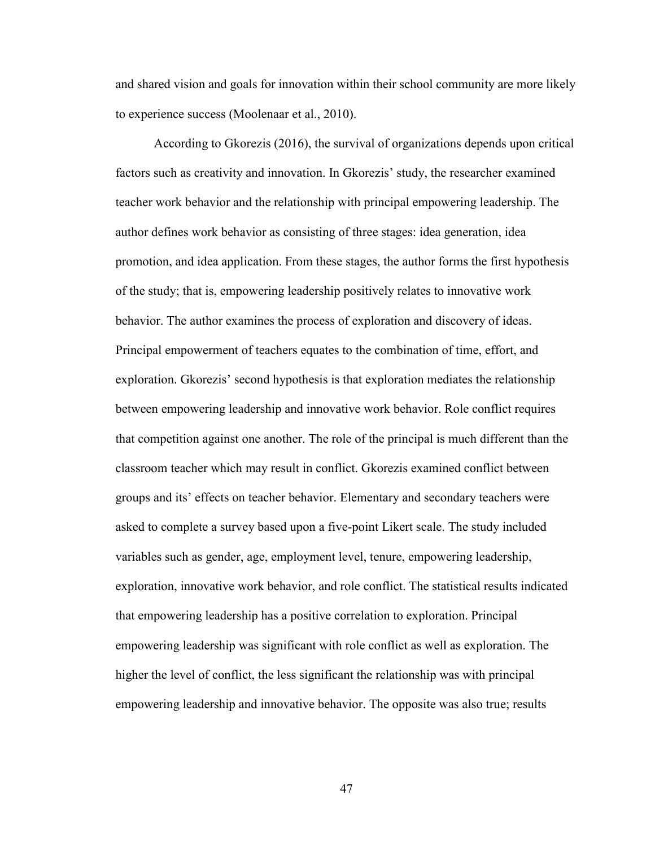and shared vision and goals for innovation within their school community are more likely to experience success (Moolenaar et al., 2010).

According to Gkorezis (2016), the survival of organizations depends upon critical factors such as creativity and innovation. In Gkorezis' study, the researcher examined teacher work behavior and the relationship with principal empowering leadership. The author defines work behavior as consisting of three stages: idea generation, idea promotion, and idea application. From these stages, the author forms the first hypothesis of the study; that is, empowering leadership positively relates to innovative work behavior. The author examines the process of exploration and discovery of ideas. Principal empowerment of teachers equates to the combination of time, effort, and exploration. Gkorezis' second hypothesis is that exploration mediates the relationship between empowering leadership and innovative work behavior. Role conflict requires that competition against one another. The role of the principal is much different than the classroom teacher which may result in conflict. Gkorezis examined conflict between groups and its' effects on teacher behavior. Elementary and secondary teachers were asked to complete a survey based upon a five-point Likert scale. The study included variables such as gender, age, employment level, tenure, empowering leadership, exploration, innovative work behavior, and role conflict. The statistical results indicated that empowering leadership has a positive correlation to exploration. Principal empowering leadership was significant with role conflict as well as exploration. The higher the level of conflict, the less significant the relationship was with principal empowering leadership and innovative behavior. The opposite was also true; results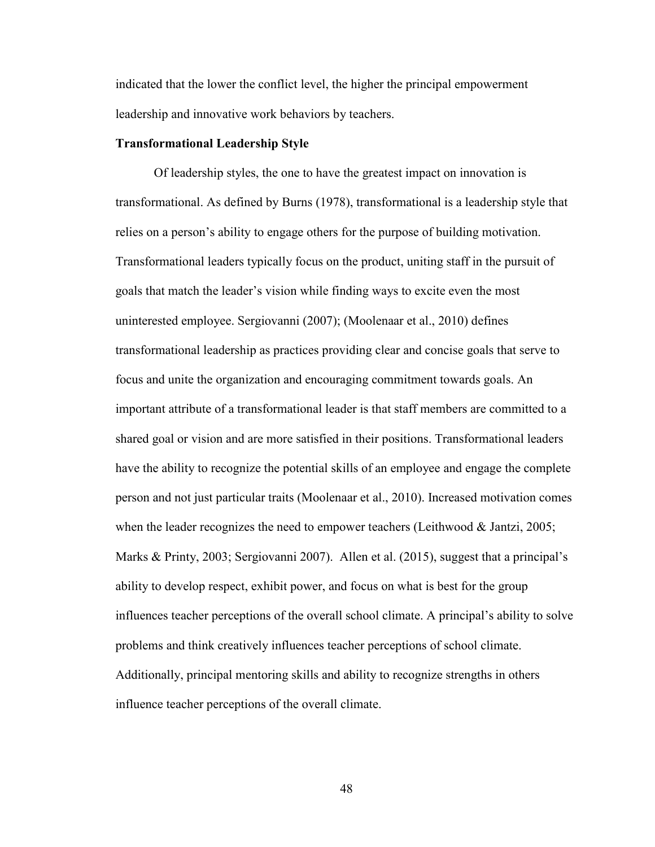indicated that the lower the conflict level, the higher the principal empowerment leadership and innovative work behaviors by teachers.

### **Transformational Leadership Style**

Of leadership styles, the one to have the greatest impact on innovation is transformational. As defined by Burns (1978), transformational is a leadership style that relies on a person's ability to engage others for the purpose of building motivation. Transformational leaders typically focus on the product, uniting staff in the pursuit of goals that match the leader's vision while finding ways to excite even the most uninterested employee. Sergiovanni (2007); (Moolenaar et al., 2010) defines transformational leadership as practices providing clear and concise goals that serve to focus and unite the organization and encouraging commitment towards goals. An important attribute of a transformational leader is that staff members are committed to a shared goal or vision and are more satisfied in their positions. Transformational leaders have the ability to recognize the potential skills of an employee and engage the complete person and not just particular traits (Moolenaar et al., 2010). Increased motivation comes when the leader recognizes the need to empower teachers (Leithwood & Jantzi, 2005; Marks & Printy, 2003; Sergiovanni 2007). Allen et al. (2015), suggest that a principal's ability to develop respect, exhibit power, and focus on what is best for the group influences teacher perceptions of the overall school climate. A principal's ability to solve problems and think creatively influences teacher perceptions of school climate. Additionally, principal mentoring skills and ability to recognize strengths in others influence teacher perceptions of the overall climate.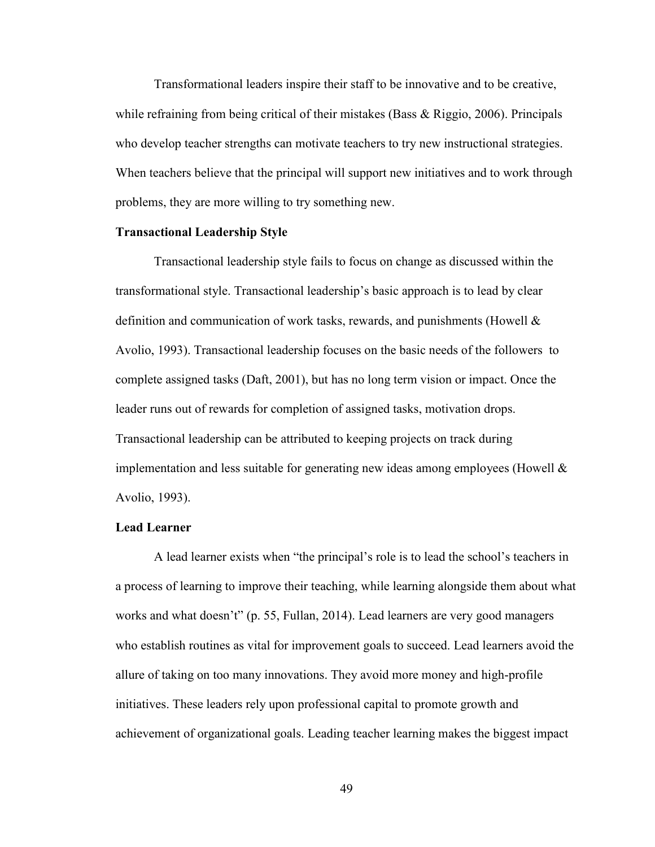Transformational leaders inspire their staff to be innovative and to be creative, while refraining from being critical of their mistakes (Bass & Riggio, 2006). Principals who develop teacher strengths can motivate teachers to try new instructional strategies. When teachers believe that the principal will support new initiatives and to work through problems, they are more willing to try something new.

### **Transactional Leadership Style**

Transactional leadership style fails to focus on change as discussed within the transformational style. Transactional leadership's basic approach is to lead by clear definition and communication of work tasks, rewards, and punishments (Howell & Avolio, 1993). Transactional leadership focuses on the basic needs of the followers to complete assigned tasks (Daft, 2001), but has no long term vision or impact. Once the leader runs out of rewards for completion of assigned tasks, motivation drops. Transactional leadership can be attributed to keeping projects on track during implementation and less suitable for generating new ideas among employees (Howell  $\&$ Avolio, 1993).

#### **Lead Learner**

A lead learner exists when "the principal's role is to lead the school's teachers in a process of learning to improve their teaching, while learning alongside them about what works and what doesn't" (p. 55, Fullan, 2014). Lead learners are very good managers who establish routines as vital for improvement goals to succeed. Lead learners avoid the allure of taking on too many innovations. They avoid more money and high-profile initiatives. These leaders rely upon professional capital to promote growth and achievement of organizational goals. Leading teacher learning makes the biggest impact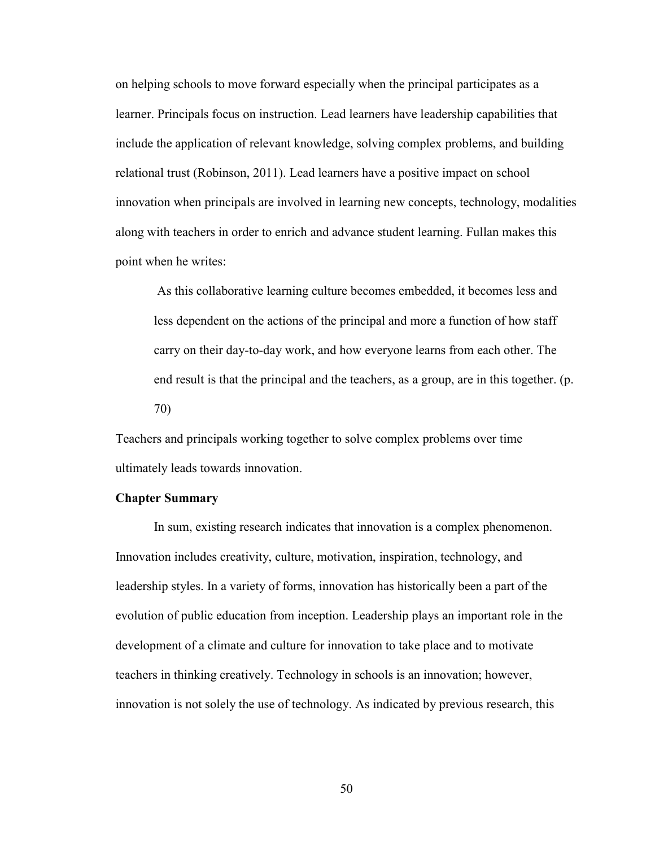on helping schools to move forward especially when the principal participates as a learner. Principals focus on instruction. Lead learners have leadership capabilities that include the application of relevant knowledge, solving complex problems, and building relational trust (Robinson, 2011). Lead learners have a positive impact on school innovation when principals are involved in learning new concepts, technology, modalities along with teachers in order to enrich and advance student learning. Fullan makes this point when he writes:

 As this collaborative learning culture becomes embedded, it becomes less and less dependent on the actions of the principal and more a function of how staff carry on their day-to-day work, and how everyone learns from each other. The end result is that the principal and the teachers, as a group, are in this together. (p. 70)

Teachers and principals working together to solve complex problems over time ultimately leads towards innovation.

#### **Chapter Summary**

In sum, existing research indicates that innovation is a complex phenomenon. Innovation includes creativity, culture, motivation, inspiration, technology, and leadership styles. In a variety of forms, innovation has historically been a part of the evolution of public education from inception. Leadership plays an important role in the development of a climate and culture for innovation to take place and to motivate teachers in thinking creatively. Technology in schools is an innovation; however, innovation is not solely the use of technology. As indicated by previous research, this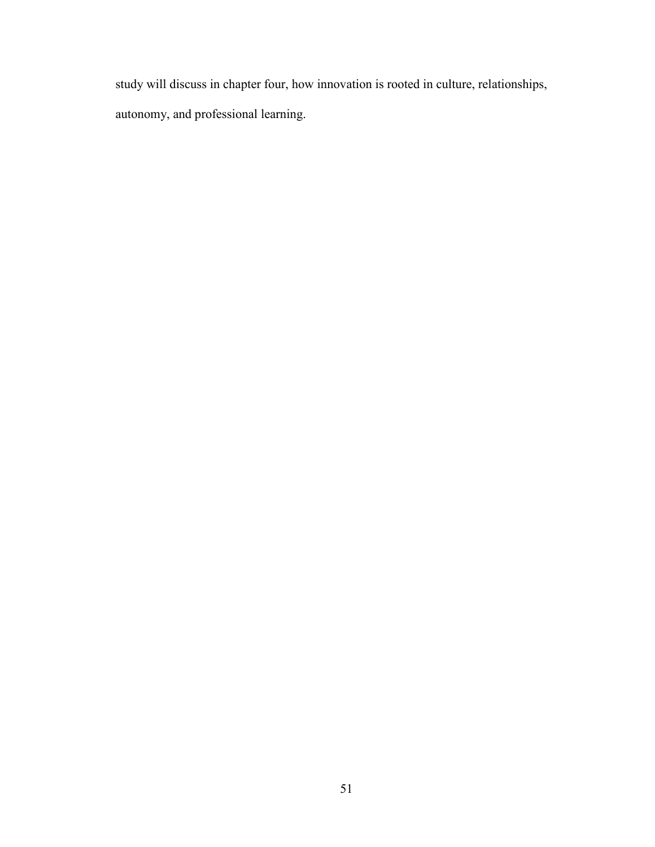study will discuss in chapter four, how innovation is rooted in culture, relationships, autonomy, and professional learning.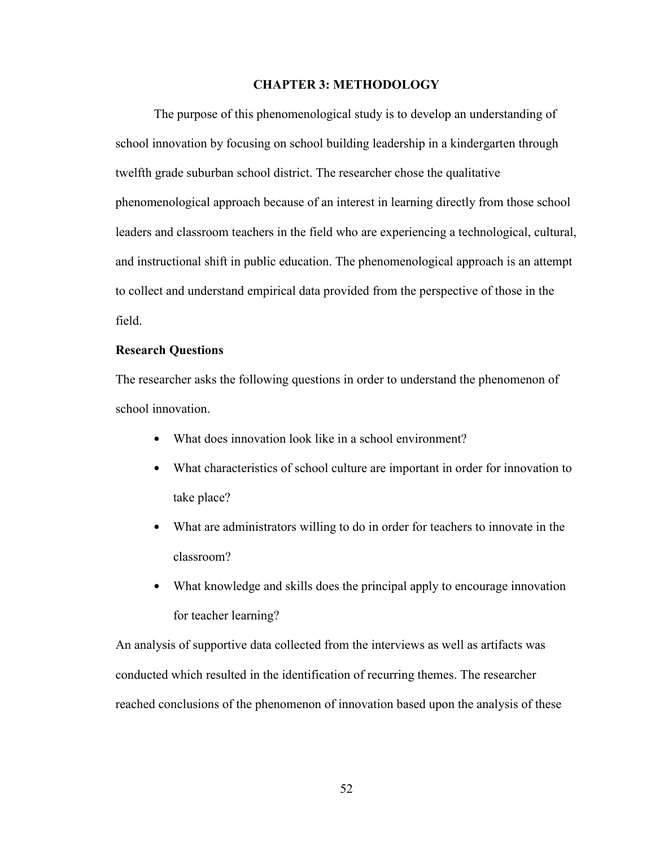### **CHAPTER 3: METHODOLOGY**

The purpose of this phenomenological study is to develop an understanding of school innovation by focusing on school building leadership in a kindergarten through twelfth grade suburban school district. The researcher chose the qualitative phenomenological approach because of an interest in learning directly from those school leaders and classroom teachers in the field who are experiencing a technological, cultural, and instructional shift in public education. The phenomenological approach is an attempt to collect and understand empirical data provided from the perspective of those in the field.

#### **Research Questions**

The researcher asks the following questions in order to understand the phenomenon of school innovation.

- What does innovation look like in a school environment?
- What characteristics of school culture are important in order for innovation to take place?
- What are administrators willing to do in order for teachers to innovate in the classroom?
- What knowledge and skills does the principal apply to encourage innovation for teacher learning?

An analysis of supportive data collected from the interviews as well as artifacts was conducted which resulted in the identification of recurring themes. The researcher reached conclusions of the phenomenon of innovation based upon the analysis of these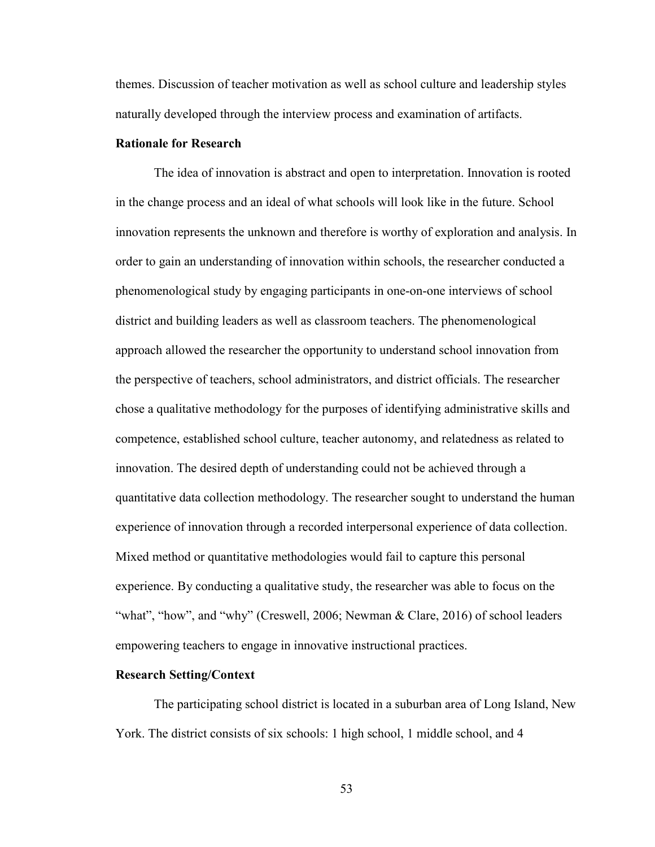themes. Discussion of teacher motivation as well as school culture and leadership styles naturally developed through the interview process and examination of artifacts.

### **Rationale for Research**

The idea of innovation is abstract and open to interpretation. Innovation is rooted in the change process and an ideal of what schools will look like in the future. School innovation represents the unknown and therefore is worthy of exploration and analysis. In order to gain an understanding of innovation within schools, the researcher conducted a phenomenological study by engaging participants in one-on-one interviews of school district and building leaders as well as classroom teachers. The phenomenological approach allowed the researcher the opportunity to understand school innovation from the perspective of teachers, school administrators, and district officials. The researcher chose a qualitative methodology for the purposes of identifying administrative skills and competence, established school culture, teacher autonomy, and relatedness as related to innovation. The desired depth of understanding could not be achieved through a quantitative data collection methodology. The researcher sought to understand the human experience of innovation through a recorded interpersonal experience of data collection. Mixed method or quantitative methodologies would fail to capture this personal experience. By conducting a qualitative study, the researcher was able to focus on the "what", "how", and "why" (Creswell, 2006; Newman & Clare, 2016) of school leaders empowering teachers to engage in innovative instructional practices.

### **Research Setting/Context**

The participating school district is located in a suburban area of Long Island, New York. The district consists of six schools: 1 high school, 1 middle school, and 4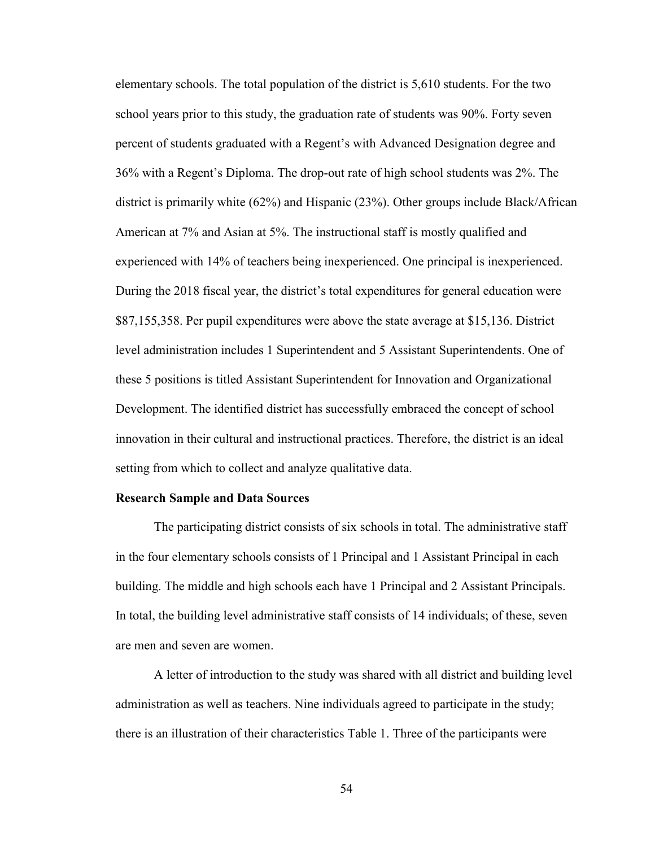elementary schools. The total population of the district is 5,610 students. For the two school years prior to this study, the graduation rate of students was 90%. Forty seven percent of students graduated with a Regent's with Advanced Designation degree and 36% with a Regent's Diploma. The drop-out rate of high school students was 2%. The district is primarily white (62%) and Hispanic (23%). Other groups include Black/African American at 7% and Asian at 5%. The instructional staff is mostly qualified and experienced with 14% of teachers being inexperienced. One principal is inexperienced. During the 2018 fiscal year, the district's total expenditures for general education were \$87,155,358. Per pupil expenditures were above the state average at \$15,136. District level administration includes 1 Superintendent and 5 Assistant Superintendents. One of these 5 positions is titled Assistant Superintendent for Innovation and Organizational Development. The identified district has successfully embraced the concept of school innovation in their cultural and instructional practices. Therefore, the district is an ideal setting from which to collect and analyze qualitative data.

### **Research Sample and Data Sources**

The participating district consists of six schools in total. The administrative staff in the four elementary schools consists of 1 Principal and 1 Assistant Principal in each building. The middle and high schools each have 1 Principal and 2 Assistant Principals. In total, the building level administrative staff consists of 14 individuals; of these, seven are men and seven are women.

 A letter of introduction to the study was shared with all district and building level administration as well as teachers. Nine individuals agreed to participate in the study; there is an illustration of their characteristics Table 1. Three of the participants were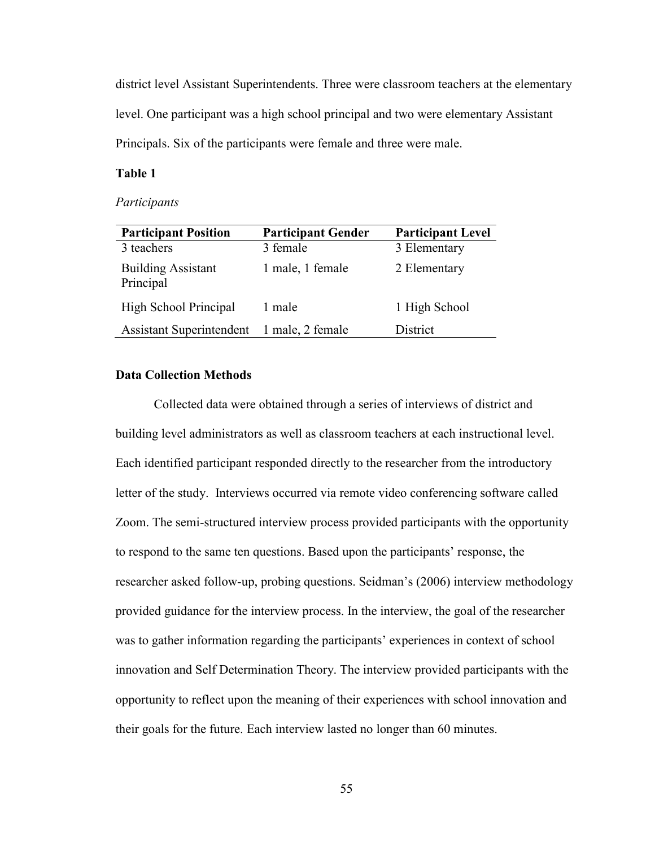district level Assistant Superintendents. Three were classroom teachers at the elementary level. One participant was a high school principal and two were elementary Assistant Principals. Six of the participants were female and three were male.

# **Table 1**

#### *Participants*

| <b>Participant Position</b>               | <b>Participant Gender</b> | <b>Participant Level</b> |
|-------------------------------------------|---------------------------|--------------------------|
| 3 teachers                                | 3 female                  | 3 Elementary             |
| <b>Building Assistant</b><br>Principal    | 1 male, 1 female          | 2 Elementary             |
| High School Principal                     | 1 male                    | 1 High School            |
| Assistant Superintendent 1 male, 2 female |                           | District                 |

### **Data Collection Methods**

Collected data were obtained through a series of interviews of district and building level administrators as well as classroom teachers at each instructional level. Each identified participant responded directly to the researcher from the introductory letter of the study. Interviews occurred via remote video conferencing software called Zoom. The semi-structured interview process provided participants with the opportunity to respond to the same ten questions. Based upon the participants' response, the researcher asked follow-up, probing questions. Seidman's (2006) interview methodology provided guidance for the interview process. In the interview, the goal of the researcher was to gather information regarding the participants' experiences in context of school innovation and Self Determination Theory. The interview provided participants with the opportunity to reflect upon the meaning of their experiences with school innovation and their goals for the future. Each interview lasted no longer than 60 minutes.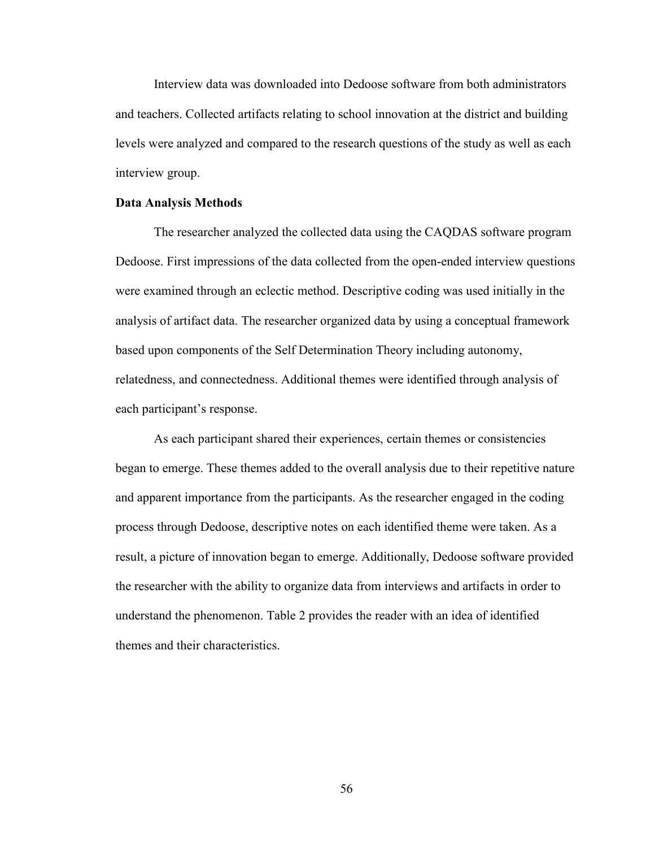Interview data was downloaded into Dedoose software from both administrators and teachers. Collected artifacts relating to school innovation at the district and building levels were analyzed and compared to the research questions of the study as well as each interview group.

#### **Data Analysis Methods**

The researcher analyzed the collected data using the CAQDAS software program Dedoose. First impressions of the data collected from the open-ended interview questions were examined through an eclectic method. Descriptive coding was used initially in the analysis of artifact data. The researcher organized data by using a conceptual framework based upon components of the Self Determination Theory including autonomy, relatedness, and connectedness. Additional themes were identified through analysis of each participant's response.

As each participant shared their experiences, certain themes or consistencies began to emerge. These themes added to the overall analysis due to their repetitive nature and apparent importance from the participants. As the researcher engaged in the coding process through Dedoose, descriptive notes on each identified theme were taken. As a result, a picture of innovation began to emerge. Additionally, Dedoose software provided the researcher with the ability to organize data from interviews and artifacts in order to understand the phenomenon. Table 2 provides the reader with an idea of identified themes and their characteristics.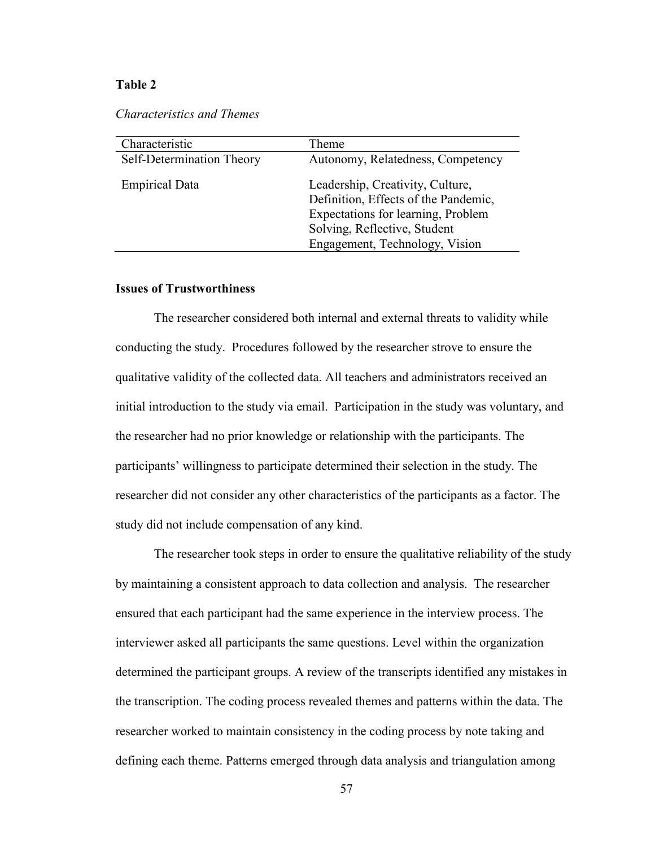### **Table 2**

*Characteristics and Themes* 

| Characteristic            | Theme                                                                                                                                                                            |
|---------------------------|----------------------------------------------------------------------------------------------------------------------------------------------------------------------------------|
| Self-Determination Theory | Autonomy, Relatedness, Competency                                                                                                                                                |
| <b>Empirical Data</b>     | Leadership, Creativity, Culture,<br>Definition, Effects of the Pandemic,<br>Expectations for learning, Problem<br>Solving, Reflective, Student<br>Engagement, Technology, Vision |
|                           |                                                                                                                                                                                  |

## **Issues of Trustworthiness**

The researcher considered both internal and external threats to validity while conducting the study. Procedures followed by the researcher strove to ensure the qualitative validity of the collected data. All teachers and administrators received an initial introduction to the study via email. Participation in the study was voluntary, and the researcher had no prior knowledge or relationship with the participants. The participants' willingness to participate determined their selection in the study. The researcher did not consider any other characteristics of the participants as a factor. The study did not include compensation of any kind.

The researcher took steps in order to ensure the qualitative reliability of the study by maintaining a consistent approach to data collection and analysis. The researcher ensured that each participant had the same experience in the interview process. The interviewer asked all participants the same questions. Level within the organization determined the participant groups. A review of the transcripts identified any mistakes in the transcription. The coding process revealed themes and patterns within the data. The researcher worked to maintain consistency in the coding process by note taking and defining each theme. Patterns emerged through data analysis and triangulation among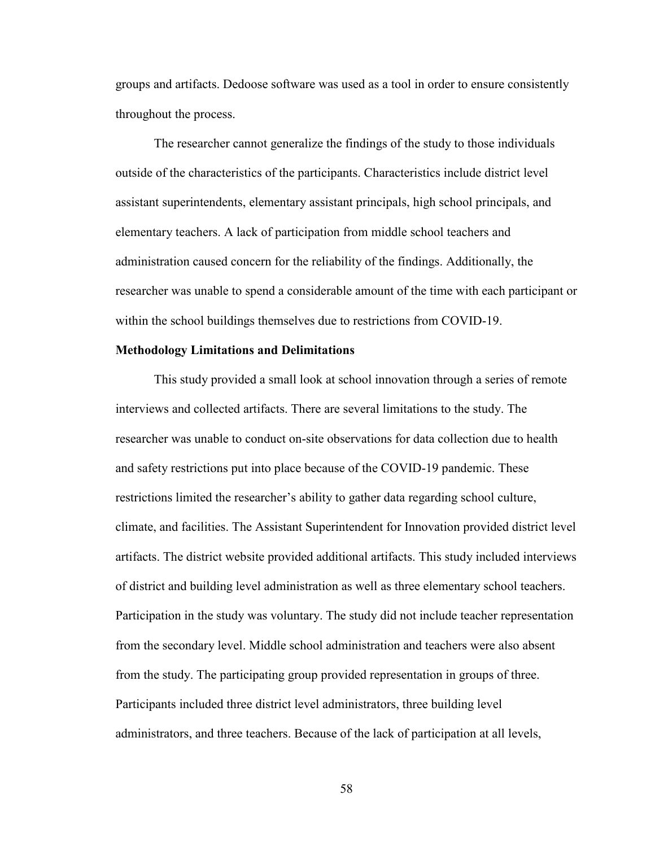groups and artifacts. Dedoose software was used as a tool in order to ensure consistently throughout the process.

The researcher cannot generalize the findings of the study to those individuals outside of the characteristics of the participants. Characteristics include district level assistant superintendents, elementary assistant principals, high school principals, and elementary teachers. A lack of participation from middle school teachers and administration caused concern for the reliability of the findings. Additionally, the researcher was unable to spend a considerable amount of the time with each participant or within the school buildings themselves due to restrictions from COVID-19.

### **Methodology Limitations and Delimitations**

This study provided a small look at school innovation through a series of remote interviews and collected artifacts. There are several limitations to the study. The researcher was unable to conduct on-site observations for data collection due to health and safety restrictions put into place because of the COVID-19 pandemic. These restrictions limited the researcher's ability to gather data regarding school culture, climate, and facilities. The Assistant Superintendent for Innovation provided district level artifacts. The district website provided additional artifacts. This study included interviews of district and building level administration as well as three elementary school teachers. Participation in the study was voluntary. The study did not include teacher representation from the secondary level. Middle school administration and teachers were also absent from the study. The participating group provided representation in groups of three. Participants included three district level administrators, three building level administrators, and three teachers. Because of the lack of participation at all levels,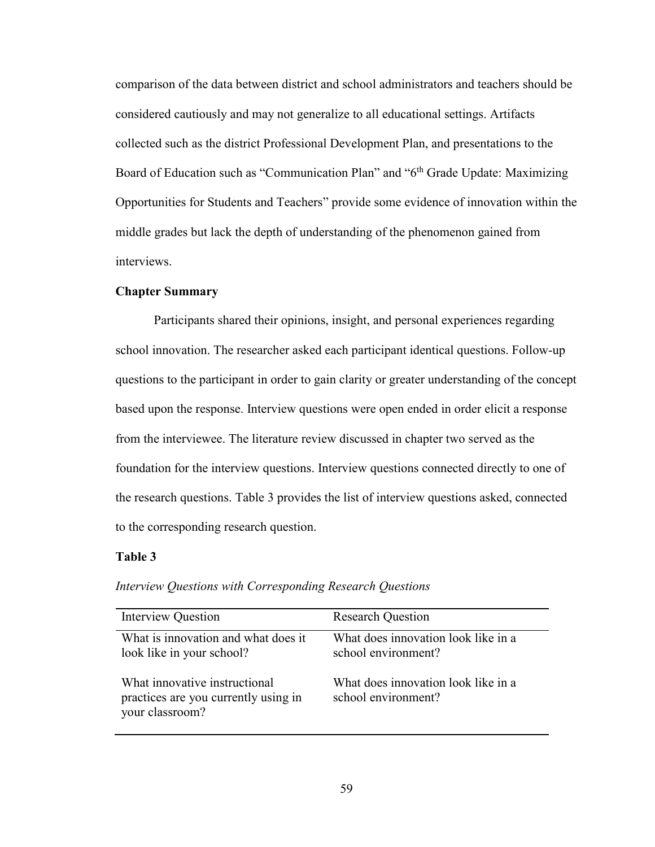comparison of the data between district and school administrators and teachers should be considered cautiously and may not generalize to all educational settings. Artifacts collected such as the district Professional Development Plan, and presentations to the Board of Education such as "Communication Plan" and "6<sup>th</sup> Grade Update: Maximizing Opportunities for Students and Teachers" provide some evidence of innovation within the middle grades but lack the depth of understanding of the phenomenon gained from interviews.

#### **Chapter Summary**

Participants shared their opinions, insight, and personal experiences regarding school innovation. The researcher asked each participant identical questions. Follow-up questions to the participant in order to gain clarity or greater understanding of the concept based upon the response. Interview questions were open ended in order elicit a response from the interviewee. The literature review discussed in chapter two served as the foundation for the interview questions. Interview questions connected directly to one of the research questions. Table 3 provides the list of interview questions asked, connected to the corresponding research question.

### **Table 3**

| <b>Interview Question</b>                                                                | <b>Research Question</b>                                   |
|------------------------------------------------------------------------------------------|------------------------------------------------------------|
| What is innovation and what does it<br>look like in your school?                         | What does innovation look like in a<br>school environment? |
| What innovative instructional<br>practices are you currently using in<br>your classroom? | What does innovation look like in a<br>school environment? |

*Interview Questions with Corresponding Research Questions*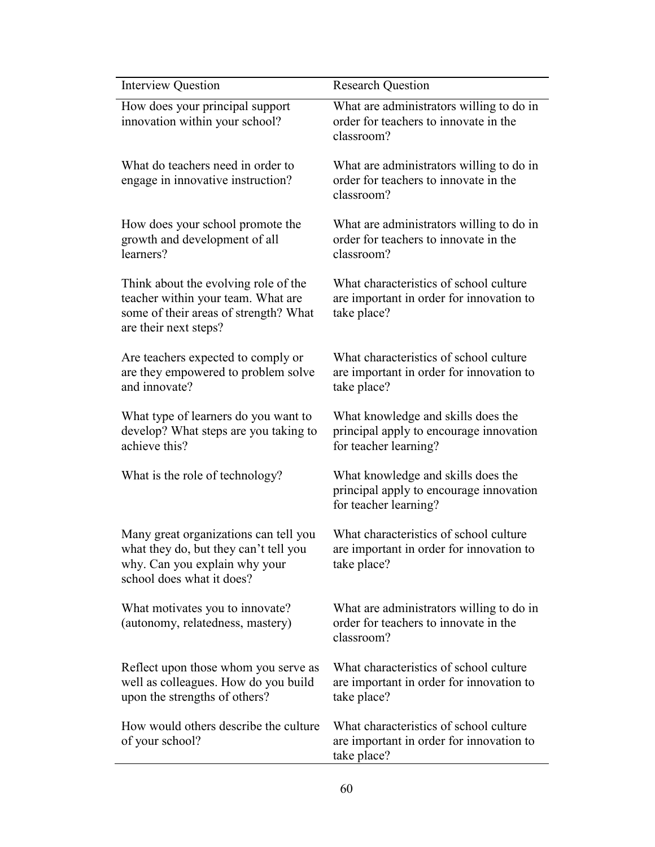| <b>Interview Question</b>                                                                                                                    | <b>Research Question</b>                                                                               |
|----------------------------------------------------------------------------------------------------------------------------------------------|--------------------------------------------------------------------------------------------------------|
| How does your principal support<br>innovation within your school?                                                                            | What are administrators willing to do in<br>order for teachers to innovate in the<br>classroom?        |
| What do teachers need in order to<br>engage in innovative instruction?                                                                       | What are administrators willing to do in<br>order for teachers to innovate in the<br>classroom?        |
| How does your school promote the<br>growth and development of all<br>learners?                                                               | What are administrators willing to do in<br>order for teachers to innovate in the<br>classroom?        |
| Think about the evolving role of the<br>teacher within your team. What are<br>some of their areas of strength? What<br>are their next steps? | What characteristics of school culture<br>are important in order for innovation to<br>take place?      |
| Are teachers expected to comply or<br>are they empowered to problem solve<br>and innovate?                                                   | What characteristics of school culture<br>are important in order for innovation to<br>take place?      |
| What type of learners do you want to<br>develop? What steps are you taking to<br>achieve this?                                               | What knowledge and skills does the<br>principal apply to encourage innovation<br>for teacher learning? |
| What is the role of technology?                                                                                                              | What knowledge and skills does the<br>principal apply to encourage innovation<br>for teacher learning? |
| Many great organizations can tell you<br>what they do, but they can't tell you<br>why. Can you explain why your<br>school does what it does? | What characteristics of school culture<br>are important in order for innovation to<br>take place?      |
| What motivates you to innovate?<br>(autonomy, relatedness, mastery)                                                                          | What are administrators willing to do in<br>order for teachers to innovate in the<br>classroom?        |
| Reflect upon those whom you serve as<br>well as colleagues. How do you build<br>upon the strengths of others?                                | What characteristics of school culture<br>are important in order for innovation to<br>take place?      |
| How would others describe the culture<br>of your school?                                                                                     | What characteristics of school culture<br>are important in order for innovation to<br>take place?      |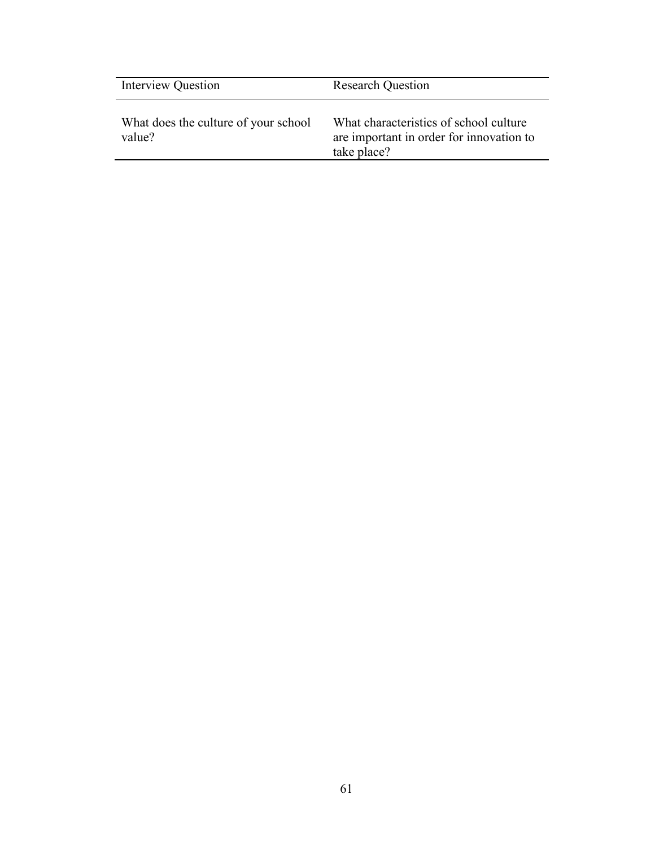| <b>Interview Question</b>                      | <b>Research Question</b>                                                                          |
|------------------------------------------------|---------------------------------------------------------------------------------------------------|
| What does the culture of your school<br>value? | What characteristics of school culture<br>are important in order for innovation to<br>take place? |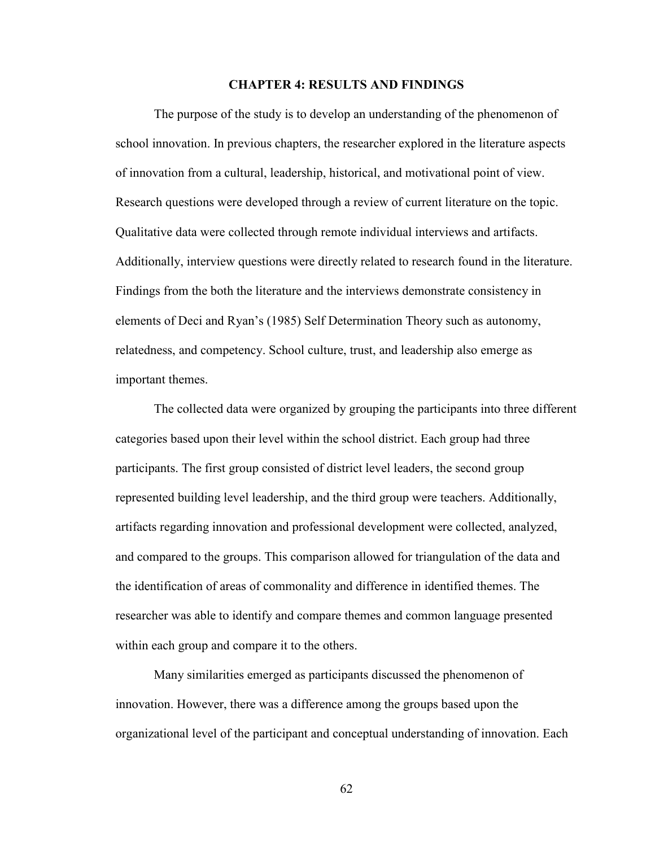### **CHAPTER 4: RESULTS AND FINDINGS**

The purpose of the study is to develop an understanding of the phenomenon of school innovation. In previous chapters, the researcher explored in the literature aspects of innovation from a cultural, leadership, historical, and motivational point of view. Research questions were developed through a review of current literature on the topic. Qualitative data were collected through remote individual interviews and artifacts. Additionally, interview questions were directly related to research found in the literature. Findings from the both the literature and the interviews demonstrate consistency in elements of Deci and Ryan's (1985) Self Determination Theory such as autonomy, relatedness, and competency. School culture, trust, and leadership also emerge as important themes.

 The collected data were organized by grouping the participants into three different categories based upon their level within the school district. Each group had three participants. The first group consisted of district level leaders, the second group represented building level leadership, and the third group were teachers. Additionally, artifacts regarding innovation and professional development were collected, analyzed, and compared to the groups. This comparison allowed for triangulation of the data and the identification of areas of commonality and difference in identified themes. The researcher was able to identify and compare themes and common language presented within each group and compare it to the others.

Many similarities emerged as participants discussed the phenomenon of innovation. However, there was a difference among the groups based upon the organizational level of the participant and conceptual understanding of innovation. Each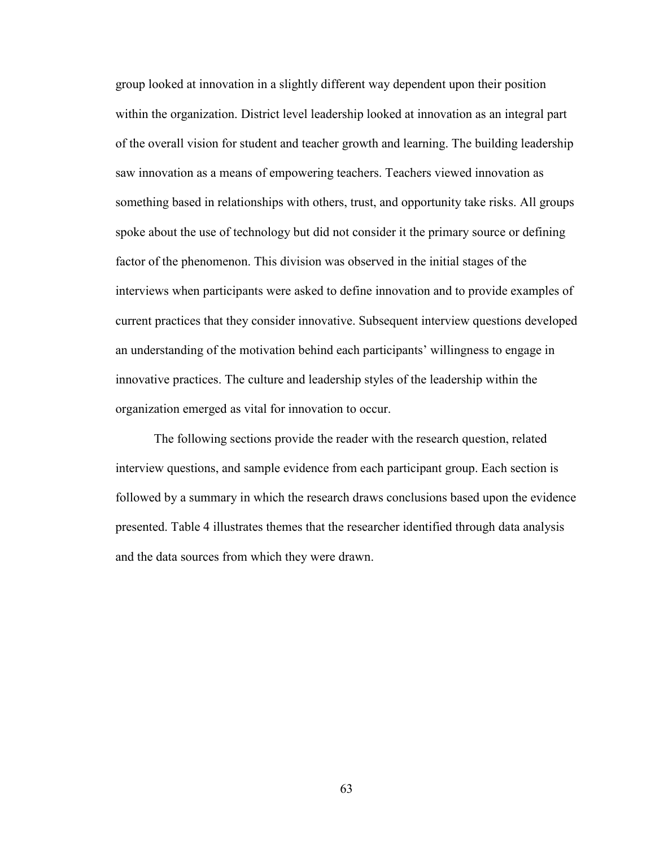group looked at innovation in a slightly different way dependent upon their position within the organization. District level leadership looked at innovation as an integral part of the overall vision for student and teacher growth and learning. The building leadership saw innovation as a means of empowering teachers. Teachers viewed innovation as something based in relationships with others, trust, and opportunity take risks. All groups spoke about the use of technology but did not consider it the primary source or defining factor of the phenomenon. This division was observed in the initial stages of the interviews when participants were asked to define innovation and to provide examples of current practices that they consider innovative. Subsequent interview questions developed an understanding of the motivation behind each participants' willingness to engage in innovative practices. The culture and leadership styles of the leadership within the organization emerged as vital for innovation to occur.

The following sections provide the reader with the research question, related interview questions, and sample evidence from each participant group. Each section is followed by a summary in which the research draws conclusions based upon the evidence presented. Table 4 illustrates themes that the researcher identified through data analysis and the data sources from which they were drawn.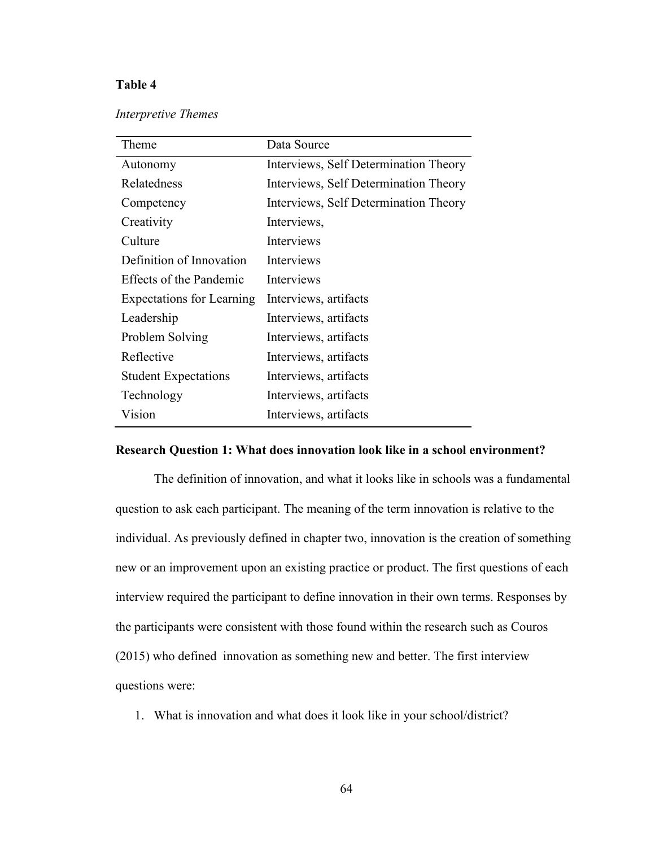# **Table 4**

| Interpretive Themes |  |
|---------------------|--|
|---------------------|--|

| Theme                            | Data Source                           |
|----------------------------------|---------------------------------------|
| Autonomy                         | Interviews, Self Determination Theory |
| Relatedness                      | Interviews, Self Determination Theory |
| Competency                       | Interviews, Self Determination Theory |
| Creativity                       | Interviews,                           |
| Culture                          | Interviews                            |
| Definition of Innovation         | Interviews                            |
| <b>Effects of the Pandemic</b>   | Interviews                            |
| <b>Expectations for Learning</b> | Interviews, artifacts                 |
| Leadership                       | Interviews, artifacts                 |
| Problem Solving                  | Interviews, artifacts                 |
| Reflective                       | Interviews, artifacts                 |
| <b>Student Expectations</b>      | Interviews, artifacts                 |
| Technology                       | Interviews, artifacts                 |
| Vision                           | Interviews, artifacts                 |

## **Research Question 1: What does innovation look like in a school environment?**

The definition of innovation, and what it looks like in schools was a fundamental question to ask each participant. The meaning of the term innovation is relative to the individual. As previously defined in chapter two, innovation is the creation of something new or an improvement upon an existing practice or product. The first questions of each interview required the participant to define innovation in their own terms. Responses by the participants were consistent with those found within the research such as Couros (2015) who defined innovation as something new and better. The first interview questions were:

1. What is innovation and what does it look like in your school/district?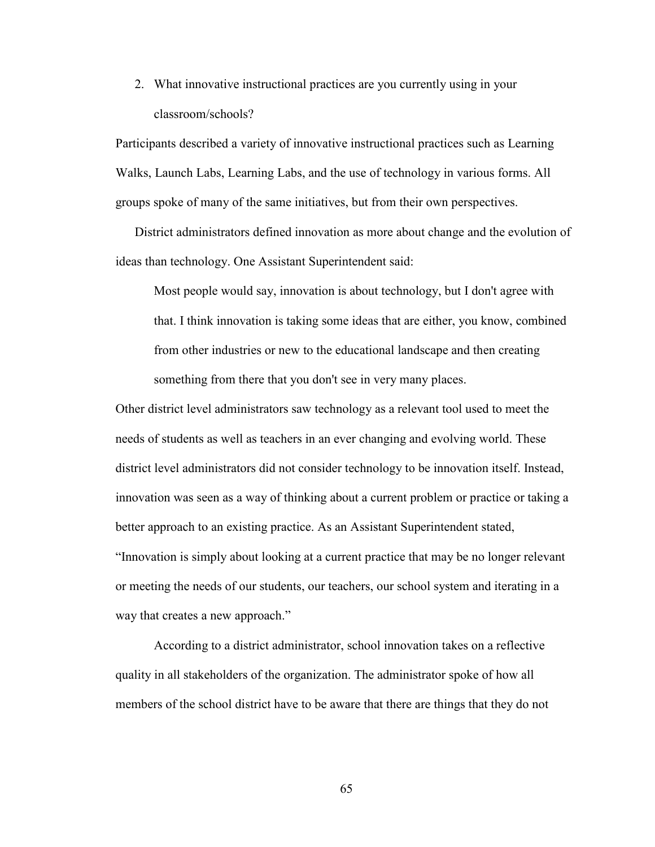2. What innovative instructional practices are you currently using in your classroom/schools?

Participants described a variety of innovative instructional practices such as Learning Walks, Launch Labs, Learning Labs, and the use of technology in various forms. All groups spoke of many of the same initiatives, but from their own perspectives.

District administrators defined innovation as more about change and the evolution of ideas than technology. One Assistant Superintendent said:

Most people would say, innovation is about technology, but I don't agree with that. I think innovation is taking some ideas that are either, you know, combined from other industries or new to the educational landscape and then creating something from there that you don't see in very many places.

Other district level administrators saw technology as a relevant tool used to meet the needs of students as well as teachers in an ever changing and evolving world. These district level administrators did not consider technology to be innovation itself. Instead, innovation was seen as a way of thinking about a current problem or practice or taking a better approach to an existing practice. As an Assistant Superintendent stated, "Innovation is simply about looking at a current practice that may be no longer relevant or meeting the needs of our students, our teachers, our school system and iterating in a way that creates a new approach."

According to a district administrator, school innovation takes on a reflective quality in all stakeholders of the organization. The administrator spoke of how all members of the school district have to be aware that there are things that they do not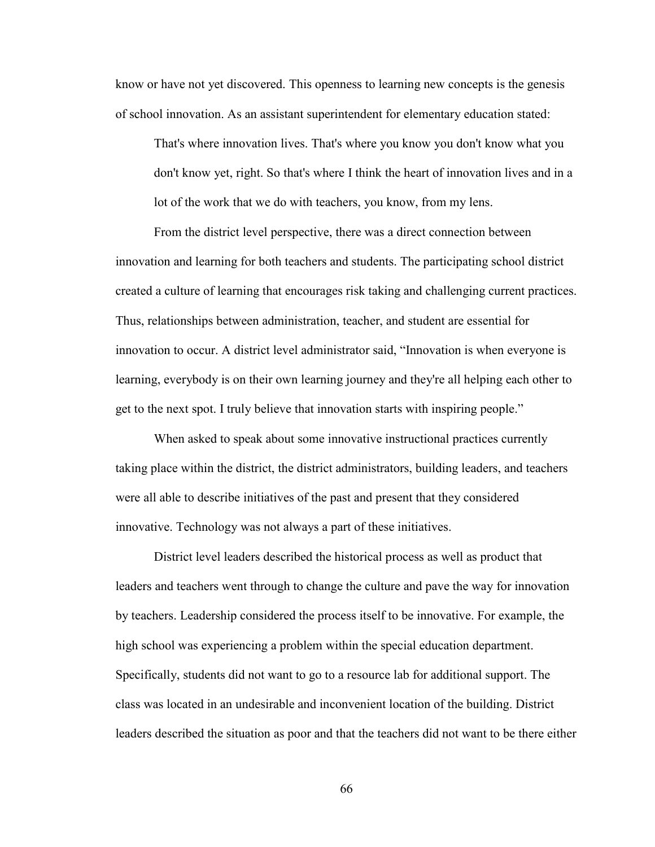know or have not yet discovered. This openness to learning new concepts is the genesis of school innovation. As an assistant superintendent for elementary education stated:

That's where innovation lives. That's where you know you don't know what you don't know yet, right. So that's where I think the heart of innovation lives and in a lot of the work that we do with teachers, you know, from my lens.

From the district level perspective, there was a direct connection between innovation and learning for both teachers and students. The participating school district created a culture of learning that encourages risk taking and challenging current practices. Thus, relationships between administration, teacher, and student are essential for innovation to occur. A district level administrator said, "Innovation is when everyone is learning, everybody is on their own learning journey and they're all helping each other to get to the next spot. I truly believe that innovation starts with inspiring people."

 When asked to speak about some innovative instructional practices currently taking place within the district, the district administrators, building leaders, and teachers were all able to describe initiatives of the past and present that they considered innovative. Technology was not always a part of these initiatives.

District level leaders described the historical process as well as product that leaders and teachers went through to change the culture and pave the way for innovation by teachers. Leadership considered the process itself to be innovative. For example, the high school was experiencing a problem within the special education department. Specifically, students did not want to go to a resource lab for additional support. The class was located in an undesirable and inconvenient location of the building. District leaders described the situation as poor and that the teachers did not want to be there either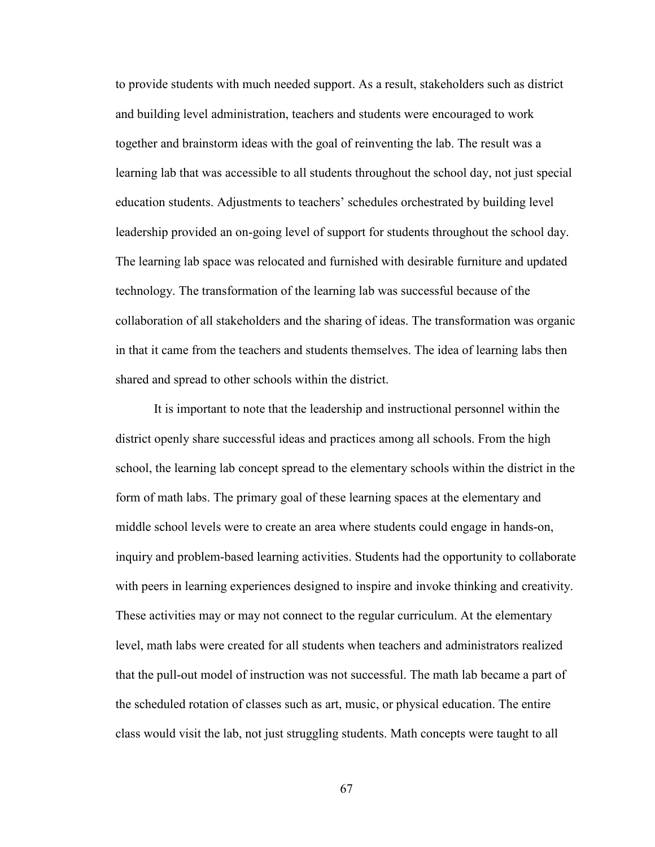to provide students with much needed support. As a result, stakeholders such as district and building level administration, teachers and students were encouraged to work together and brainstorm ideas with the goal of reinventing the lab. The result was a learning lab that was accessible to all students throughout the school day, not just special education students. Adjustments to teachers' schedules orchestrated by building level leadership provided an on-going level of support for students throughout the school day. The learning lab space was relocated and furnished with desirable furniture and updated technology. The transformation of the learning lab was successful because of the collaboration of all stakeholders and the sharing of ideas. The transformation was organic in that it came from the teachers and students themselves. The idea of learning labs then shared and spread to other schools within the district.

It is important to note that the leadership and instructional personnel within the district openly share successful ideas and practices among all schools. From the high school, the learning lab concept spread to the elementary schools within the district in the form of math labs. The primary goal of these learning spaces at the elementary and middle school levels were to create an area where students could engage in hands-on, inquiry and problem-based learning activities. Students had the opportunity to collaborate with peers in learning experiences designed to inspire and invoke thinking and creativity. These activities may or may not connect to the regular curriculum. At the elementary level, math labs were created for all students when teachers and administrators realized that the pull-out model of instruction was not successful. The math lab became a part of the scheduled rotation of classes such as art, music, or physical education. The entire class would visit the lab, not just struggling students. Math concepts were taught to all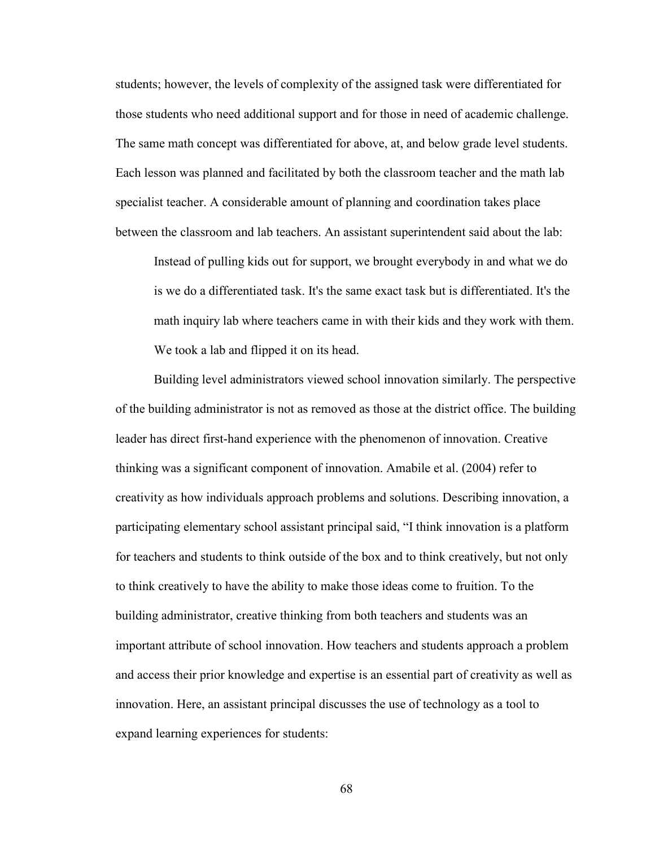students; however, the levels of complexity of the assigned task were differentiated for those students who need additional support and for those in need of academic challenge. The same math concept was differentiated for above, at, and below grade level students. Each lesson was planned and facilitated by both the classroom teacher and the math lab specialist teacher. A considerable amount of planning and coordination takes place between the classroom and lab teachers. An assistant superintendent said about the lab:

Instead of pulling kids out for support, we brought everybody in and what we do is we do a differentiated task. It's the same exact task but is differentiated. It's the math inquiry lab where teachers came in with their kids and they work with them. We took a lab and flipped it on its head.

Building level administrators viewed school innovation similarly. The perspective of the building administrator is not as removed as those at the district office. The building leader has direct first-hand experience with the phenomenon of innovation. Creative thinking was a significant component of innovation. Amabile et al. (2004) refer to creativity as how individuals approach problems and solutions. Describing innovation, a participating elementary school assistant principal said, "I think innovation is a platform for teachers and students to think outside of the box and to think creatively, but not only to think creatively to have the ability to make those ideas come to fruition. To the building administrator, creative thinking from both teachers and students was an important attribute of school innovation. How teachers and students approach a problem and access their prior knowledge and expertise is an essential part of creativity as well as innovation. Here, an assistant principal discusses the use of technology as a tool to expand learning experiences for students: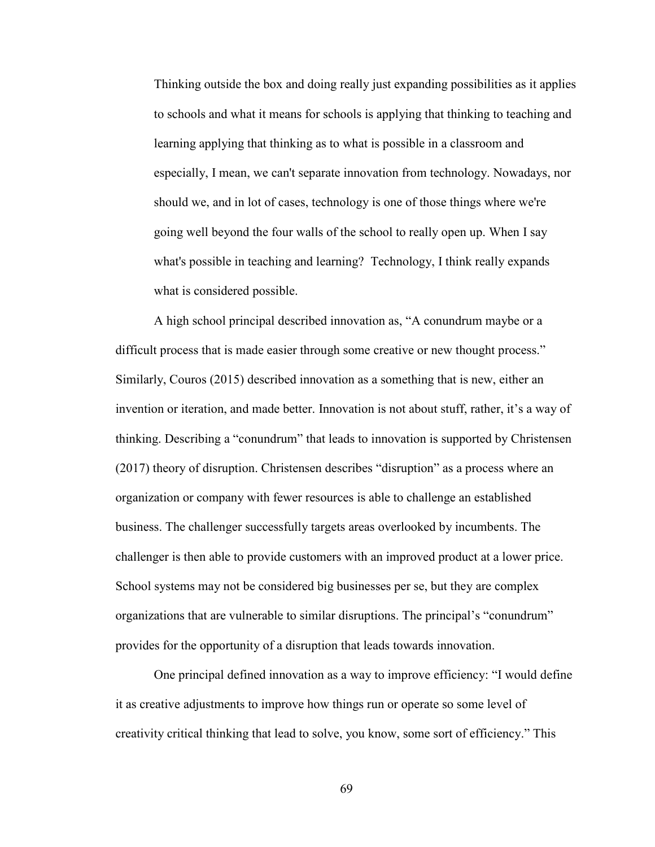Thinking outside the box and doing really just expanding possibilities as it applies to schools and what it means for schools is applying that thinking to teaching and learning applying that thinking as to what is possible in a classroom and especially, I mean, we can't separate innovation from technology. Nowadays, nor should we, and in lot of cases, technology is one of those things where we're going well beyond the four walls of the school to really open up. When I say what's possible in teaching and learning? Technology, I think really expands what is considered possible.

A high school principal described innovation as, "A conundrum maybe or a difficult process that is made easier through some creative or new thought process." Similarly, Couros (2015) described innovation as a something that is new, either an invention or iteration, and made better. Innovation is not about stuff, rather, it's a way of thinking. Describing a "conundrum" that leads to innovation is supported by Christensen (2017) theory of disruption. Christensen describes "disruption" as a process where an organization or company with fewer resources is able to challenge an established business. The challenger successfully targets areas overlooked by incumbents. The challenger is then able to provide customers with an improved product at a lower price. School systems may not be considered big businesses per se, but they are complex organizations that are vulnerable to similar disruptions. The principal's "conundrum" provides for the opportunity of a disruption that leads towards innovation.

One principal defined innovation as a way to improve efficiency: "I would define it as creative adjustments to improve how things run or operate so some level of creativity critical thinking that lead to solve, you know, some sort of efficiency." This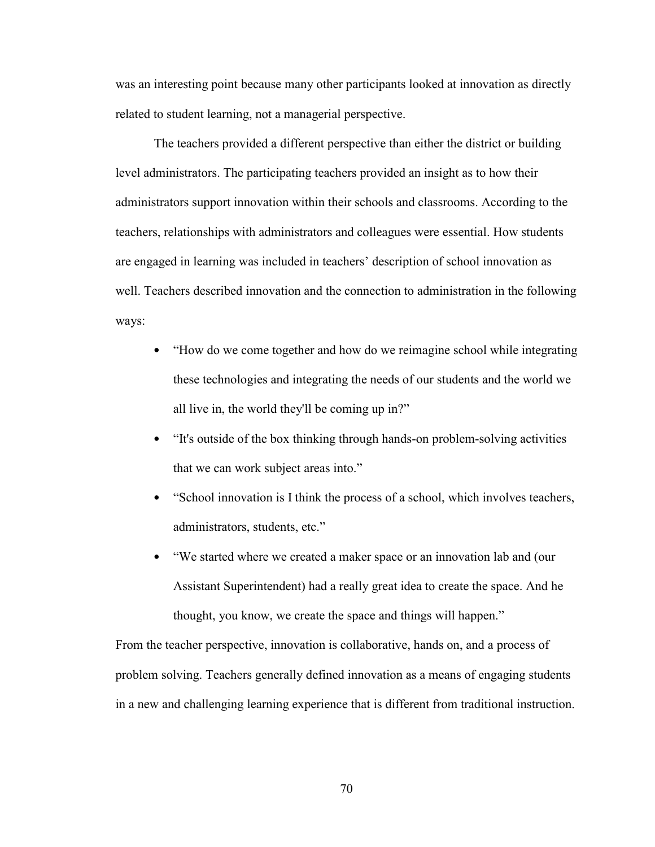was an interesting point because many other participants looked at innovation as directly related to student learning, not a managerial perspective.

The teachers provided a different perspective than either the district or building level administrators. The participating teachers provided an insight as to how their administrators support innovation within their schools and classrooms. According to the teachers, relationships with administrators and colleagues were essential. How students are engaged in learning was included in teachers' description of school innovation as well. Teachers described innovation and the connection to administration in the following ways:

- "How do we come together and how do we reimagine school while integrating these technologies and integrating the needs of our students and the world we all live in, the world they'll be coming up in?"
- "It's outside of the box thinking through hands-on problem-solving activities that we can work subject areas into."
- "School innovation is I think the process of a school, which involves teachers, administrators, students, etc."
- "We started where we created a maker space or an innovation lab and (our Assistant Superintendent) had a really great idea to create the space. And he thought, you know, we create the space and things will happen."

From the teacher perspective, innovation is collaborative, hands on, and a process of problem solving. Teachers generally defined innovation as a means of engaging students in a new and challenging learning experience that is different from traditional instruction.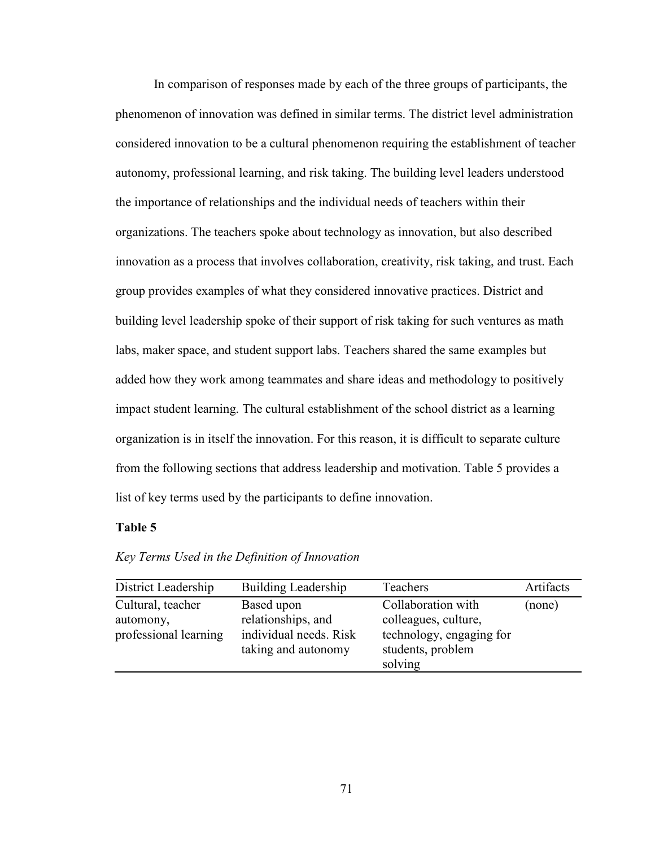In comparison of responses made by each of the three groups of participants, the phenomenon of innovation was defined in similar terms. The district level administration considered innovation to be a cultural phenomenon requiring the establishment of teacher autonomy, professional learning, and risk taking. The building level leaders understood the importance of relationships and the individual needs of teachers within their organizations. The teachers spoke about technology as innovation, but also described innovation as a process that involves collaboration, creativity, risk taking, and trust. Each group provides examples of what they considered innovative practices. District and building level leadership spoke of their support of risk taking for such ventures as math labs, maker space, and student support labs. Teachers shared the same examples but added how they work among teammates and share ideas and methodology to positively impact student learning. The cultural establishment of the school district as a learning organization is in itself the innovation. For this reason, it is difficult to separate culture from the following sections that address leadership and motivation. Table 5 provides a list of key terms used by the participants to define innovation.

### **Table 5**

| District Leadership                                     | <b>Building Leadership</b>                                                        | Teachers                                                                                               | Artifacts |
|---------------------------------------------------------|-----------------------------------------------------------------------------------|--------------------------------------------------------------------------------------------------------|-----------|
| Cultural, teacher<br>automony,<br>professional learning | Based upon<br>relationships, and<br>individual needs. Risk<br>taking and autonomy | Collaboration with<br>colleagues, culture,<br>technology, engaging for<br>students, problem<br>solving | (none)    |

*Key Terms Used in the Definition of Innovation*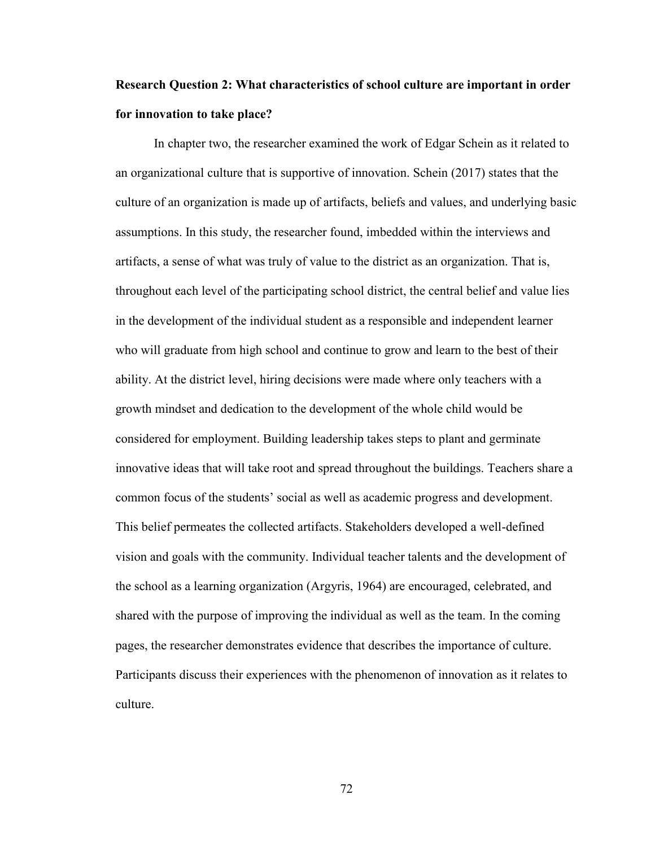## **Research Question 2: What characteristics of school culture are important in order for innovation to take place?**

In chapter two, the researcher examined the work of Edgar Schein as it related to an organizational culture that is supportive of innovation. Schein (2017) states that the culture of an organization is made up of artifacts, beliefs and values, and underlying basic assumptions. In this study, the researcher found, imbedded within the interviews and artifacts, a sense of what was truly of value to the district as an organization. That is, throughout each level of the participating school district, the central belief and value lies in the development of the individual student as a responsible and independent learner who will graduate from high school and continue to grow and learn to the best of their ability. At the district level, hiring decisions were made where only teachers with a growth mindset and dedication to the development of the whole child would be considered for employment. Building leadership takes steps to plant and germinate innovative ideas that will take root and spread throughout the buildings. Teachers share a common focus of the students' social as well as academic progress and development. This belief permeates the collected artifacts. Stakeholders developed a well-defined vision and goals with the community. Individual teacher talents and the development of the school as a learning organization (Argyris, 1964) are encouraged, celebrated, and shared with the purpose of improving the individual as well as the team. In the coming pages, the researcher demonstrates evidence that describes the importance of culture. Participants discuss their experiences with the phenomenon of innovation as it relates to culture.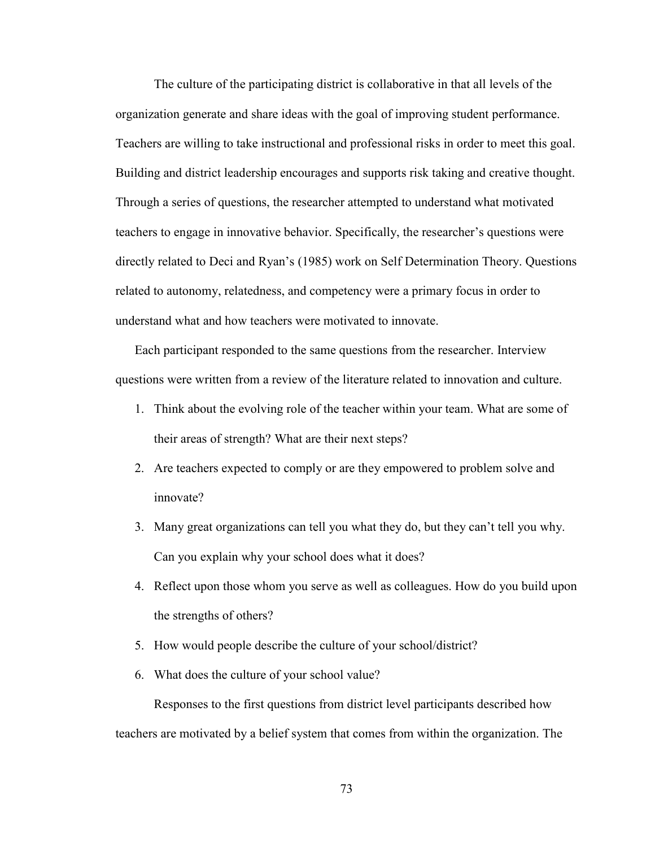The culture of the participating district is collaborative in that all levels of the organization generate and share ideas with the goal of improving student performance. Teachers are willing to take instructional and professional risks in order to meet this goal. Building and district leadership encourages and supports risk taking and creative thought. Through a series of questions, the researcher attempted to understand what motivated teachers to engage in innovative behavior. Specifically, the researcher's questions were directly related to Deci and Ryan's (1985) work on Self Determination Theory. Questions related to autonomy, relatedness, and competency were a primary focus in order to understand what and how teachers were motivated to innovate.

Each participant responded to the same questions from the researcher. Interview questions were written from a review of the literature related to innovation and culture.

- 1. Think about the evolving role of the teacher within your team. What are some of their areas of strength? What are their next steps?
- 2. Are teachers expected to comply or are they empowered to problem solve and innovate?
- 3. Many great organizations can tell you what they do, but they can't tell you why. Can you explain why your school does what it does?
- 4. Reflect upon those whom you serve as well as colleagues. How do you build upon the strengths of others?
- 5. How would people describe the culture of your school/district?
- 6. What does the culture of your school value?

Responses to the first questions from district level participants described how teachers are motivated by a belief system that comes from within the organization. The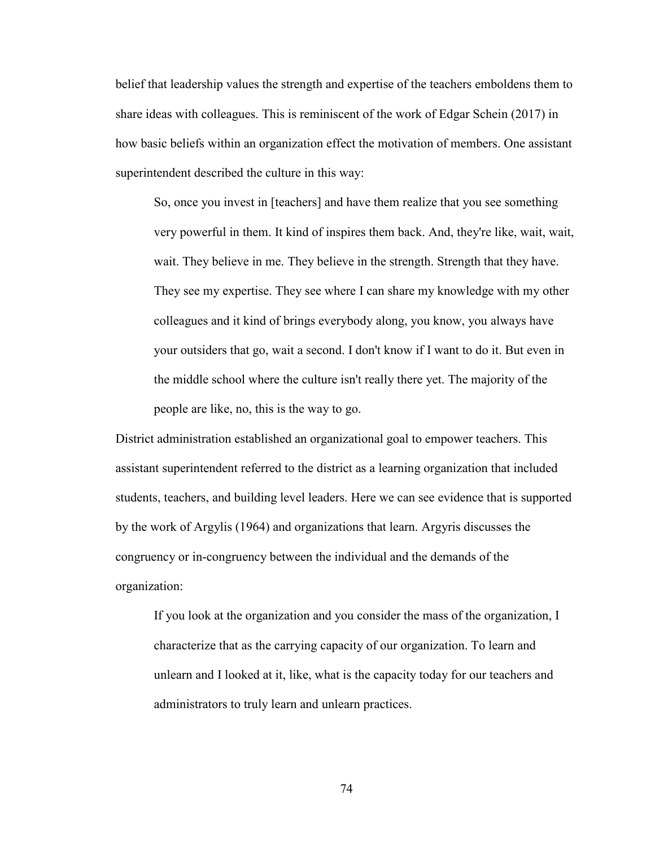belief that leadership values the strength and expertise of the teachers emboldens them to share ideas with colleagues. This is reminiscent of the work of Edgar Schein (2017) in how basic beliefs within an organization effect the motivation of members. One assistant superintendent described the culture in this way:

So, once you invest in [teachers] and have them realize that you see something very powerful in them. It kind of inspires them back. And, they're like, wait, wait, wait. They believe in me. They believe in the strength. Strength that they have. They see my expertise. They see where I can share my knowledge with my other colleagues and it kind of brings everybody along, you know, you always have your outsiders that go, wait a second. I don't know if I want to do it. But even in the middle school where the culture isn't really there yet. The majority of the people are like, no, this is the way to go.

District administration established an organizational goal to empower teachers. This assistant superintendent referred to the district as a learning organization that included students, teachers, and building level leaders. Here we can see evidence that is supported by the work of Argylis (1964) and organizations that learn. Argyris discusses the congruency or in-congruency between the individual and the demands of the organization:

If you look at the organization and you consider the mass of the organization, I characterize that as the carrying capacity of our organization. To learn and unlearn and I looked at it, like, what is the capacity today for our teachers and administrators to truly learn and unlearn practices.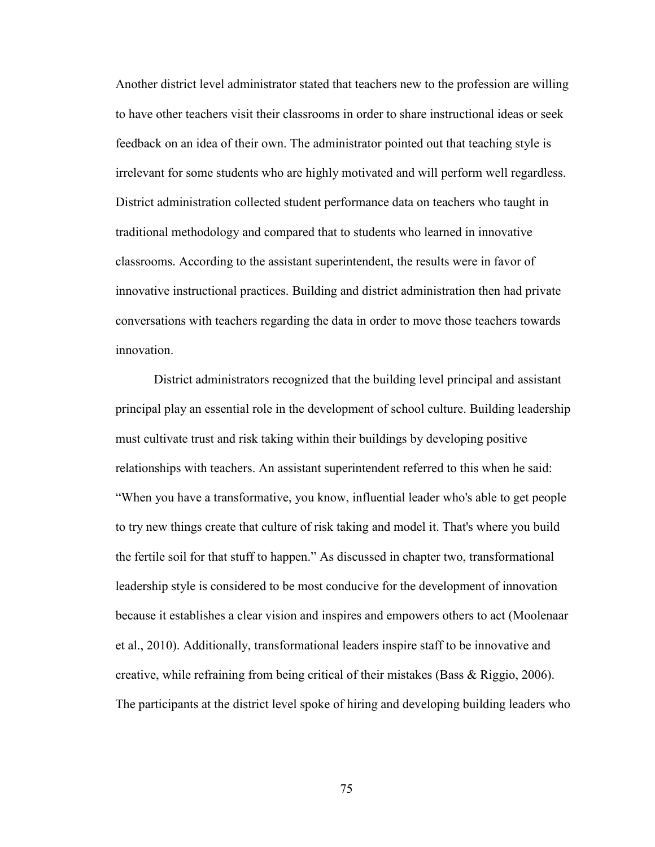Another district level administrator stated that teachers new to the profession are willing to have other teachers visit their classrooms in order to share instructional ideas or seek feedback on an idea of their own. The administrator pointed out that teaching style is irrelevant for some students who are highly motivated and will perform well regardless. District administration collected student performance data on teachers who taught in traditional methodology and compared that to students who learned in innovative classrooms. According to the assistant superintendent, the results were in favor of innovative instructional practices. Building and district administration then had private conversations with teachers regarding the data in order to move those teachers towards innovation.

 District administrators recognized that the building level principal and assistant principal play an essential role in the development of school culture. Building leadership must cultivate trust and risk taking within their buildings by developing positive relationships with teachers. An assistant superintendent referred to this when he said: "When you have a transformative, you know, influential leader who's able to get people to try new things create that culture of risk taking and model it. That's where you build the fertile soil for that stuff to happen." As discussed in chapter two, transformational leadership style is considered to be most conducive for the development of innovation because it establishes a clear vision and inspires and empowers others to act (Moolenaar et al., 2010). Additionally, transformational leaders inspire staff to be innovative and creative, while refraining from being critical of their mistakes (Bass & Riggio, 2006). The participants at the district level spoke of hiring and developing building leaders who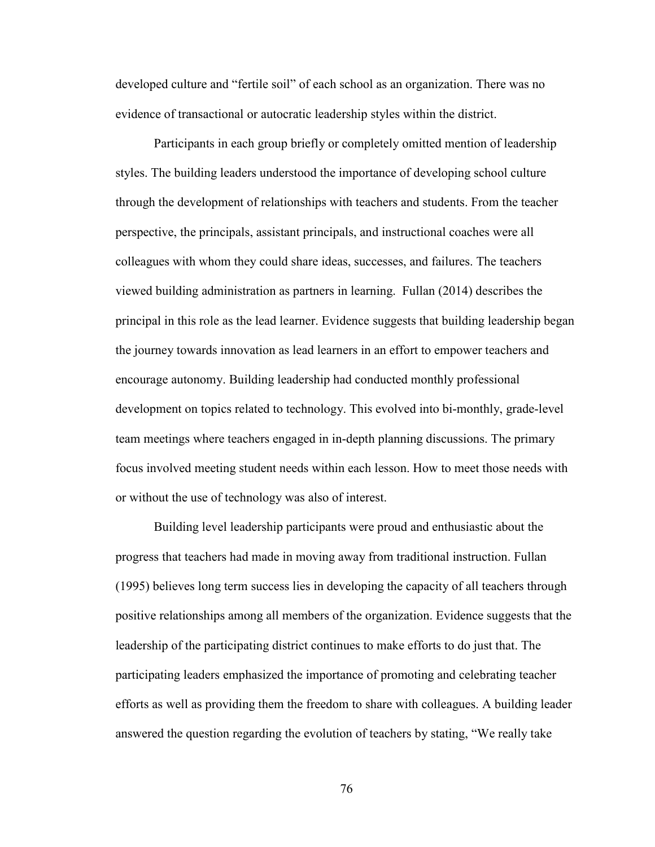developed culture and "fertile soil" of each school as an organization. There was no evidence of transactional or autocratic leadership styles within the district.

Participants in each group briefly or completely omitted mention of leadership styles. The building leaders understood the importance of developing school culture through the development of relationships with teachers and students. From the teacher perspective, the principals, assistant principals, and instructional coaches were all colleagues with whom they could share ideas, successes, and failures. The teachers viewed building administration as partners in learning. Fullan (2014) describes the principal in this role as the lead learner. Evidence suggests that building leadership began the journey towards innovation as lead learners in an effort to empower teachers and encourage autonomy. Building leadership had conducted monthly professional development on topics related to technology. This evolved into bi-monthly, grade-level team meetings where teachers engaged in in-depth planning discussions. The primary focus involved meeting student needs within each lesson. How to meet those needs with or without the use of technology was also of interest.

Building level leadership participants were proud and enthusiastic about the progress that teachers had made in moving away from traditional instruction. Fullan (1995) believes long term success lies in developing the capacity of all teachers through positive relationships among all members of the organization. Evidence suggests that the leadership of the participating district continues to make efforts to do just that. The participating leaders emphasized the importance of promoting and celebrating teacher efforts as well as providing them the freedom to share with colleagues. A building leader answered the question regarding the evolution of teachers by stating, "We really take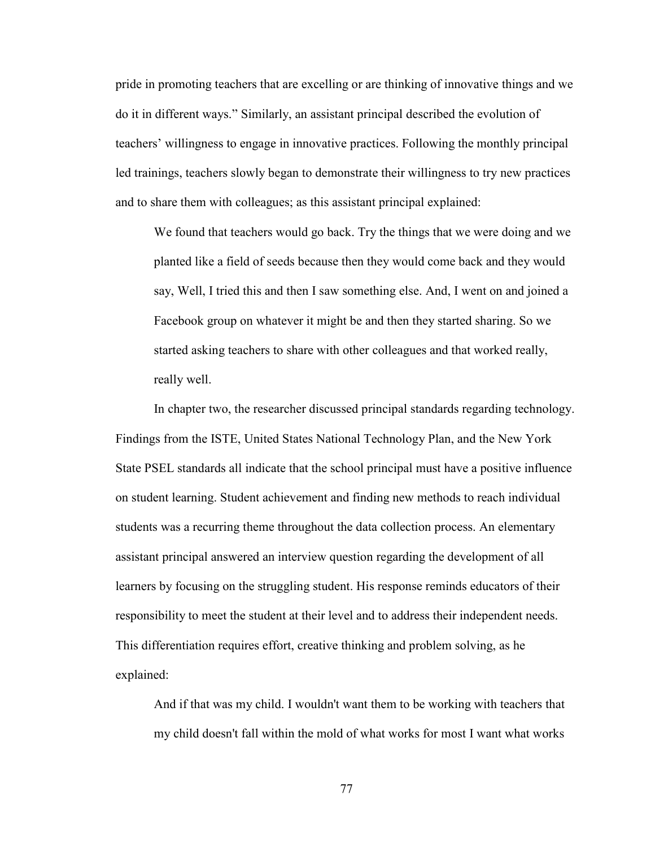pride in promoting teachers that are excelling or are thinking of innovative things and we do it in different ways." Similarly, an assistant principal described the evolution of teachers' willingness to engage in innovative practices. Following the monthly principal led trainings, teachers slowly began to demonstrate their willingness to try new practices and to share them with colleagues; as this assistant principal explained:

We found that teachers would go back. Try the things that we were doing and we planted like a field of seeds because then they would come back and they would say, Well, I tried this and then I saw something else. And, I went on and joined a Facebook group on whatever it might be and then they started sharing. So we started asking teachers to share with other colleagues and that worked really, really well.

In chapter two, the researcher discussed principal standards regarding technology. Findings from the ISTE, United States National Technology Plan, and the New York State PSEL standards all indicate that the school principal must have a positive influence on student learning. Student achievement and finding new methods to reach individual students was a recurring theme throughout the data collection process. An elementary assistant principal answered an interview question regarding the development of all learners by focusing on the struggling student. His response reminds educators of their responsibility to meet the student at their level and to address their independent needs. This differentiation requires effort, creative thinking and problem solving, as he explained:

And if that was my child. I wouldn't want them to be working with teachers that my child doesn't fall within the mold of what works for most I want what works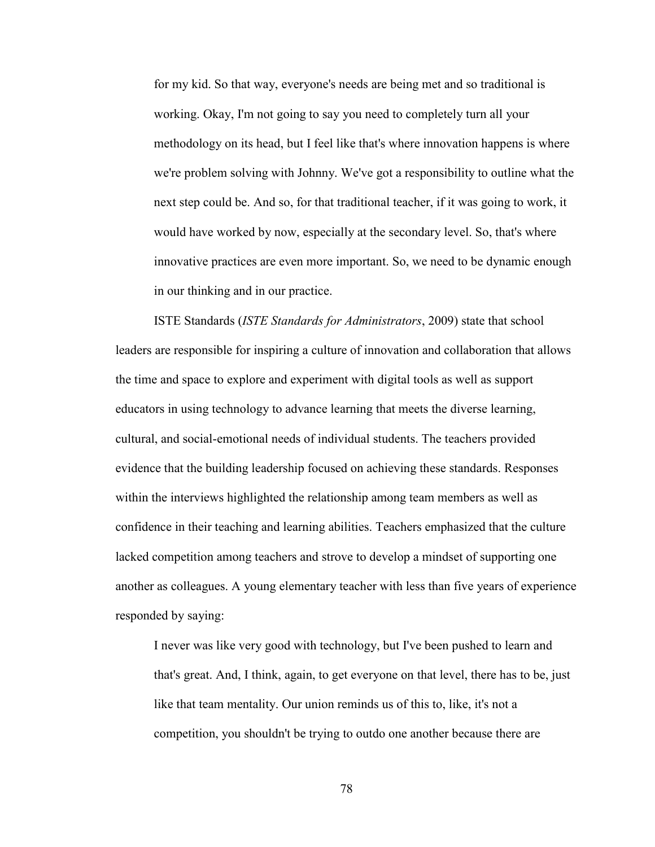for my kid. So that way, everyone's needs are being met and so traditional is working. Okay, I'm not going to say you need to completely turn all your methodology on its head, but I feel like that's where innovation happens is where we're problem solving with Johnny. We've got a responsibility to outline what the next step could be. And so, for that traditional teacher, if it was going to work, it would have worked by now, especially at the secondary level. So, that's where innovative practices are even more important. So, we need to be dynamic enough in our thinking and in our practice.

ISTE Standards (*ISTE Standards for Administrators*, 2009) state that school leaders are responsible for inspiring a culture of innovation and collaboration that allows the time and space to explore and experiment with digital tools as well as support educators in using technology to advance learning that meets the diverse learning, cultural, and social-emotional needs of individual students. The teachers provided evidence that the building leadership focused on achieving these standards. Responses within the interviews highlighted the relationship among team members as well as confidence in their teaching and learning abilities. Teachers emphasized that the culture lacked competition among teachers and strove to develop a mindset of supporting one another as colleagues. A young elementary teacher with less than five years of experience responded by saying:

I never was like very good with technology, but I've been pushed to learn and that's great. And, I think, again, to get everyone on that level, there has to be, just like that team mentality. Our union reminds us of this to, like, it's not a competition, you shouldn't be trying to outdo one another because there are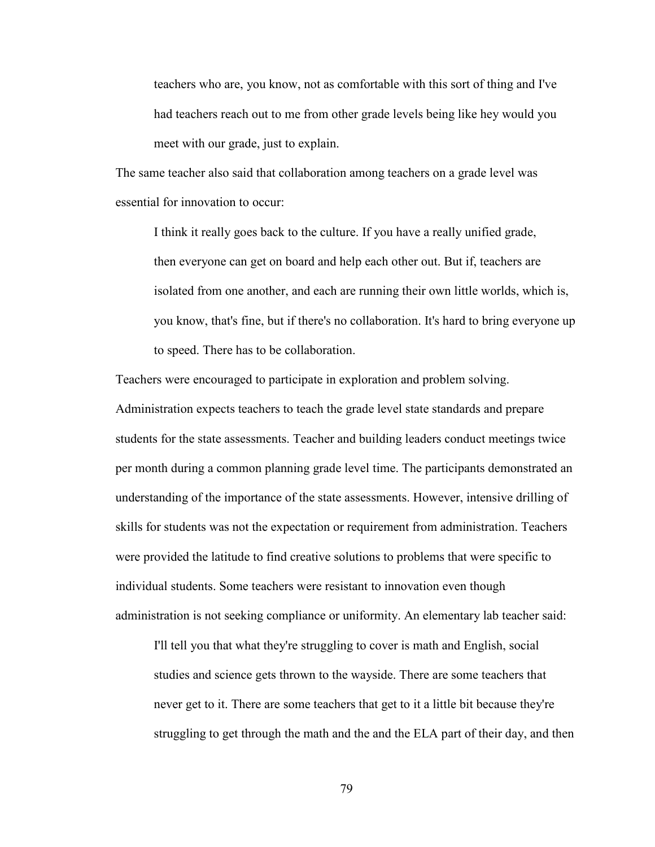teachers who are, you know, not as comfortable with this sort of thing and I've had teachers reach out to me from other grade levels being like hey would you meet with our grade, just to explain.

The same teacher also said that collaboration among teachers on a grade level was essential for innovation to occur:

I think it really goes back to the culture. If you have a really unified grade, then everyone can get on board and help each other out. But if, teachers are isolated from one another, and each are running their own little worlds, which is, you know, that's fine, but if there's no collaboration. It's hard to bring everyone up to speed. There has to be collaboration.

Teachers were encouraged to participate in exploration and problem solving. Administration expects teachers to teach the grade level state standards and prepare students for the state assessments. Teacher and building leaders conduct meetings twice per month during a common planning grade level time. The participants demonstrated an understanding of the importance of the state assessments. However, intensive drilling of skills for students was not the expectation or requirement from administration. Teachers were provided the latitude to find creative solutions to problems that were specific to individual students. Some teachers were resistant to innovation even though administration is not seeking compliance or uniformity. An elementary lab teacher said:

I'll tell you that what they're struggling to cover is math and English, social studies and science gets thrown to the wayside. There are some teachers that never get to it. There are some teachers that get to it a little bit because they're struggling to get through the math and the and the ELA part of their day, and then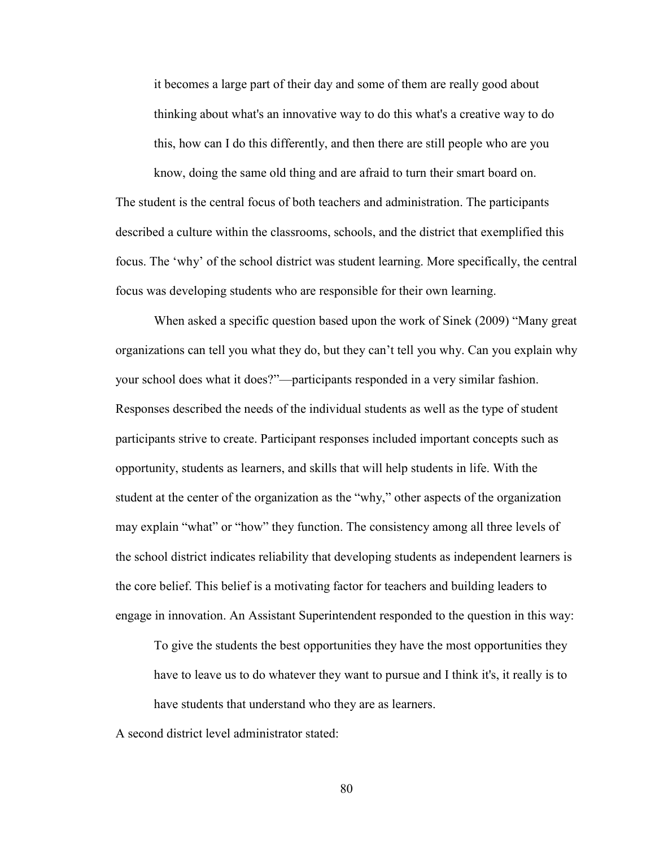it becomes a large part of their day and some of them are really good about thinking about what's an innovative way to do this what's a creative way to do this, how can I do this differently, and then there are still people who are you

know, doing the same old thing and are afraid to turn their smart board on. The student is the central focus of both teachers and administration. The participants described a culture within the classrooms, schools, and the district that exemplified this focus. The 'why' of the school district was student learning. More specifically, the central focus was developing students who are responsible for their own learning.

When asked a specific question based upon the work of Sinek (2009) "Many great organizations can tell you what they do, but they can't tell you why. Can you explain why your school does what it does?"—participants responded in a very similar fashion. Responses described the needs of the individual students as well as the type of student participants strive to create. Participant responses included important concepts such as opportunity, students as learners, and skills that will help students in life. With the student at the center of the organization as the "why," other aspects of the organization may explain "what" or "how" they function. The consistency among all three levels of the school district indicates reliability that developing students as independent learners is the core belief. This belief is a motivating factor for teachers and building leaders to engage in innovation. An Assistant Superintendent responded to the question in this way:

To give the students the best opportunities they have the most opportunities they have to leave us to do whatever they want to pursue and I think it's, it really is to have students that understand who they are as learners.

A second district level administrator stated: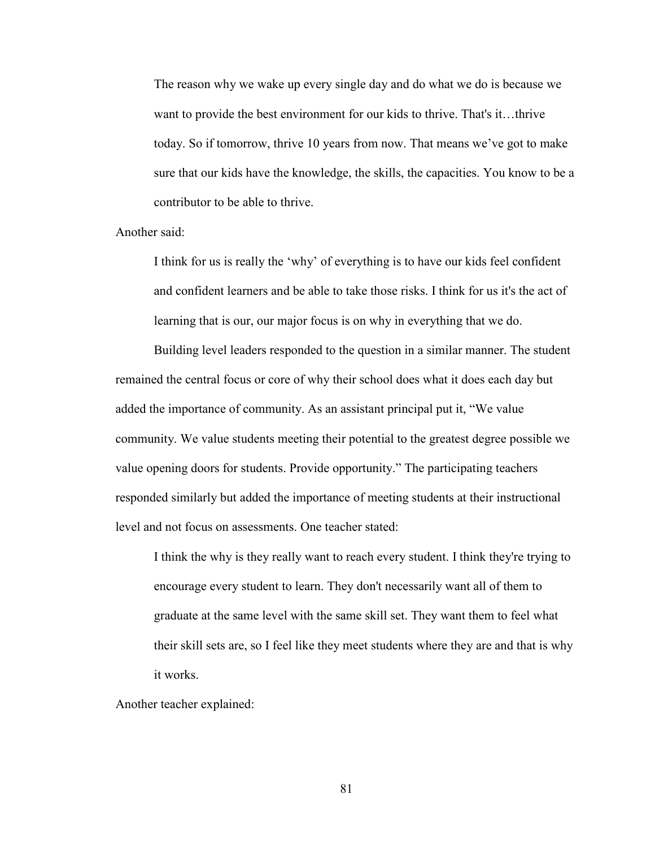The reason why we wake up every single day and do what we do is because we want to provide the best environment for our kids to thrive. That's it...thrive today. So if tomorrow, thrive 10 years from now. That means we've got to make sure that our kids have the knowledge, the skills, the capacities. You know to be a contributor to be able to thrive.

Another said:

I think for us is really the 'why' of everything is to have our kids feel confident and confident learners and be able to take those risks. I think for us it's the act of learning that is our, our major focus is on why in everything that we do.

Building level leaders responded to the question in a similar manner. The student remained the central focus or core of why their school does what it does each day but added the importance of community. As an assistant principal put it, "We value community. We value students meeting their potential to the greatest degree possible we value opening doors for students. Provide opportunity." The participating teachers responded similarly but added the importance of meeting students at their instructional level and not focus on assessments. One teacher stated:

I think the why is they really want to reach every student. I think they're trying to encourage every student to learn. They don't necessarily want all of them to graduate at the same level with the same skill set. They want them to feel what their skill sets are, so I feel like they meet students where they are and that is why it works.

Another teacher explained: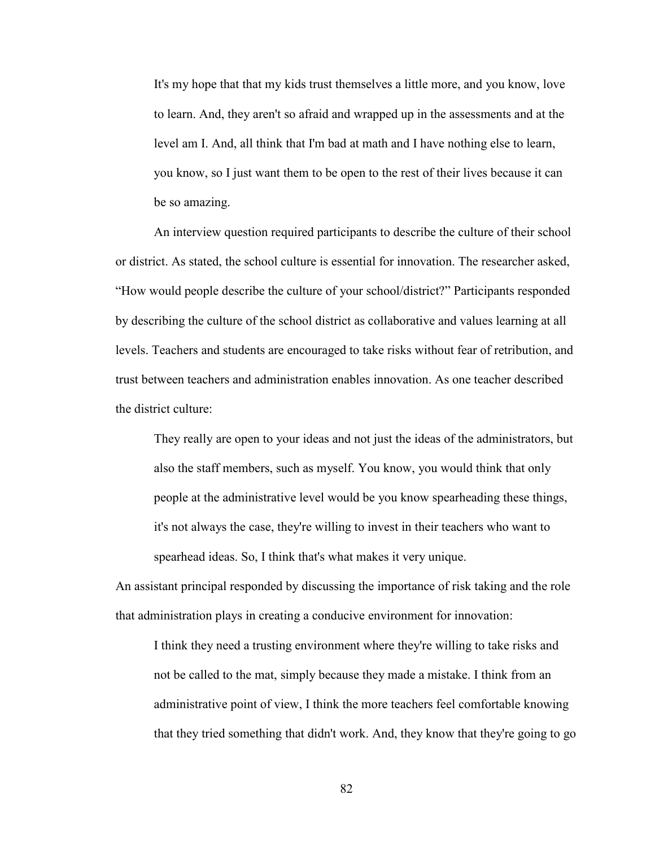It's my hope that that my kids trust themselves a little more, and you know, love to learn. And, they aren't so afraid and wrapped up in the assessments and at the level am I. And, all think that I'm bad at math and I have nothing else to learn, you know, so I just want them to be open to the rest of their lives because it can be so amazing.

An interview question required participants to describe the culture of their school or district. As stated, the school culture is essential for innovation. The researcher asked, "How would people describe the culture of your school/district?" Participants responded by describing the culture of the school district as collaborative and values learning at all levels. Teachers and students are encouraged to take risks without fear of retribution, and trust between teachers and administration enables innovation. As one teacher described the district culture:

They really are open to your ideas and not just the ideas of the administrators, but also the staff members, such as myself. You know, you would think that only people at the administrative level would be you know spearheading these things, it's not always the case, they're willing to invest in their teachers who want to spearhead ideas. So, I think that's what makes it very unique.

An assistant principal responded by discussing the importance of risk taking and the role that administration plays in creating a conducive environment for innovation:

I think they need a trusting environment where they're willing to take risks and not be called to the mat, simply because they made a mistake. I think from an administrative point of view, I think the more teachers feel comfortable knowing that they tried something that didn't work. And, they know that they're going to go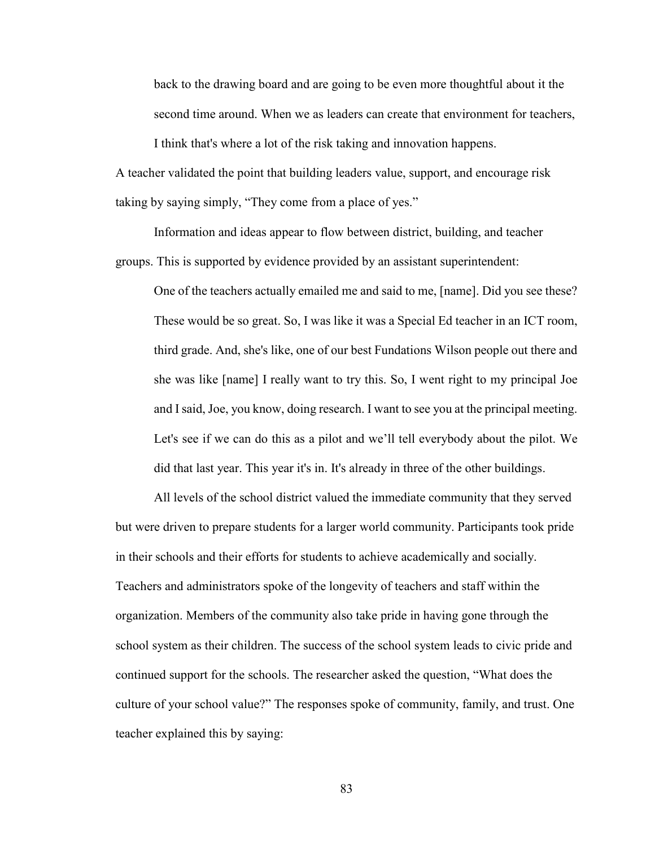back to the drawing board and are going to be even more thoughtful about it the second time around. When we as leaders can create that environment for teachers,

I think that's where a lot of the risk taking and innovation happens. A teacher validated the point that building leaders value, support, and encourage risk taking by saying simply, "They come from a place of yes."

Information and ideas appear to flow between district, building, and teacher groups. This is supported by evidence provided by an assistant superintendent:

One of the teachers actually emailed me and said to me, [name]. Did you see these? These would be so great. So, I was like it was a Special Ed teacher in an ICT room, third grade. And, she's like, one of our best Fundations Wilson people out there and she was like [name] I really want to try this. So, I went right to my principal Joe and I said, Joe, you know, doing research. I want to see you at the principal meeting. Let's see if we can do this as a pilot and we'll tell everybody about the pilot. We did that last year. This year it's in. It's already in three of the other buildings.

All levels of the school district valued the immediate community that they served but were driven to prepare students for a larger world community. Participants took pride in their schools and their efforts for students to achieve academically and socially. Teachers and administrators spoke of the longevity of teachers and staff within the organization. Members of the community also take pride in having gone through the school system as their children. The success of the school system leads to civic pride and continued support for the schools. The researcher asked the question, "What does the culture of your school value?" The responses spoke of community, family, and trust. One teacher explained this by saying: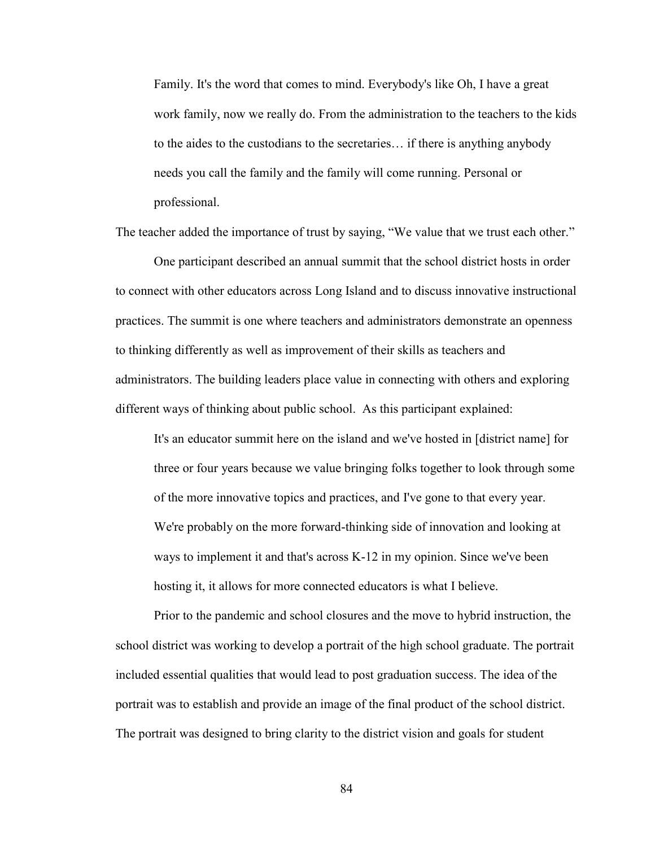Family. It's the word that comes to mind. Everybody's like Oh, I have a great work family, now we really do. From the administration to the teachers to the kids to the aides to the custodians to the secretaries… if there is anything anybody needs you call the family and the family will come running. Personal or professional.

The teacher added the importance of trust by saying, "We value that we trust each other."

One participant described an annual summit that the school district hosts in order to connect with other educators across Long Island and to discuss innovative instructional practices. The summit is one where teachers and administrators demonstrate an openness to thinking differently as well as improvement of their skills as teachers and administrators. The building leaders place value in connecting with others and exploring different ways of thinking about public school. As this participant explained:

It's an educator summit here on the island and we've hosted in [district name] for three or four years because we value bringing folks together to look through some of the more innovative topics and practices, and I've gone to that every year. We're probably on the more forward-thinking side of innovation and looking at ways to implement it and that's across K-12 in my opinion. Since we've been hosting it, it allows for more connected educators is what I believe.

Prior to the pandemic and school closures and the move to hybrid instruction, the school district was working to develop a portrait of the high school graduate. The portrait included essential qualities that would lead to post graduation success. The idea of the portrait was to establish and provide an image of the final product of the school district. The portrait was designed to bring clarity to the district vision and goals for student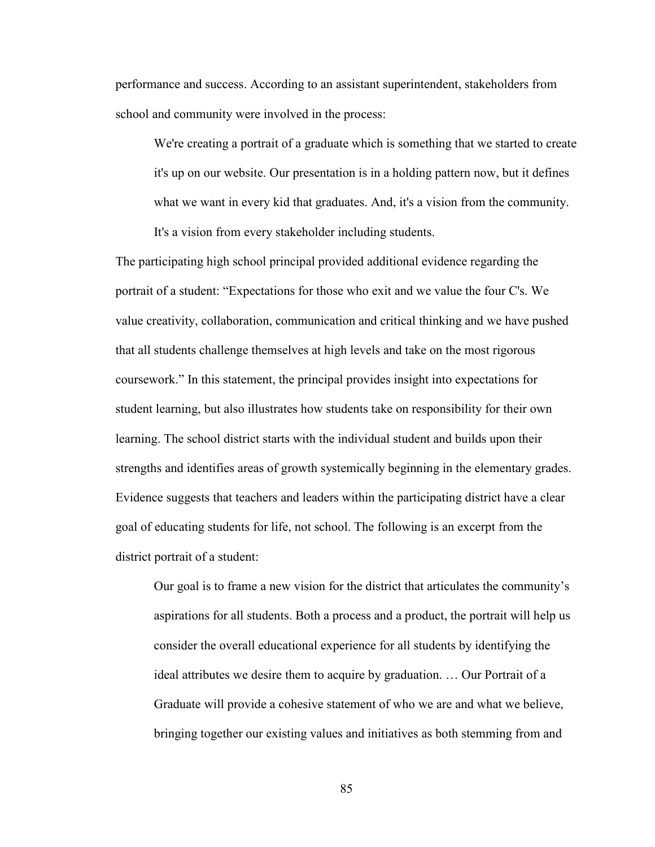performance and success. According to an assistant superintendent, stakeholders from school and community were involved in the process:

We're creating a portrait of a graduate which is something that we started to create it's up on our website. Our presentation is in a holding pattern now, but it defines what we want in every kid that graduates. And, it's a vision from the community.

It's a vision from every stakeholder including students.

The participating high school principal provided additional evidence regarding the portrait of a student: "Expectations for those who exit and we value the four C's. We value creativity, collaboration, communication and critical thinking and we have pushed that all students challenge themselves at high levels and take on the most rigorous coursework." In this statement, the principal provides insight into expectations for student learning, but also illustrates how students take on responsibility for their own learning. The school district starts with the individual student and builds upon their strengths and identifies areas of growth systemically beginning in the elementary grades. Evidence suggests that teachers and leaders within the participating district have a clear goal of educating students for life, not school. The following is an excerpt from the district portrait of a student:

Our goal is to frame a new vision for the district that articulates the community's aspirations for all students. Both a process and a product, the portrait will help us consider the overall educational experience for all students by identifying the ideal attributes we desire them to acquire by graduation. … Our Portrait of a Graduate will provide a cohesive statement of who we are and what we believe, bringing together our existing values and initiatives as both stemming from and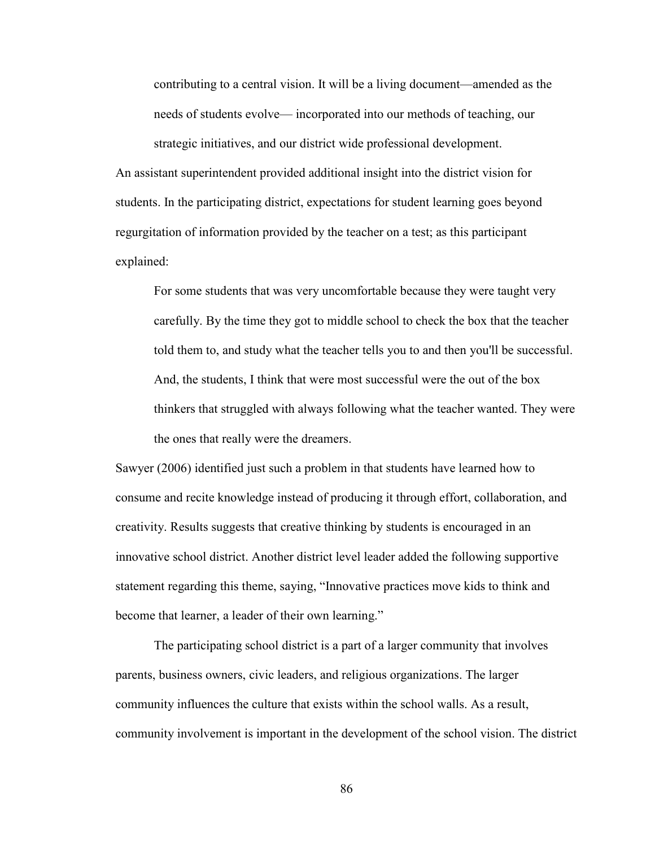contributing to a central vision. It will be a living document—amended as the needs of students evolve— incorporated into our methods of teaching, our

strategic initiatives, and our district wide professional development. An assistant superintendent provided additional insight into the district vision for students. In the participating district, expectations for student learning goes beyond regurgitation of information provided by the teacher on a test; as this participant explained:

For some students that was very uncomfortable because they were taught very carefully. By the time they got to middle school to check the box that the teacher told them to, and study what the teacher tells you to and then you'll be successful. And, the students, I think that were most successful were the out of the box thinkers that struggled with always following what the teacher wanted. They were the ones that really were the dreamers.

Sawyer (2006) identified just such a problem in that students have learned how to consume and recite knowledge instead of producing it through effort, collaboration, and creativity. Results suggests that creative thinking by students is encouraged in an innovative school district. Another district level leader added the following supportive statement regarding this theme, saying, "Innovative practices move kids to think and become that learner, a leader of their own learning."

The participating school district is a part of a larger community that involves parents, business owners, civic leaders, and religious organizations. The larger community influences the culture that exists within the school walls. As a result, community involvement is important in the development of the school vision. The district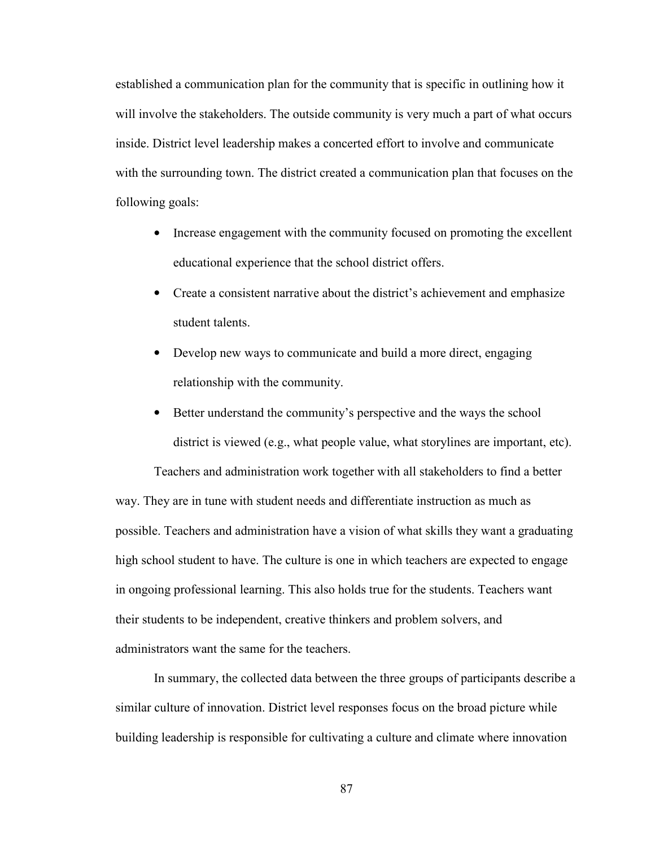established a communication plan for the community that is specific in outlining how it will involve the stakeholders. The outside community is very much a part of what occurs inside. District level leadership makes a concerted effort to involve and communicate with the surrounding town. The district created a communication plan that focuses on the following goals:

- Increase engagement with the community focused on promoting the excellent educational experience that the school district offers.
- Create a consistent narrative about the district's achievement and emphasize student talents.
- Develop new ways to communicate and build a more direct, engaging relationship with the community.
- Better understand the community's perspective and the ways the school district is viewed (e.g., what people value, what storylines are important, etc).

Teachers and administration work together with all stakeholders to find a better way. They are in tune with student needs and differentiate instruction as much as possible. Teachers and administration have a vision of what skills they want a graduating high school student to have. The culture is one in which teachers are expected to engage in ongoing professional learning. This also holds true for the students. Teachers want their students to be independent, creative thinkers and problem solvers, and administrators want the same for the teachers.

In summary, the collected data between the three groups of participants describe a similar culture of innovation. District level responses focus on the broad picture while building leadership is responsible for cultivating a culture and climate where innovation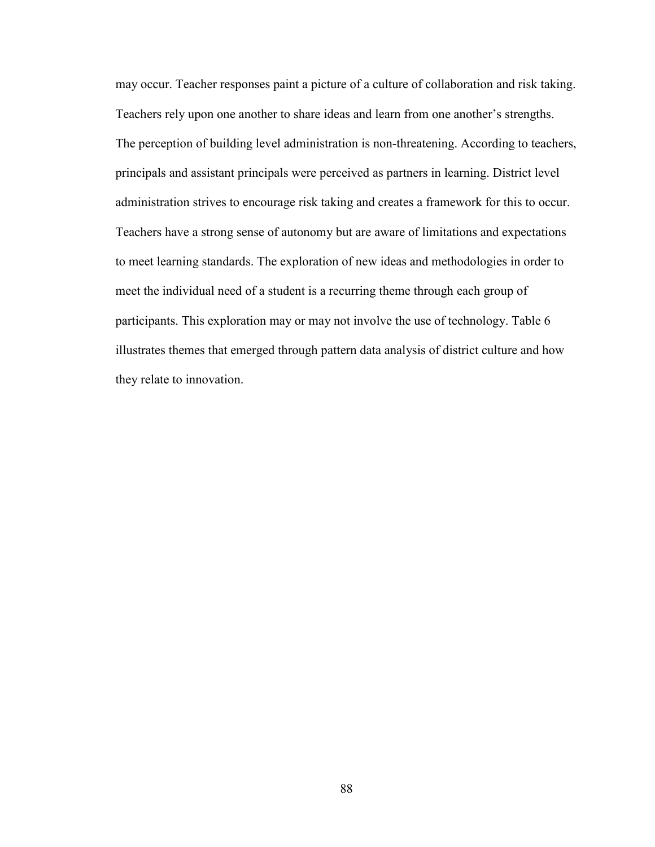may occur. Teacher responses paint a picture of a culture of collaboration and risk taking. Teachers rely upon one another to share ideas and learn from one another's strengths. The perception of building level administration is non-threatening. According to teachers, principals and assistant principals were perceived as partners in learning. District level administration strives to encourage risk taking and creates a framework for this to occur. Teachers have a strong sense of autonomy but are aware of limitations and expectations to meet learning standards. The exploration of new ideas and methodologies in order to meet the individual need of a student is a recurring theme through each group of participants. This exploration may or may not involve the use of technology. Table 6 illustrates themes that emerged through pattern data analysis of district culture and how they relate to innovation.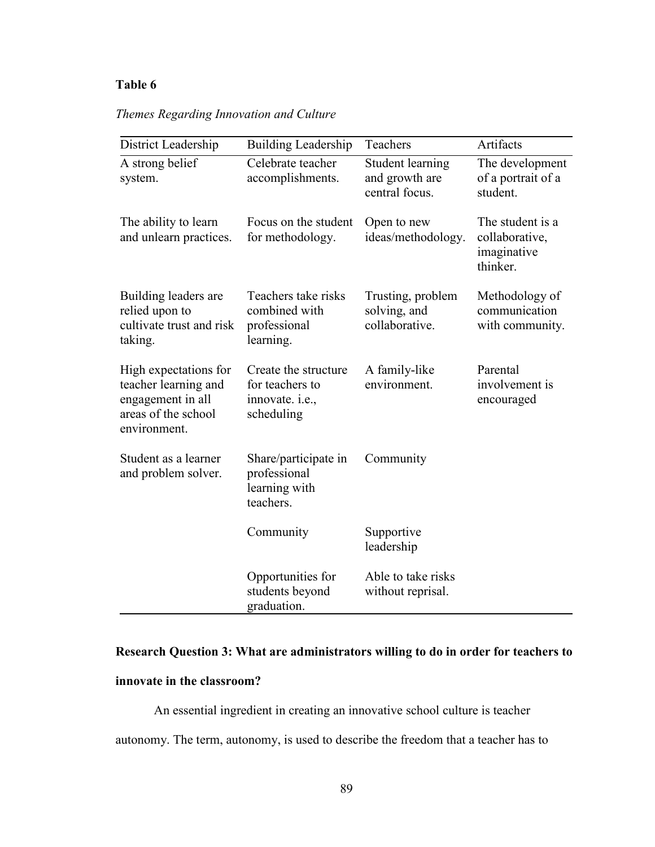## **Table 6**

|  |  |  | Themes Regarding Innovation and Culture |  |  |
|--|--|--|-----------------------------------------|--|--|
|--|--|--|-----------------------------------------|--|--|

| District Leadership                                                                                       | <b>Building Leadership</b>                                               | Teachers                                             | Artifacts                                                     |
|-----------------------------------------------------------------------------------------------------------|--------------------------------------------------------------------------|------------------------------------------------------|---------------------------------------------------------------|
| A strong belief<br>system.                                                                                | Celebrate teacher<br>accomplishments.                                    | Student learning<br>and growth are<br>central focus. | The development<br>of a portrait of a<br>student.             |
| The ability to learn<br>and unlearn practices.                                                            | Focus on the student<br>for methodology.                                 | Open to new<br>ideas/methodology.                    | The student is a<br>collaborative,<br>imaginative<br>thinker. |
| Building leaders are<br>relied upon to<br>cultivate trust and risk<br>taking.                             | Teachers take risks<br>combined with<br>professional<br>learning.        | Trusting, problem<br>solving, and<br>collaborative.  | Methodology of<br>communication<br>with community.            |
| High expectations for<br>teacher learning and<br>engagement in all<br>areas of the school<br>environment. | Create the structure<br>for teachers to<br>innovate. i.e.,<br>scheduling | A family-like<br>environment.                        | Parental<br>involvement is<br>encouraged                      |
| Student as a learner<br>and problem solver.                                                               | Share/participate in<br>professional<br>learning with<br>teachers.       | Community                                            |                                                               |
|                                                                                                           | Community                                                                | Supportive<br>leadership                             |                                                               |
|                                                                                                           | Opportunities for<br>students beyond<br>graduation.                      | Able to take risks<br>without reprisal.              |                                                               |

## **Research Question 3: What are administrators willing to do in order for teachers to**

## **innovate in the classroom?**

An essential ingredient in creating an innovative school culture is teacher autonomy. The term, autonomy, is used to describe the freedom that a teacher has to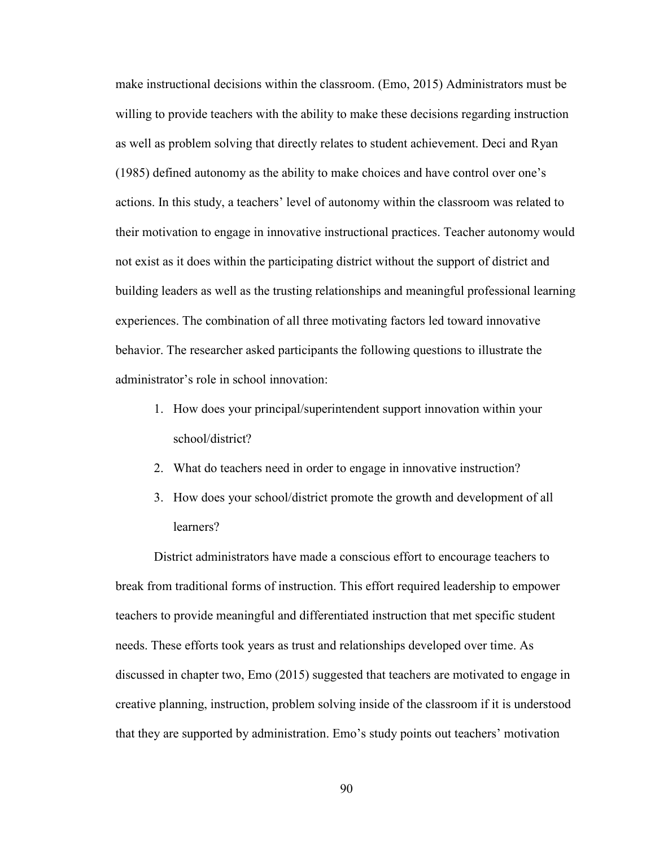make instructional decisions within the classroom. (Emo, 2015) Administrators must be willing to provide teachers with the ability to make these decisions regarding instruction as well as problem solving that directly relates to student achievement. Deci and Ryan (1985) defined autonomy as the ability to make choices and have control over one's actions. In this study, a teachers' level of autonomy within the classroom was related to their motivation to engage in innovative instructional practices. Teacher autonomy would not exist as it does within the participating district without the support of district and building leaders as well as the trusting relationships and meaningful professional learning experiences. The combination of all three motivating factors led toward innovative behavior. The researcher asked participants the following questions to illustrate the administrator's role in school innovation:

- 1. How does your principal/superintendent support innovation within your school/district?
- 2. What do teachers need in order to engage in innovative instruction?
- 3. How does your school/district promote the growth and development of all learners?

District administrators have made a conscious effort to encourage teachers to break from traditional forms of instruction. This effort required leadership to empower teachers to provide meaningful and differentiated instruction that met specific student needs. These efforts took years as trust and relationships developed over time. As discussed in chapter two, Emo (2015) suggested that teachers are motivated to engage in creative planning, instruction, problem solving inside of the classroom if it is understood that they are supported by administration. Emo's study points out teachers' motivation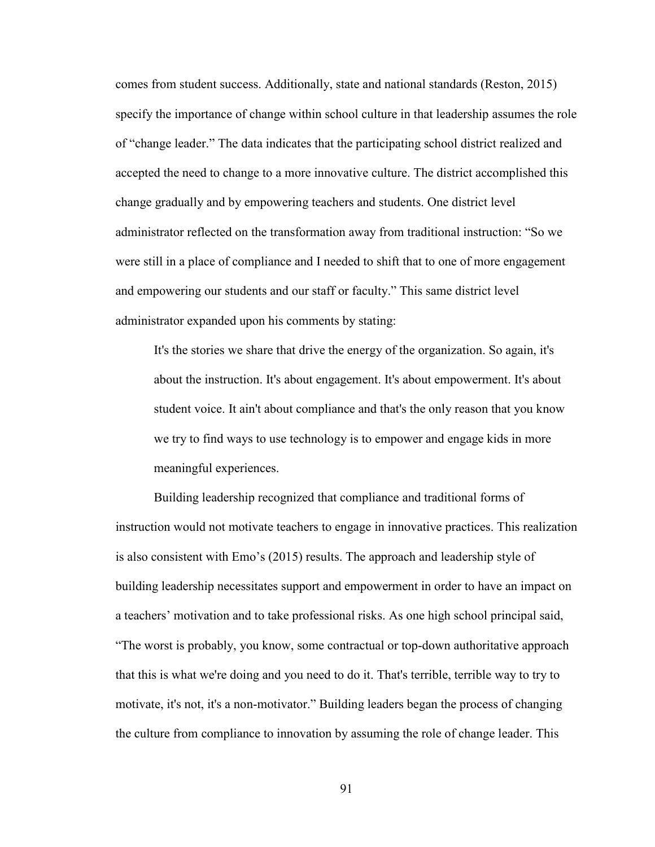comes from student success. Additionally, state and national standards (Reston, 2015) specify the importance of change within school culture in that leadership assumes the role of "change leader." The data indicates that the participating school district realized and accepted the need to change to a more innovative culture. The district accomplished this change gradually and by empowering teachers and students. One district level administrator reflected on the transformation away from traditional instruction: "So we were still in a place of compliance and I needed to shift that to one of more engagement and empowering our students and our staff or faculty." This same district level administrator expanded upon his comments by stating:

It's the stories we share that drive the energy of the organization. So again, it's about the instruction. It's about engagement. It's about empowerment. It's about student voice. It ain't about compliance and that's the only reason that you know we try to find ways to use technology is to empower and engage kids in more meaningful experiences.

Building leadership recognized that compliance and traditional forms of instruction would not motivate teachers to engage in innovative practices. This realization is also consistent with Emo's (2015) results. The approach and leadership style of building leadership necessitates support and empowerment in order to have an impact on a teachers' motivation and to take professional risks. As one high school principal said, "The worst is probably, you know, some contractual or top-down authoritative approach that this is what we're doing and you need to do it. That's terrible, terrible way to try to motivate, it's not, it's a non-motivator." Building leaders began the process of changing the culture from compliance to innovation by assuming the role of change leader. This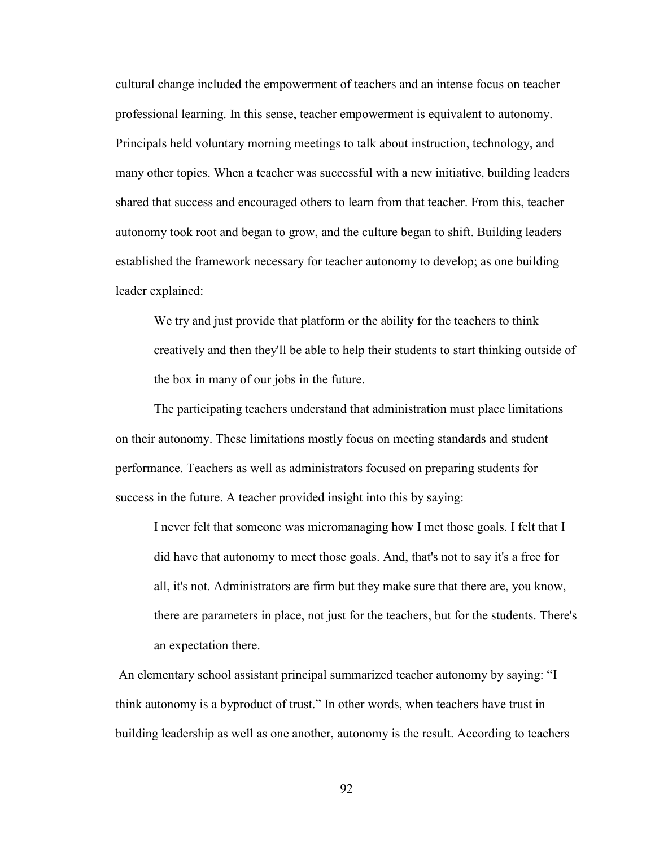cultural change included the empowerment of teachers and an intense focus on teacher professional learning. In this sense, teacher empowerment is equivalent to autonomy. Principals held voluntary morning meetings to talk about instruction, technology, and many other topics. When a teacher was successful with a new initiative, building leaders shared that success and encouraged others to learn from that teacher. From this, teacher autonomy took root and began to grow, and the culture began to shift. Building leaders established the framework necessary for teacher autonomy to develop; as one building leader explained:

We try and just provide that platform or the ability for the teachers to think creatively and then they'll be able to help their students to start thinking outside of the box in many of our jobs in the future.

The participating teachers understand that administration must place limitations on their autonomy. These limitations mostly focus on meeting standards and student performance. Teachers as well as administrators focused on preparing students for success in the future. A teacher provided insight into this by saying:

I never felt that someone was micromanaging how I met those goals. I felt that I did have that autonomy to meet those goals. And, that's not to say it's a free for all, it's not. Administrators are firm but they make sure that there are, you know, there are parameters in place, not just for the teachers, but for the students. There's an expectation there.

 An elementary school assistant principal summarized teacher autonomy by saying: "I think autonomy is a byproduct of trust." In other words, when teachers have trust in building leadership as well as one another, autonomy is the result. According to teachers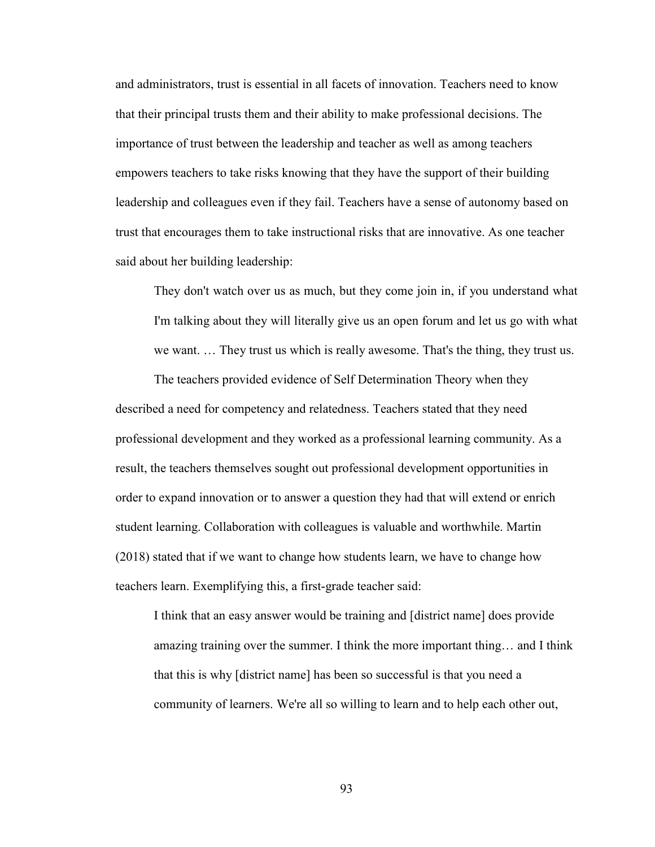and administrators, trust is essential in all facets of innovation. Teachers need to know that their principal trusts them and their ability to make professional decisions. The importance of trust between the leadership and teacher as well as among teachers empowers teachers to take risks knowing that they have the support of their building leadership and colleagues even if they fail. Teachers have a sense of autonomy based on trust that encourages them to take instructional risks that are innovative. As one teacher said about her building leadership:

They don't watch over us as much, but they come join in, if you understand what I'm talking about they will literally give us an open forum and let us go with what we want. … They trust us which is really awesome. That's the thing, they trust us.

The teachers provided evidence of Self Determination Theory when they described a need for competency and relatedness. Teachers stated that they need professional development and they worked as a professional learning community. As a result, the teachers themselves sought out professional development opportunities in order to expand innovation or to answer a question they had that will extend or enrich student learning. Collaboration with colleagues is valuable and worthwhile. Martin (2018) stated that if we want to change how students learn, we have to change how teachers learn. Exemplifying this, a first-grade teacher said:

I think that an easy answer would be training and [district name] does provide amazing training over the summer. I think the more important thing… and I think that this is why [district name] has been so successful is that you need a community of learners. We're all so willing to learn and to help each other out,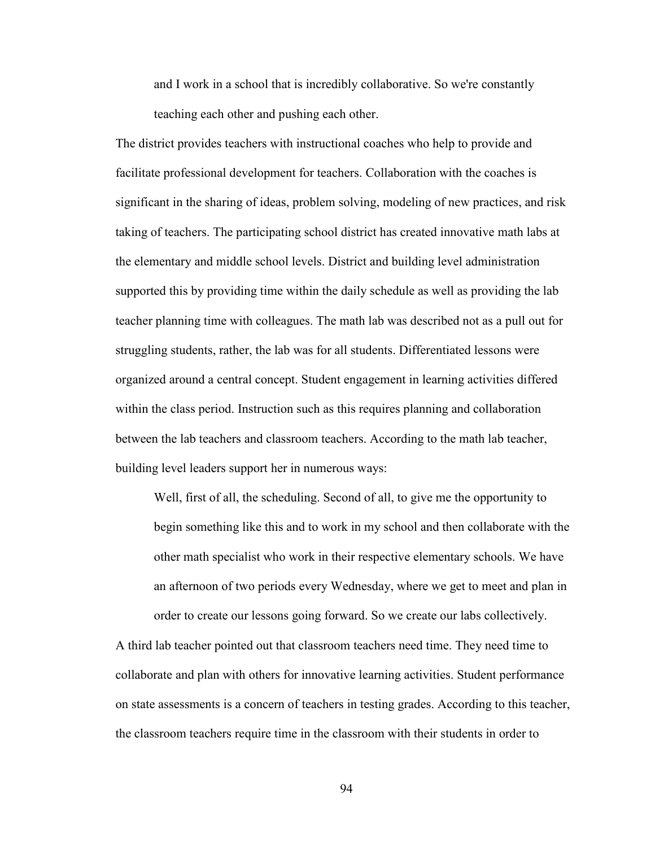and I work in a school that is incredibly collaborative. So we're constantly teaching each other and pushing each other.

The district provides teachers with instructional coaches who help to provide and facilitate professional development for teachers. Collaboration with the coaches is significant in the sharing of ideas, problem solving, modeling of new practices, and risk taking of teachers. The participating school district has created innovative math labs at the elementary and middle school levels. District and building level administration supported this by providing time within the daily schedule as well as providing the lab teacher planning time with colleagues. The math lab was described not as a pull out for struggling students, rather, the lab was for all students. Differentiated lessons were organized around a central concept. Student engagement in learning activities differed within the class period. Instruction such as this requires planning and collaboration between the lab teachers and classroom teachers. According to the math lab teacher, building level leaders support her in numerous ways:

Well, first of all, the scheduling. Second of all, to give me the opportunity to begin something like this and to work in my school and then collaborate with the other math specialist who work in their respective elementary schools. We have an afternoon of two periods every Wednesday, where we get to meet and plan in order to create our lessons going forward. So we create our labs collectively.

A third lab teacher pointed out that classroom teachers need time. They need time to collaborate and plan with others for innovative learning activities. Student performance on state assessments is a concern of teachers in testing grades. According to this teacher, the classroom teachers require time in the classroom with their students in order to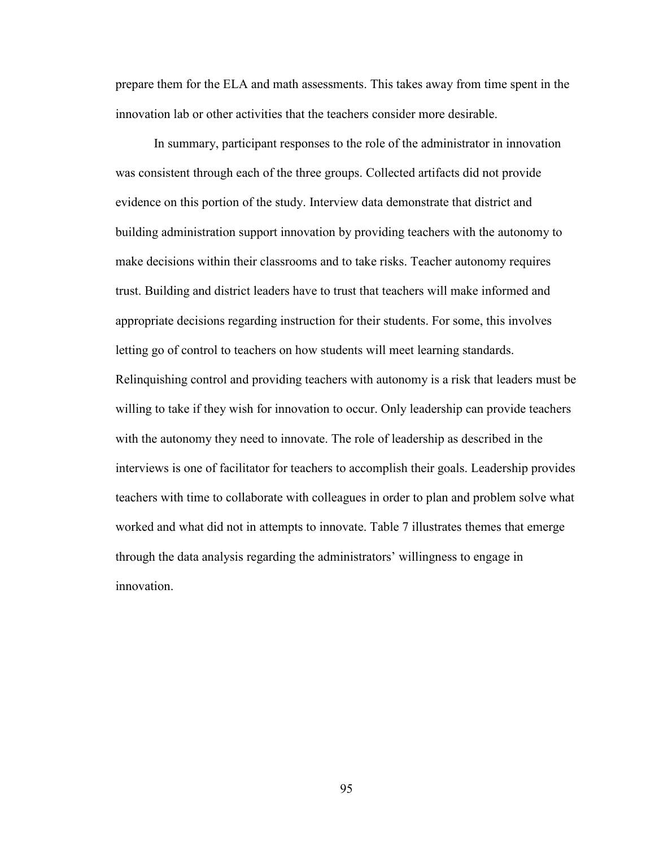prepare them for the ELA and math assessments. This takes away from time spent in the innovation lab or other activities that the teachers consider more desirable.

In summary, participant responses to the role of the administrator in innovation was consistent through each of the three groups. Collected artifacts did not provide evidence on this portion of the study. Interview data demonstrate that district and building administration support innovation by providing teachers with the autonomy to make decisions within their classrooms and to take risks. Teacher autonomy requires trust. Building and district leaders have to trust that teachers will make informed and appropriate decisions regarding instruction for their students. For some, this involves letting go of control to teachers on how students will meet learning standards. Relinquishing control and providing teachers with autonomy is a risk that leaders must be willing to take if they wish for innovation to occur. Only leadership can provide teachers with the autonomy they need to innovate. The role of leadership as described in the interviews is one of facilitator for teachers to accomplish their goals. Leadership provides teachers with time to collaborate with colleagues in order to plan and problem solve what worked and what did not in attempts to innovate. Table 7 illustrates themes that emerge through the data analysis regarding the administrators' willingness to engage in innovation.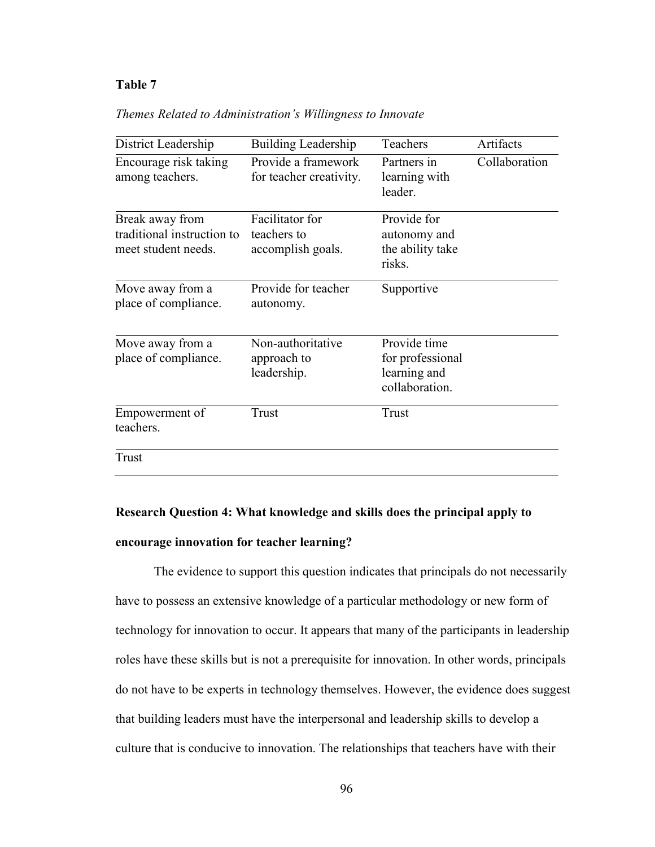### **Table 7**

|  | Themes Related to Administration's Willingness to Innovate |  |  |
|--|------------------------------------------------------------|--|--|
|--|------------------------------------------------------------|--|--|

| District Leadership                                                  | <b>Building Leadership</b>                          | Teachers                                                           | Artifacts     |
|----------------------------------------------------------------------|-----------------------------------------------------|--------------------------------------------------------------------|---------------|
| Encourage risk taking<br>among teachers.                             | Provide a framework<br>for teacher creativity.      | Partners in<br>learning with<br>leader.                            | Collaboration |
| Break away from<br>traditional instruction to<br>meet student needs. | Facilitator for<br>teachers to<br>accomplish goals. | Provide for<br>autonomy and<br>the ability take<br>risks.          |               |
| Move away from a<br>place of compliance.                             | Provide for teacher<br>autonomy.                    | Supportive                                                         |               |
| Move away from a<br>place of compliance.                             | Non-authoritative<br>approach to<br>leadership.     | Provide time<br>for professional<br>learning and<br>collaboration. |               |
| Empowerment of<br>teachers.                                          | Trust                                               | Trust                                                              |               |
| <b>Trust</b>                                                         |                                                     |                                                                    |               |

# **Research Question 4: What knowledge and skills does the principal apply to encourage innovation for teacher learning?**

The evidence to support this question indicates that principals do not necessarily have to possess an extensive knowledge of a particular methodology or new form of technology for innovation to occur. It appears that many of the participants in leadership roles have these skills but is not a prerequisite for innovation. In other words, principals do not have to be experts in technology themselves. However, the evidence does suggest that building leaders must have the interpersonal and leadership skills to develop a culture that is conducive to innovation. The relationships that teachers have with their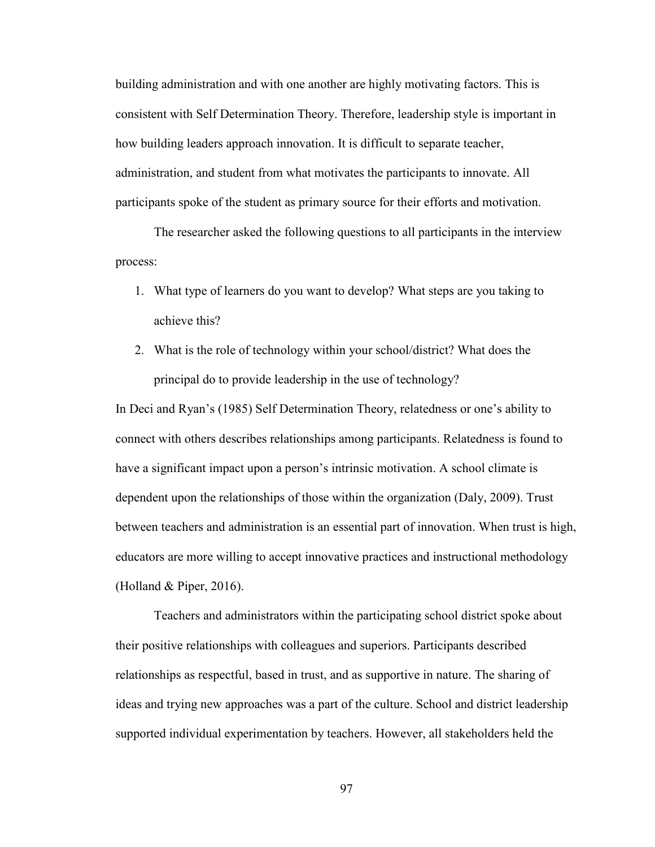building administration and with one another are highly motivating factors. This is consistent with Self Determination Theory. Therefore, leadership style is important in how building leaders approach innovation. It is difficult to separate teacher, administration, and student from what motivates the participants to innovate. All participants spoke of the student as primary source for their efforts and motivation.

The researcher asked the following questions to all participants in the interview process:

- 1. What type of learners do you want to develop? What steps are you taking to achieve this?
- 2. What is the role of technology within your school/district? What does the principal do to provide leadership in the use of technology?

In Deci and Ryan's (1985) Self Determination Theory, relatedness or one's ability to connect with others describes relationships among participants. Relatedness is found to have a significant impact upon a person's intrinsic motivation. A school climate is dependent upon the relationships of those within the organization (Daly, 2009). Trust between teachers and administration is an essential part of innovation. When trust is high, educators are more willing to accept innovative practices and instructional methodology (Holland & Piper, 2016).

 Teachers and administrators within the participating school district spoke about their positive relationships with colleagues and superiors. Participants described relationships as respectful, based in trust, and as supportive in nature. The sharing of ideas and trying new approaches was a part of the culture. School and district leadership supported individual experimentation by teachers. However, all stakeholders held the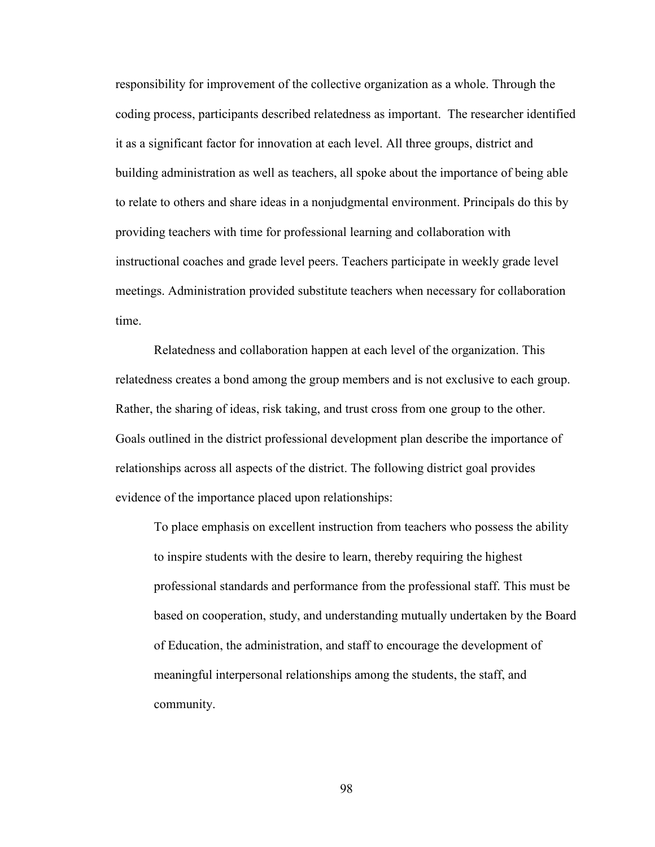responsibility for improvement of the collective organization as a whole. Through the coding process, participants described relatedness as important. The researcher identified it as a significant factor for innovation at each level. All three groups, district and building administration as well as teachers, all spoke about the importance of being able to relate to others and share ideas in a nonjudgmental environment. Principals do this by providing teachers with time for professional learning and collaboration with instructional coaches and grade level peers. Teachers participate in weekly grade level meetings. Administration provided substitute teachers when necessary for collaboration time.

Relatedness and collaboration happen at each level of the organization. This relatedness creates a bond among the group members and is not exclusive to each group. Rather, the sharing of ideas, risk taking, and trust cross from one group to the other. Goals outlined in the district professional development plan describe the importance of relationships across all aspects of the district. The following district goal provides evidence of the importance placed upon relationships:

To place emphasis on excellent instruction from teachers who possess the ability to inspire students with the desire to learn, thereby requiring the highest professional standards and performance from the professional staff. This must be based on cooperation, study, and understanding mutually undertaken by the Board of Education, the administration, and staff to encourage the development of meaningful interpersonal relationships among the students, the staff, and community.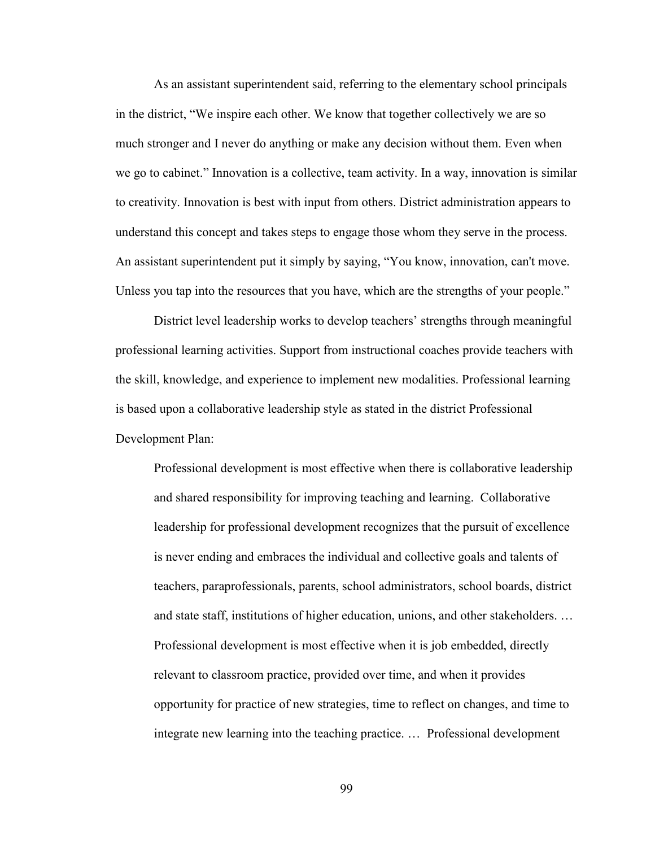As an assistant superintendent said, referring to the elementary school principals in the district, "We inspire each other. We know that together collectively we are so much stronger and I never do anything or make any decision without them. Even when we go to cabinet." Innovation is a collective, team activity. In a way, innovation is similar to creativity. Innovation is best with input from others. District administration appears to understand this concept and takes steps to engage those whom they serve in the process. An assistant superintendent put it simply by saying, "You know, innovation, can't move. Unless you tap into the resources that you have, which are the strengths of your people."

District level leadership works to develop teachers' strengths through meaningful professional learning activities. Support from instructional coaches provide teachers with the skill, knowledge, and experience to implement new modalities. Professional learning is based upon a collaborative leadership style as stated in the district Professional Development Plan:

Professional development is most effective when there is collaborative leadership and shared responsibility for improving teaching and learning. Collaborative leadership for professional development recognizes that the pursuit of excellence is never ending and embraces the individual and collective goals and talents of teachers, paraprofessionals, parents, school administrators, school boards, district and state staff, institutions of higher education, unions, and other stakeholders. … Professional development is most effective when it is job embedded, directly relevant to classroom practice, provided over time, and when it provides opportunity for practice of new strategies, time to reflect on changes, and time to integrate new learning into the teaching practice. … Professional development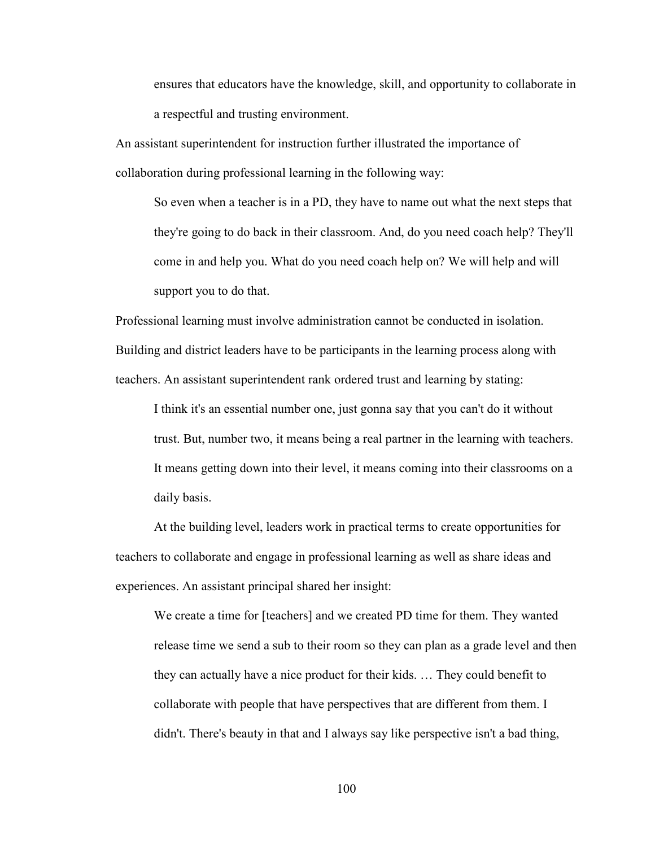ensures that educators have the knowledge, skill, and opportunity to collaborate in a respectful and trusting environment.

An assistant superintendent for instruction further illustrated the importance of collaboration during professional learning in the following way:

So even when a teacher is in a PD, they have to name out what the next steps that they're going to do back in their classroom. And, do you need coach help? They'll come in and help you. What do you need coach help on? We will help and will support you to do that.

Professional learning must involve administration cannot be conducted in isolation. Building and district leaders have to be participants in the learning process along with teachers. An assistant superintendent rank ordered trust and learning by stating:

I think it's an essential number one, just gonna say that you can't do it without trust. But, number two, it means being a real partner in the learning with teachers. It means getting down into their level, it means coming into their classrooms on a daily basis.

 At the building level, leaders work in practical terms to create opportunities for teachers to collaborate and engage in professional learning as well as share ideas and experiences. An assistant principal shared her insight:

We create a time for [teachers] and we created PD time for them. They wanted release time we send a sub to their room so they can plan as a grade level and then they can actually have a nice product for their kids. … They could benefit to collaborate with people that have perspectives that are different from them. I didn't. There's beauty in that and I always say like perspective isn't a bad thing,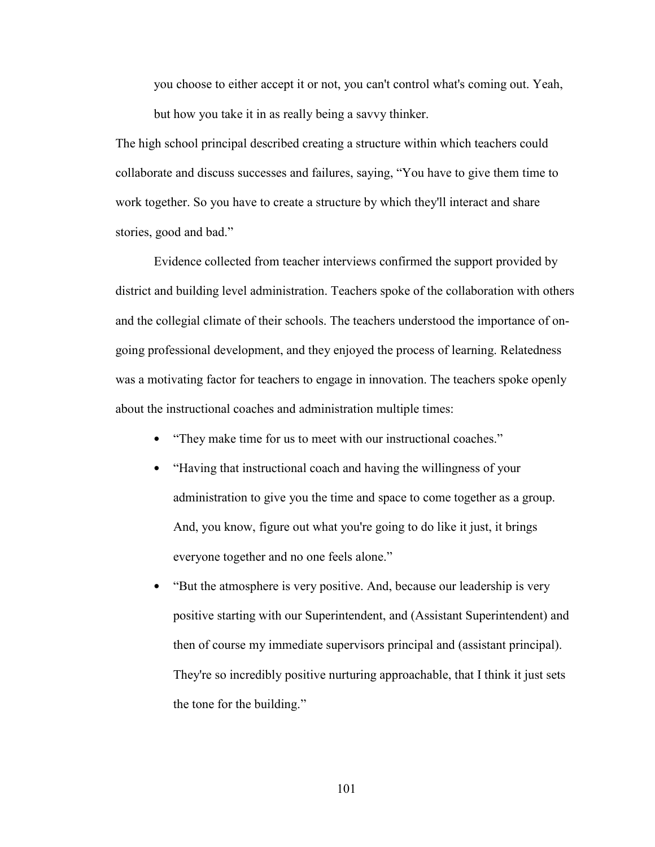you choose to either accept it or not, you can't control what's coming out. Yeah, but how you take it in as really being a savvy thinker.

The high school principal described creating a structure within which teachers could collaborate and discuss successes and failures, saying, "You have to give them time to work together. So you have to create a structure by which they'll interact and share stories, good and bad."

Evidence collected from teacher interviews confirmed the support provided by district and building level administration. Teachers spoke of the collaboration with others and the collegial climate of their schools. The teachers understood the importance of ongoing professional development, and they enjoyed the process of learning. Relatedness was a motivating factor for teachers to engage in innovation. The teachers spoke openly about the instructional coaches and administration multiple times:

- "They make time for us to meet with our instructional coaches."
- "Having that instructional coach and having the willingness of your administration to give you the time and space to come together as a group. And, you know, figure out what you're going to do like it just, it brings everyone together and no one feels alone."
- "But the atmosphere is very positive. And, because our leadership is very positive starting with our Superintendent, and (Assistant Superintendent) and then of course my immediate supervisors principal and (assistant principal). They're so incredibly positive nurturing approachable, that I think it just sets the tone for the building."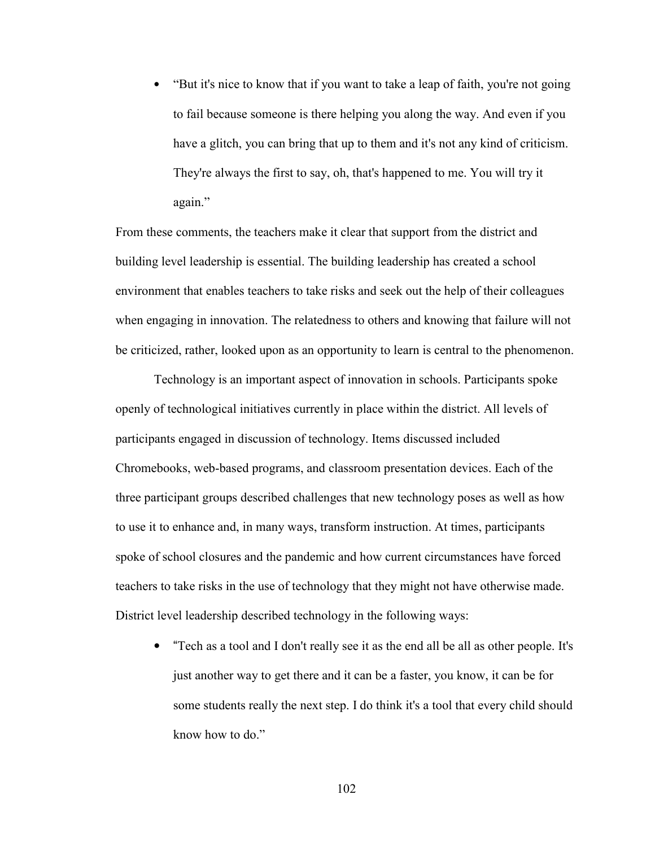• "But it's nice to know that if you want to take a leap of faith, you're not going to fail because someone is there helping you along the way. And even if you have a glitch, you can bring that up to them and it's not any kind of criticism. They're always the first to say, oh, that's happened to me. You will try it again."

From these comments, the teachers make it clear that support from the district and building level leadership is essential. The building leadership has created a school environment that enables teachers to take risks and seek out the help of their colleagues when engaging in innovation. The relatedness to others and knowing that failure will not be criticized, rather, looked upon as an opportunity to learn is central to the phenomenon.

 Technology is an important aspect of innovation in schools. Participants spoke openly of technological initiatives currently in place within the district. All levels of participants engaged in discussion of technology. Items discussed included Chromebooks, web-based programs, and classroom presentation devices. Each of the three participant groups described challenges that new technology poses as well as how to use it to enhance and, in many ways, transform instruction. At times, participants spoke of school closures and the pandemic and how current circumstances have forced teachers to take risks in the use of technology that they might not have otherwise made. District level leadership described technology in the following ways:

• "Tech as a tool and I don't really see it as the end all be all as other people. It's just another way to get there and it can be a faster, you know, it can be for some students really the next step. I do think it's a tool that every child should know how to do."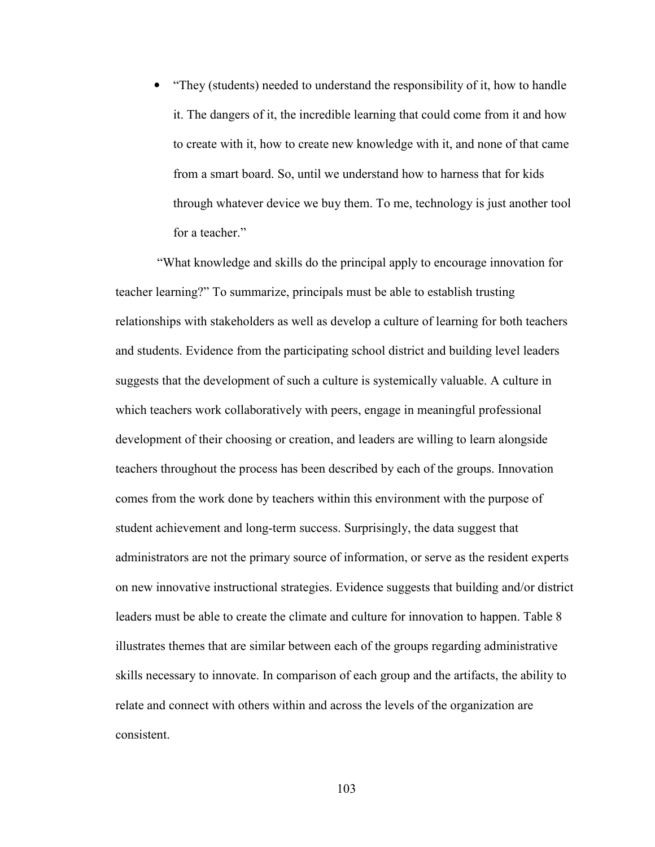• "They (students) needed to understand the responsibility of it, how to handle it. The dangers of it, the incredible learning that could come from it and how to create with it, how to create new knowledge with it, and none of that came from a smart board. So, until we understand how to harness that for kids through whatever device we buy them. To me, technology is just another tool for a teacher."

 "What knowledge and skills do the principal apply to encourage innovation for teacher learning?" To summarize, principals must be able to establish trusting relationships with stakeholders as well as develop a culture of learning for both teachers and students. Evidence from the participating school district and building level leaders suggests that the development of such a culture is systemically valuable. A culture in which teachers work collaboratively with peers, engage in meaningful professional development of their choosing or creation, and leaders are willing to learn alongside teachers throughout the process has been described by each of the groups. Innovation comes from the work done by teachers within this environment with the purpose of student achievement and long-term success. Surprisingly, the data suggest that administrators are not the primary source of information, or serve as the resident experts on new innovative instructional strategies. Evidence suggests that building and/or district leaders must be able to create the climate and culture for innovation to happen. Table 8 illustrates themes that are similar between each of the groups regarding administrative skills necessary to innovate. In comparison of each group and the artifacts, the ability to relate and connect with others within and across the levels of the organization are consistent.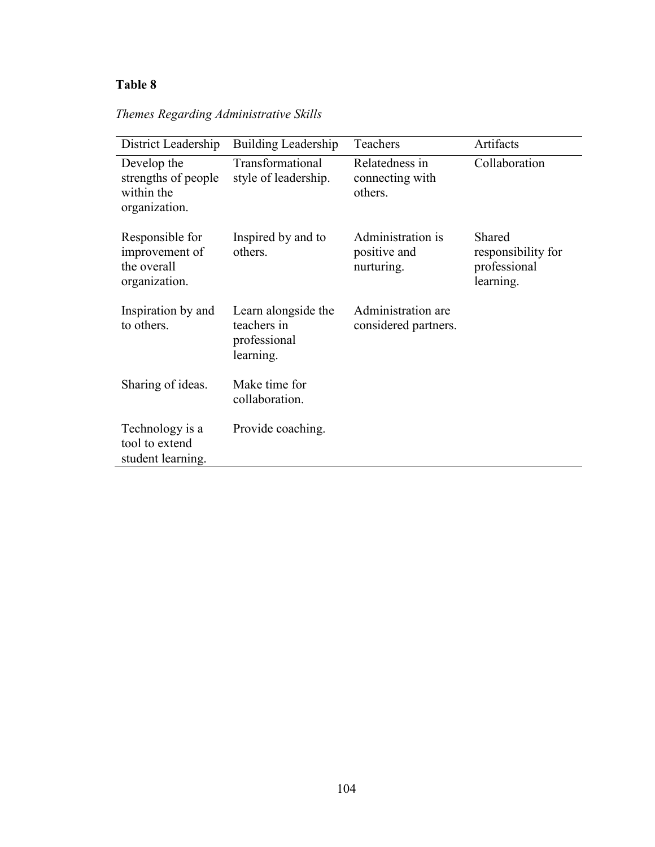# **Table 8**

| District Leadership                                               | Building Leadership                                             | Teachers                                        | Artifacts                                                 |
|-------------------------------------------------------------------|-----------------------------------------------------------------|-------------------------------------------------|-----------------------------------------------------------|
| Develop the<br>strengths of people<br>within the<br>organization. | Transformational<br>style of leadership.                        | Relatedness in<br>connecting with<br>others.    | Collaboration                                             |
| Responsible for<br>improvement of<br>the overall<br>organization. | Inspired by and to<br>others.                                   | Administration is<br>positive and<br>nurturing. | Shared<br>responsibility for<br>professional<br>learning. |
| Inspiration by and<br>to others.                                  | Learn alongside the<br>teachers in<br>professional<br>learning. | Administration are<br>considered partners.      |                                                           |
| Sharing of ideas.                                                 | Make time for<br>collaboration.                                 |                                                 |                                                           |
| Technology is a<br>tool to extend<br>student learning.            | Provide coaching.                                               |                                                 |                                                           |

*Themes Regarding Administrative Skills*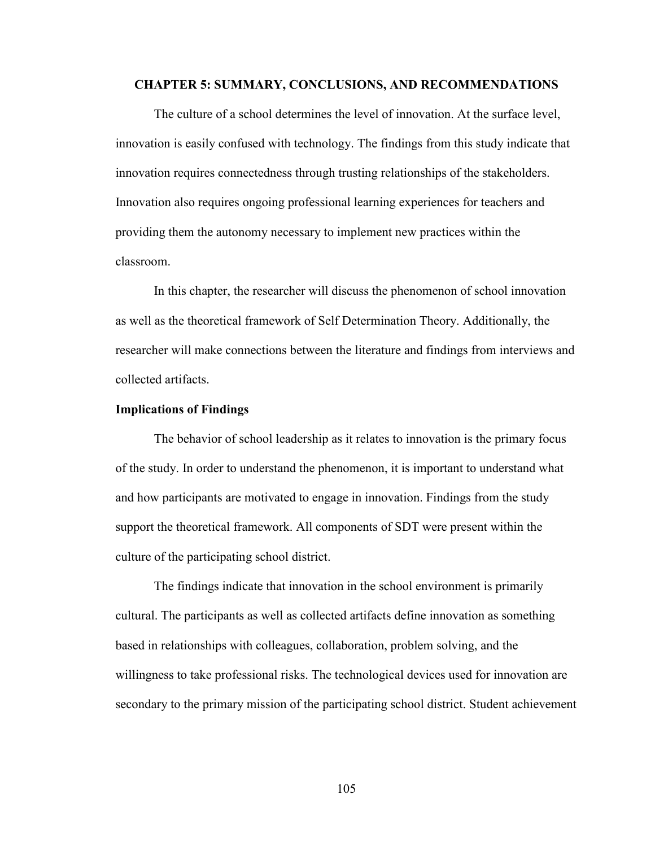#### **CHAPTER 5: SUMMARY, CONCLUSIONS, AND RECOMMENDATIONS**

 The culture of a school determines the level of innovation. At the surface level, innovation is easily confused with technology. The findings from this study indicate that innovation requires connectedness through trusting relationships of the stakeholders. Innovation also requires ongoing professional learning experiences for teachers and providing them the autonomy necessary to implement new practices within the classroom.

 In this chapter, the researcher will discuss the phenomenon of school innovation as well as the theoretical framework of Self Determination Theory. Additionally, the researcher will make connections between the literature and findings from interviews and collected artifacts.

#### **Implications of Findings**

The behavior of school leadership as it relates to innovation is the primary focus of the study. In order to understand the phenomenon, it is important to understand what and how participants are motivated to engage in innovation. Findings from the study support the theoretical framework. All components of SDT were present within the culture of the participating school district.

The findings indicate that innovation in the school environment is primarily cultural. The participants as well as collected artifacts define innovation as something based in relationships with colleagues, collaboration, problem solving, and the willingness to take professional risks. The technological devices used for innovation are secondary to the primary mission of the participating school district. Student achievement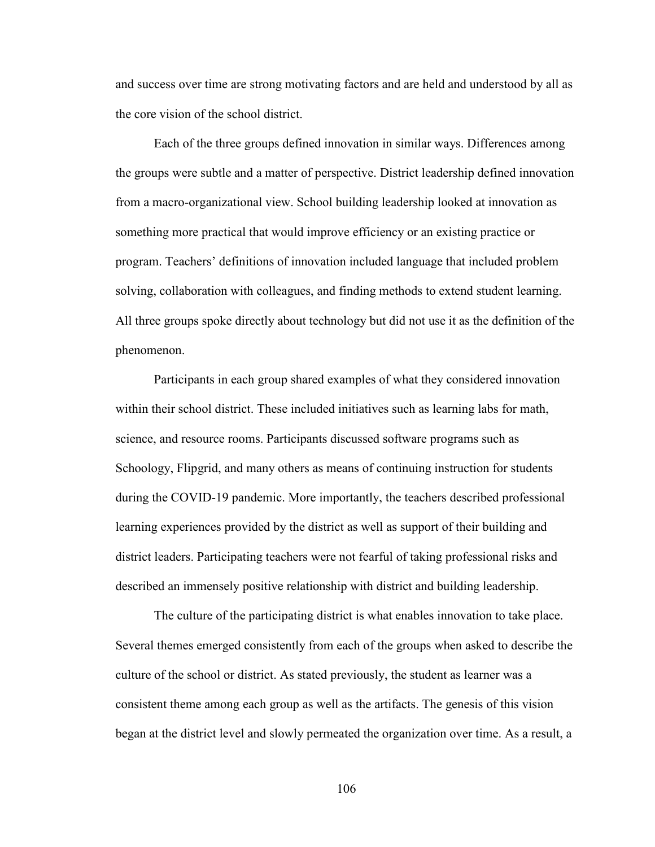and success over time are strong motivating factors and are held and understood by all as the core vision of the school district.

Each of the three groups defined innovation in similar ways. Differences among the groups were subtle and a matter of perspective. District leadership defined innovation from a macro-organizational view. School building leadership looked at innovation as something more practical that would improve efficiency or an existing practice or program. Teachers' definitions of innovation included language that included problem solving, collaboration with colleagues, and finding methods to extend student learning. All three groups spoke directly about technology but did not use it as the definition of the phenomenon.

Participants in each group shared examples of what they considered innovation within their school district. These included initiatives such as learning labs for math, science, and resource rooms. Participants discussed software programs such as Schoology, Flipgrid, and many others as means of continuing instruction for students during the COVID-19 pandemic. More importantly, the teachers described professional learning experiences provided by the district as well as support of their building and district leaders. Participating teachers were not fearful of taking professional risks and described an immensely positive relationship with district and building leadership.

The culture of the participating district is what enables innovation to take place. Several themes emerged consistently from each of the groups when asked to describe the culture of the school or district. As stated previously, the student as learner was a consistent theme among each group as well as the artifacts. The genesis of this vision began at the district level and slowly permeated the organization over time. As a result, a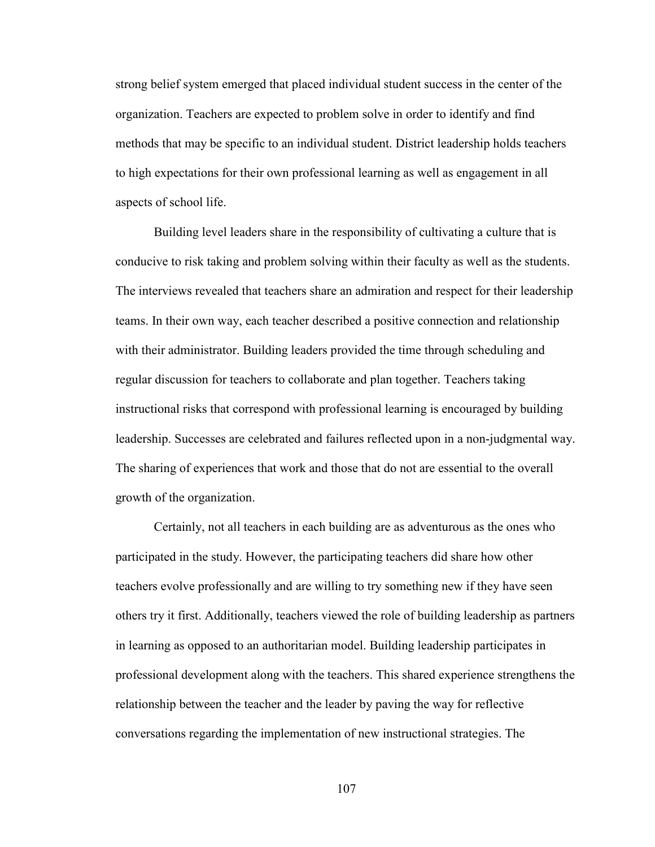strong belief system emerged that placed individual student success in the center of the organization. Teachers are expected to problem solve in order to identify and find methods that may be specific to an individual student. District leadership holds teachers to high expectations for their own professional learning as well as engagement in all aspects of school life.

 Building level leaders share in the responsibility of cultivating a culture that is conducive to risk taking and problem solving within their faculty as well as the students. The interviews revealed that teachers share an admiration and respect for their leadership teams. In their own way, each teacher described a positive connection and relationship with their administrator. Building leaders provided the time through scheduling and regular discussion for teachers to collaborate and plan together. Teachers taking instructional risks that correspond with professional learning is encouraged by building leadership. Successes are celebrated and failures reflected upon in a non-judgmental way. The sharing of experiences that work and those that do not are essential to the overall growth of the organization.

Certainly, not all teachers in each building are as adventurous as the ones who participated in the study. However, the participating teachers did share how other teachers evolve professionally and are willing to try something new if they have seen others try it first. Additionally, teachers viewed the role of building leadership as partners in learning as opposed to an authoritarian model. Building leadership participates in professional development along with the teachers. This shared experience strengthens the relationship between the teacher and the leader by paving the way for reflective conversations regarding the implementation of new instructional strategies. The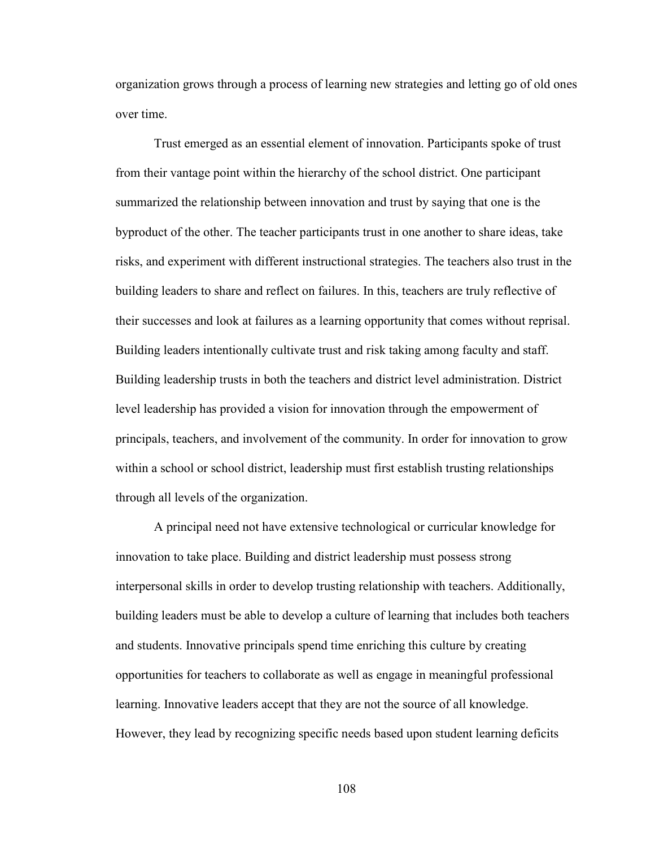organization grows through a process of learning new strategies and letting go of old ones over time.

Trust emerged as an essential element of innovation. Participants spoke of trust from their vantage point within the hierarchy of the school district. One participant summarized the relationship between innovation and trust by saying that one is the byproduct of the other. The teacher participants trust in one another to share ideas, take risks, and experiment with different instructional strategies. The teachers also trust in the building leaders to share and reflect on failures. In this, teachers are truly reflective of their successes and look at failures as a learning opportunity that comes without reprisal. Building leaders intentionally cultivate trust and risk taking among faculty and staff. Building leadership trusts in both the teachers and district level administration. District level leadership has provided a vision for innovation through the empowerment of principals, teachers, and involvement of the community. In order for innovation to grow within a school or school district, leadership must first establish trusting relationships through all levels of the organization.

 A principal need not have extensive technological or curricular knowledge for innovation to take place. Building and district leadership must possess strong interpersonal skills in order to develop trusting relationship with teachers. Additionally, building leaders must be able to develop a culture of learning that includes both teachers and students. Innovative principals spend time enriching this culture by creating opportunities for teachers to collaborate as well as engage in meaningful professional learning. Innovative leaders accept that they are not the source of all knowledge. However, they lead by recognizing specific needs based upon student learning deficits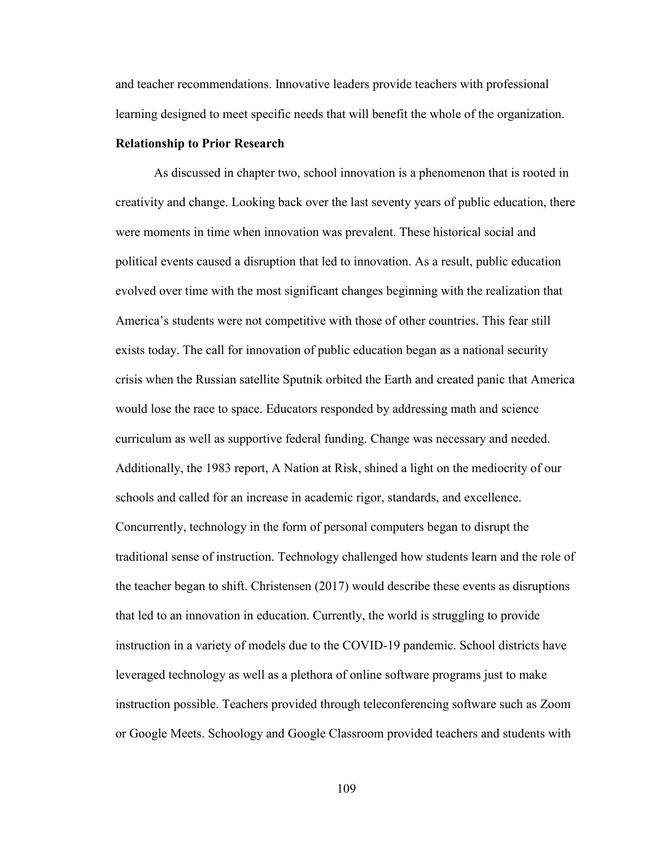and teacher recommendations. Innovative leaders provide teachers with professional learning designed to meet specific needs that will benefit the whole of the organization.

#### **Relationship to Prior Research**

As discussed in chapter two, school innovation is a phenomenon that is rooted in creativity and change. Looking back over the last seventy years of public education, there were moments in time when innovation was prevalent. These historical social and political events caused a disruption that led to innovation. As a result, public education evolved over time with the most significant changes beginning with the realization that America's students were not competitive with those of other countries. This fear still exists today. The call for innovation of public education began as a national security crisis when the Russian satellite Sputnik orbited the Earth and created panic that America would lose the race to space. Educators responded by addressing math and science curriculum as well as supportive federal funding. Change was necessary and needed. Additionally, the 1983 report, A Nation at Risk, shined a light on the mediocrity of our schools and called for an increase in academic rigor, standards, and excellence. Concurrently, technology in the form of personal computers began to disrupt the traditional sense of instruction. Technology challenged how students learn and the role of the teacher began to shift. Christensen (2017) would describe these events as disruptions that led to an innovation in education. Currently, the world is struggling to provide instruction in a variety of models due to the COVID-19 pandemic. School districts have leveraged technology as well as a plethora of online software programs just to make instruction possible. Teachers provided through teleconferencing software such as Zoom or Google Meets. Schoology and Google Classroom provided teachers and students with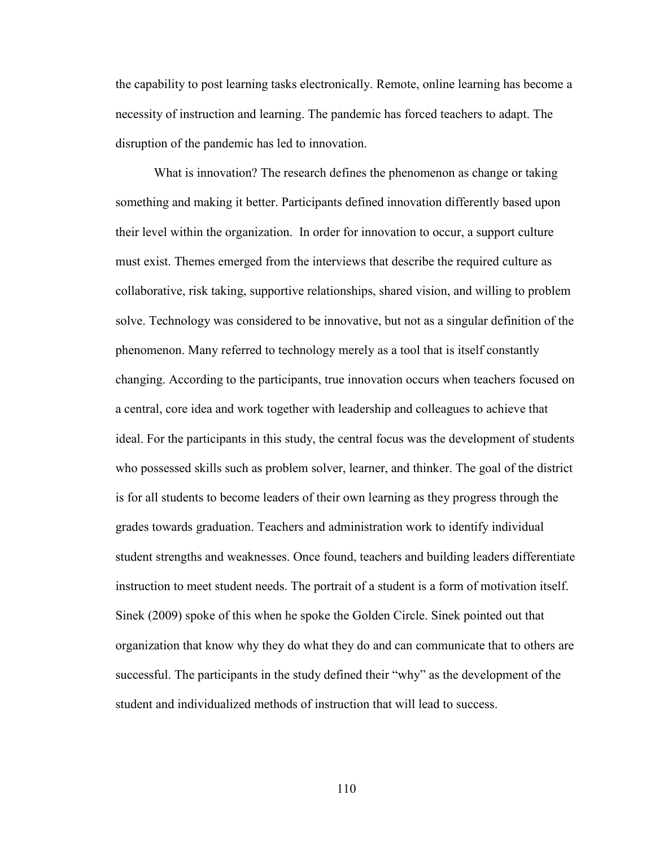the capability to post learning tasks electronically. Remote, online learning has become a necessity of instruction and learning. The pandemic has forced teachers to adapt. The disruption of the pandemic has led to innovation.

What is innovation? The research defines the phenomenon as change or taking something and making it better. Participants defined innovation differently based upon their level within the organization. In order for innovation to occur, a support culture must exist. Themes emerged from the interviews that describe the required culture as collaborative, risk taking, supportive relationships, shared vision, and willing to problem solve. Technology was considered to be innovative, but not as a singular definition of the phenomenon. Many referred to technology merely as a tool that is itself constantly changing. According to the participants, true innovation occurs when teachers focused on a central, core idea and work together with leadership and colleagues to achieve that ideal. For the participants in this study, the central focus was the development of students who possessed skills such as problem solver, learner, and thinker. The goal of the district is for all students to become leaders of their own learning as they progress through the grades towards graduation. Teachers and administration work to identify individual student strengths and weaknesses. Once found, teachers and building leaders differentiate instruction to meet student needs. The portrait of a student is a form of motivation itself. Sinek (2009) spoke of this when he spoke the Golden Circle. Sinek pointed out that organization that know why they do what they do and can communicate that to others are successful. The participants in the study defined their "why" as the development of the student and individualized methods of instruction that will lead to success.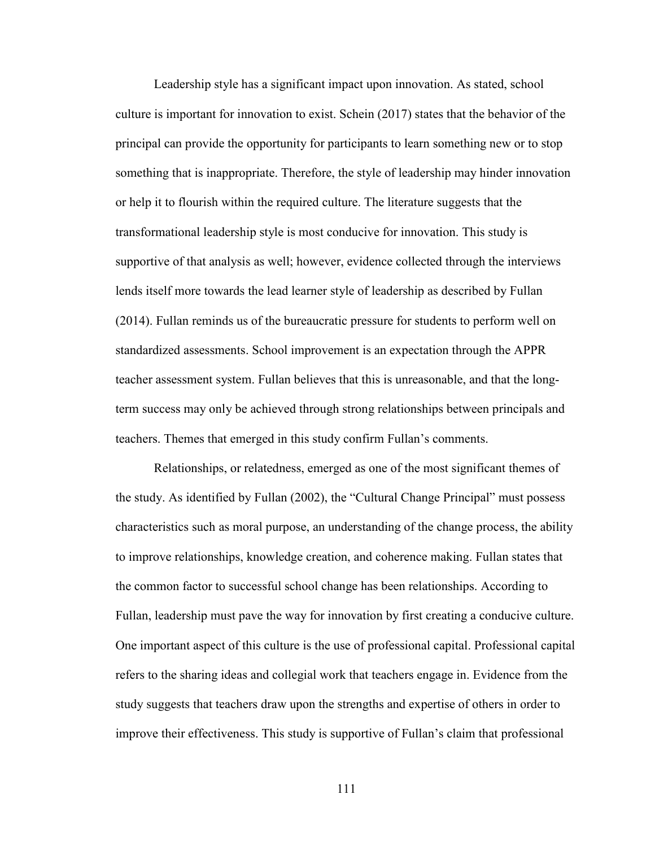Leadership style has a significant impact upon innovation. As stated, school culture is important for innovation to exist. Schein (2017) states that the behavior of the principal can provide the opportunity for participants to learn something new or to stop something that is inappropriate. Therefore, the style of leadership may hinder innovation or help it to flourish within the required culture. The literature suggests that the transformational leadership style is most conducive for innovation. This study is supportive of that analysis as well; however, evidence collected through the interviews lends itself more towards the lead learner style of leadership as described by Fullan (2014). Fullan reminds us of the bureaucratic pressure for students to perform well on standardized assessments. School improvement is an expectation through the APPR teacher assessment system. Fullan believes that this is unreasonable, and that the longterm success may only be achieved through strong relationships between principals and teachers. Themes that emerged in this study confirm Fullan's comments.

Relationships, or relatedness, emerged as one of the most significant themes of the study. As identified by Fullan (2002), the "Cultural Change Principal" must possess characteristics such as moral purpose, an understanding of the change process, the ability to improve relationships, knowledge creation, and coherence making. Fullan states that the common factor to successful school change has been relationships. According to Fullan, leadership must pave the way for innovation by first creating a conducive culture. One important aspect of this culture is the use of professional capital. Professional capital refers to the sharing ideas and collegial work that teachers engage in. Evidence from the study suggests that teachers draw upon the strengths and expertise of others in order to improve their effectiveness. This study is supportive of Fullan's claim that professional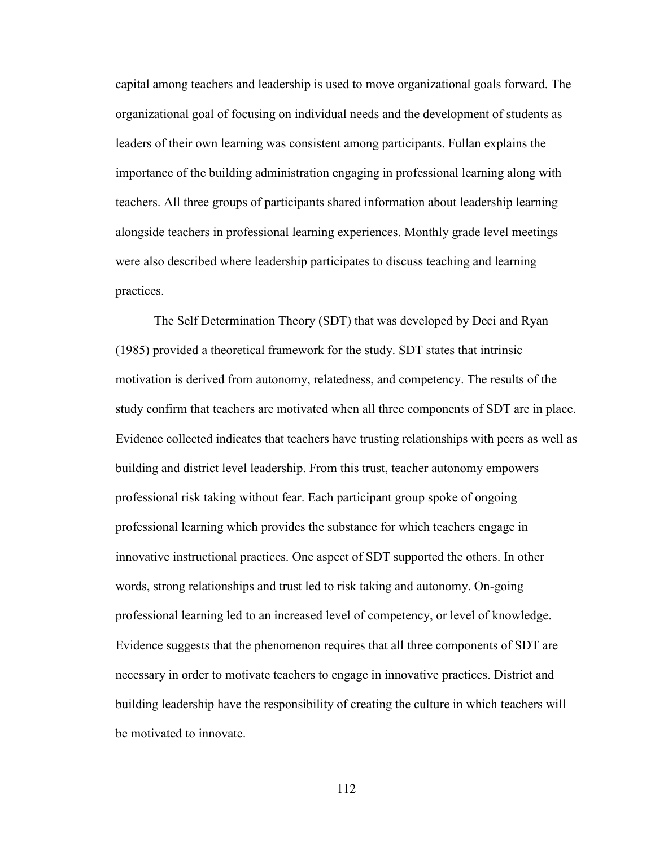capital among teachers and leadership is used to move organizational goals forward. The organizational goal of focusing on individual needs and the development of students as leaders of their own learning was consistent among participants. Fullan explains the importance of the building administration engaging in professional learning along with teachers. All three groups of participants shared information about leadership learning alongside teachers in professional learning experiences. Monthly grade level meetings were also described where leadership participates to discuss teaching and learning practices.

The Self Determination Theory (SDT) that was developed by Deci and Ryan (1985) provided a theoretical framework for the study. SDT states that intrinsic motivation is derived from autonomy, relatedness, and competency. The results of the study confirm that teachers are motivated when all three components of SDT are in place. Evidence collected indicates that teachers have trusting relationships with peers as well as building and district level leadership. From this trust, teacher autonomy empowers professional risk taking without fear. Each participant group spoke of ongoing professional learning which provides the substance for which teachers engage in innovative instructional practices. One aspect of SDT supported the others. In other words, strong relationships and trust led to risk taking and autonomy. On-going professional learning led to an increased level of competency, or level of knowledge. Evidence suggests that the phenomenon requires that all three components of SDT are necessary in order to motivate teachers to engage in innovative practices. District and building leadership have the responsibility of creating the culture in which teachers will be motivated to innovate.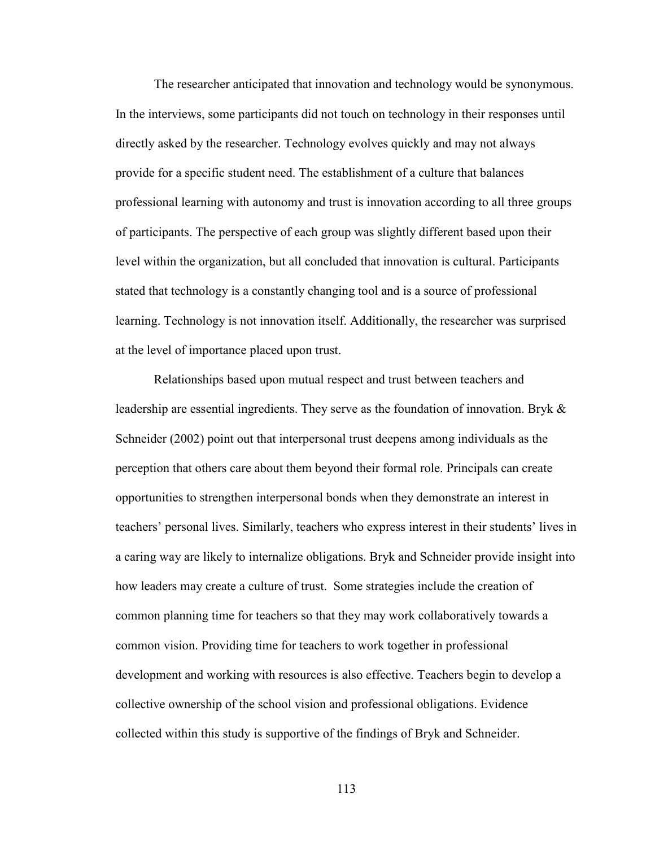The researcher anticipated that innovation and technology would be synonymous. In the interviews, some participants did not touch on technology in their responses until directly asked by the researcher. Technology evolves quickly and may not always provide for a specific student need. The establishment of a culture that balances professional learning with autonomy and trust is innovation according to all three groups of participants. The perspective of each group was slightly different based upon their level within the organization, but all concluded that innovation is cultural. Participants stated that technology is a constantly changing tool and is a source of professional learning. Technology is not innovation itself. Additionally, the researcher was surprised at the level of importance placed upon trust.

Relationships based upon mutual respect and trust between teachers and leadership are essential ingredients. They serve as the foundation of innovation. Bryk  $\&$ Schneider (2002) point out that interpersonal trust deepens among individuals as the perception that others care about them beyond their formal role. Principals can create opportunities to strengthen interpersonal bonds when they demonstrate an interest in teachers' personal lives. Similarly, teachers who express interest in their students' lives in a caring way are likely to internalize obligations. Bryk and Schneider provide insight into how leaders may create a culture of trust. Some strategies include the creation of common planning time for teachers so that they may work collaboratively towards a common vision. Providing time for teachers to work together in professional development and working with resources is also effective. Teachers begin to develop a collective ownership of the school vision and professional obligations. Evidence collected within this study is supportive of the findings of Bryk and Schneider.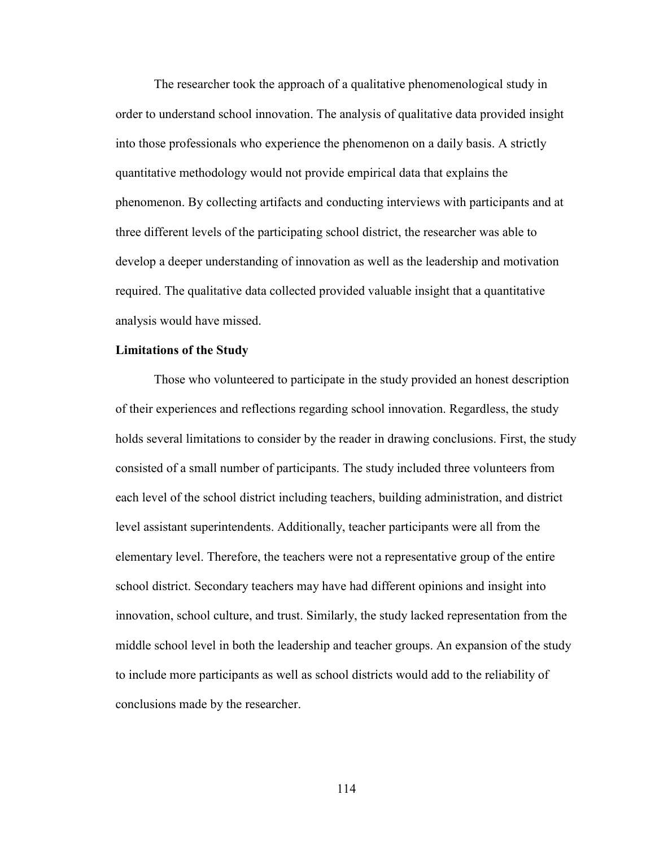The researcher took the approach of a qualitative phenomenological study in order to understand school innovation. The analysis of qualitative data provided insight into those professionals who experience the phenomenon on a daily basis. A strictly quantitative methodology would not provide empirical data that explains the phenomenon. By collecting artifacts and conducting interviews with participants and at three different levels of the participating school district, the researcher was able to develop a deeper understanding of innovation as well as the leadership and motivation required. The qualitative data collected provided valuable insight that a quantitative analysis would have missed.

## **Limitations of the Study**

Those who volunteered to participate in the study provided an honest description of their experiences and reflections regarding school innovation. Regardless, the study holds several limitations to consider by the reader in drawing conclusions. First, the study consisted of a small number of participants. The study included three volunteers from each level of the school district including teachers, building administration, and district level assistant superintendents. Additionally, teacher participants were all from the elementary level. Therefore, the teachers were not a representative group of the entire school district. Secondary teachers may have had different opinions and insight into innovation, school culture, and trust. Similarly, the study lacked representation from the middle school level in both the leadership and teacher groups. An expansion of the study to include more participants as well as school districts would add to the reliability of conclusions made by the researcher.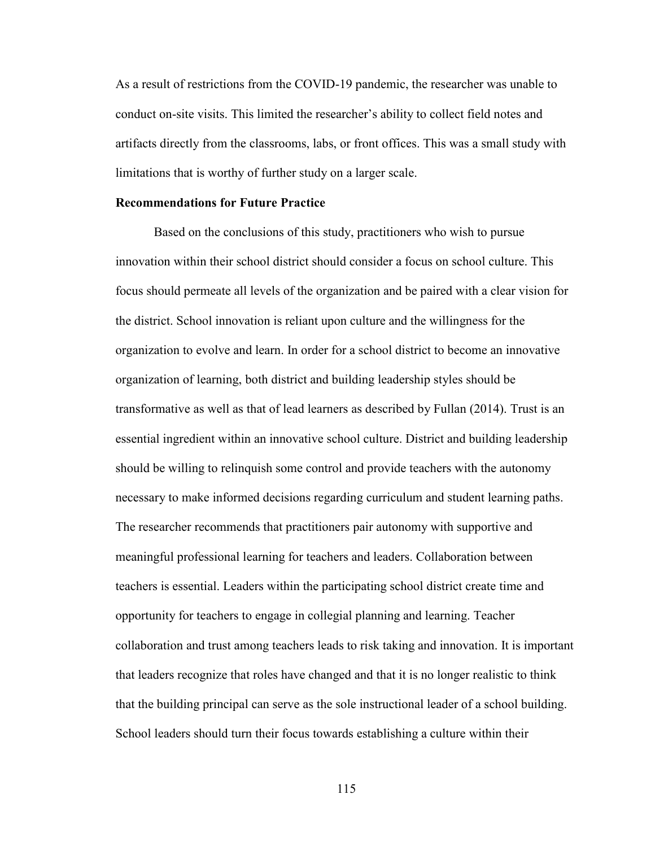As a result of restrictions from the COVID-19 pandemic, the researcher was unable to conduct on-site visits. This limited the researcher's ability to collect field notes and artifacts directly from the classrooms, labs, or front offices. This was a small study with limitations that is worthy of further study on a larger scale.

#### **Recommendations for Future Practice**

Based on the conclusions of this study, practitioners who wish to pursue innovation within their school district should consider a focus on school culture. This focus should permeate all levels of the organization and be paired with a clear vision for the district. School innovation is reliant upon culture and the willingness for the organization to evolve and learn. In order for a school district to become an innovative organization of learning, both district and building leadership styles should be transformative as well as that of lead learners as described by Fullan (2014). Trust is an essential ingredient within an innovative school culture. District and building leadership should be willing to relinquish some control and provide teachers with the autonomy necessary to make informed decisions regarding curriculum and student learning paths. The researcher recommends that practitioners pair autonomy with supportive and meaningful professional learning for teachers and leaders. Collaboration between teachers is essential. Leaders within the participating school district create time and opportunity for teachers to engage in collegial planning and learning. Teacher collaboration and trust among teachers leads to risk taking and innovation. It is important that leaders recognize that roles have changed and that it is no longer realistic to think that the building principal can serve as the sole instructional leader of a school building. School leaders should turn their focus towards establishing a culture within their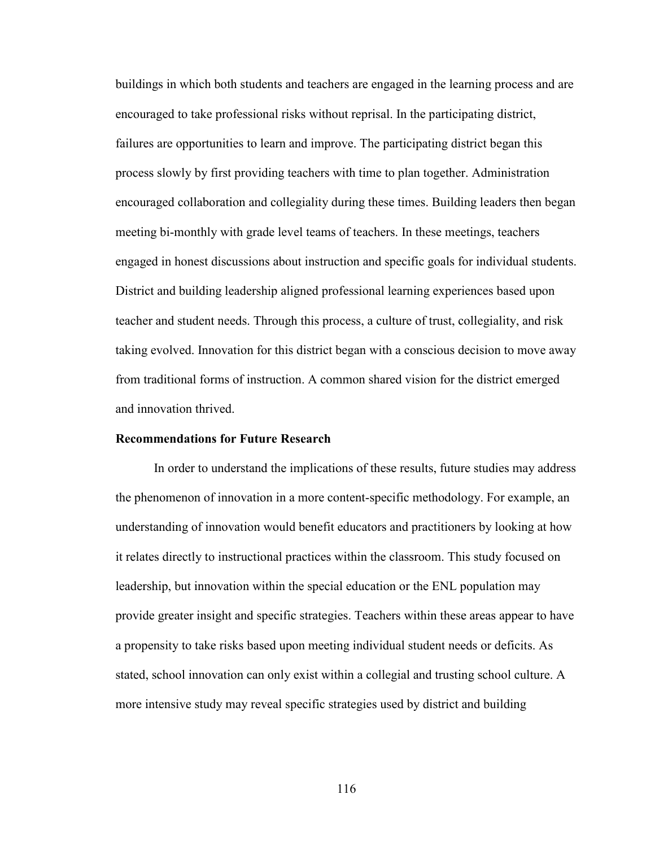buildings in which both students and teachers are engaged in the learning process and are encouraged to take professional risks without reprisal. In the participating district, failures are opportunities to learn and improve. The participating district began this process slowly by first providing teachers with time to plan together. Administration encouraged collaboration and collegiality during these times. Building leaders then began meeting bi-monthly with grade level teams of teachers. In these meetings, teachers engaged in honest discussions about instruction and specific goals for individual students. District and building leadership aligned professional learning experiences based upon teacher and student needs. Through this process, a culture of trust, collegiality, and risk taking evolved. Innovation for this district began with a conscious decision to move away from traditional forms of instruction. A common shared vision for the district emerged and innovation thrived.

## **Recommendations for Future Research**

In order to understand the implications of these results, future studies may address the phenomenon of innovation in a more content-specific methodology. For example, an understanding of innovation would benefit educators and practitioners by looking at how it relates directly to instructional practices within the classroom. This study focused on leadership, but innovation within the special education or the ENL population may provide greater insight and specific strategies. Teachers within these areas appear to have a propensity to take risks based upon meeting individual student needs or deficits. As stated, school innovation can only exist within a collegial and trusting school culture. A more intensive study may reveal specific strategies used by district and building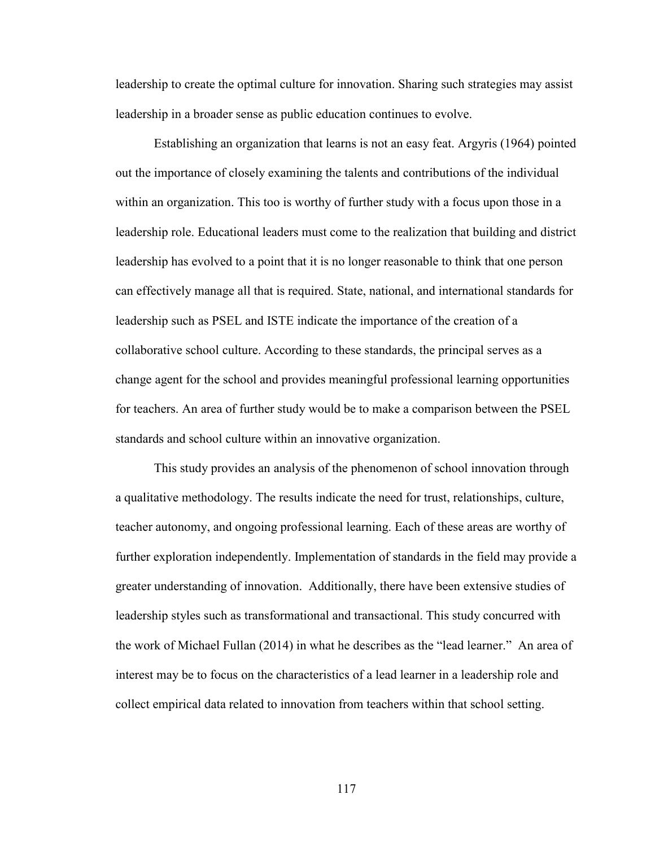leadership to create the optimal culture for innovation. Sharing such strategies may assist leadership in a broader sense as public education continues to evolve.

Establishing an organization that learns is not an easy feat. Argyris (1964) pointed out the importance of closely examining the talents and contributions of the individual within an organization. This too is worthy of further study with a focus upon those in a leadership role. Educational leaders must come to the realization that building and district leadership has evolved to a point that it is no longer reasonable to think that one person can effectively manage all that is required. State, national, and international standards for leadership such as PSEL and ISTE indicate the importance of the creation of a collaborative school culture. According to these standards, the principal serves as a change agent for the school and provides meaningful professional learning opportunities for teachers. An area of further study would be to make a comparison between the PSEL standards and school culture within an innovative organization.

This study provides an analysis of the phenomenon of school innovation through a qualitative methodology. The results indicate the need for trust, relationships, culture, teacher autonomy, and ongoing professional learning. Each of these areas are worthy of further exploration independently. Implementation of standards in the field may provide a greater understanding of innovation. Additionally, there have been extensive studies of leadership styles such as transformational and transactional. This study concurred with the work of Michael Fullan (2014) in what he describes as the "lead learner." An area of interest may be to focus on the characteristics of a lead learner in a leadership role and collect empirical data related to innovation from teachers within that school setting.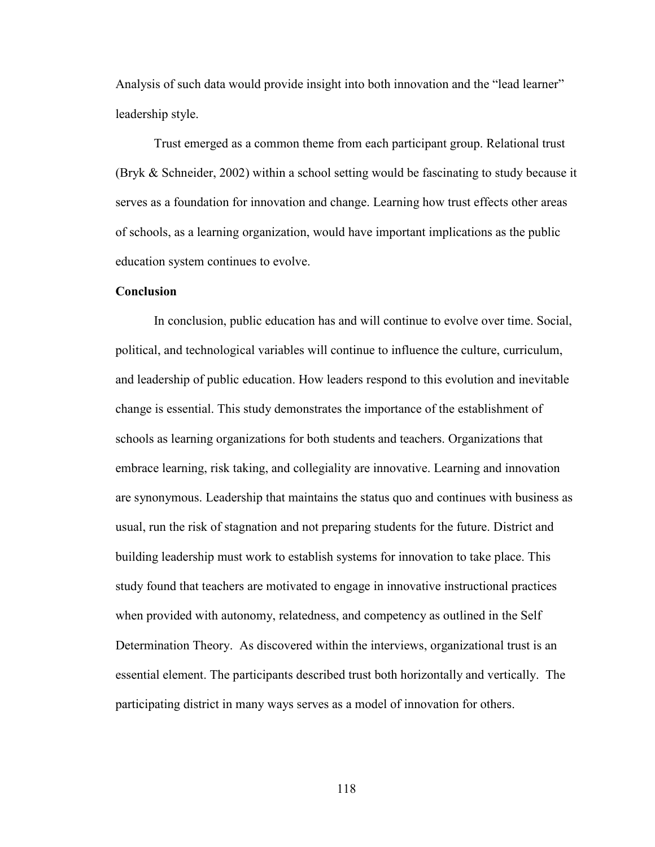Analysis of such data would provide insight into both innovation and the "lead learner" leadership style.

Trust emerged as a common theme from each participant group. Relational trust (Bryk & Schneider, 2002) within a school setting would be fascinating to study because it serves as a foundation for innovation and change. Learning how trust effects other areas of schools, as a learning organization, would have important implications as the public education system continues to evolve.

#### **Conclusion**

 In conclusion, public education has and will continue to evolve over time. Social, political, and technological variables will continue to influence the culture, curriculum, and leadership of public education. How leaders respond to this evolution and inevitable change is essential. This study demonstrates the importance of the establishment of schools as learning organizations for both students and teachers. Organizations that embrace learning, risk taking, and collegiality are innovative. Learning and innovation are synonymous. Leadership that maintains the status quo and continues with business as usual, run the risk of stagnation and not preparing students for the future. District and building leadership must work to establish systems for innovation to take place. This study found that teachers are motivated to engage in innovative instructional practices when provided with autonomy, relatedness, and competency as outlined in the Self Determination Theory. As discovered within the interviews, organizational trust is an essential element. The participants described trust both horizontally and vertically. The participating district in many ways serves as a model of innovation for others.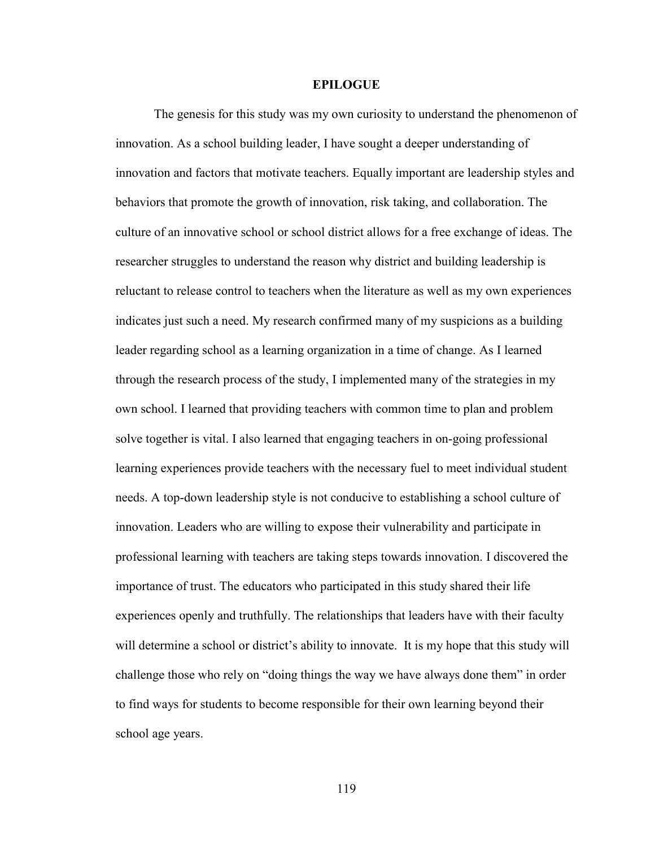#### **EPILOGUE**

 The genesis for this study was my own curiosity to understand the phenomenon of innovation. As a school building leader, I have sought a deeper understanding of innovation and factors that motivate teachers. Equally important are leadership styles and behaviors that promote the growth of innovation, risk taking, and collaboration. The culture of an innovative school or school district allows for a free exchange of ideas. The researcher struggles to understand the reason why district and building leadership is reluctant to release control to teachers when the literature as well as my own experiences indicates just such a need. My research confirmed many of my suspicions as a building leader regarding school as a learning organization in a time of change. As I learned through the research process of the study, I implemented many of the strategies in my own school. I learned that providing teachers with common time to plan and problem solve together is vital. I also learned that engaging teachers in on-going professional learning experiences provide teachers with the necessary fuel to meet individual student needs. A top-down leadership style is not conducive to establishing a school culture of innovation. Leaders who are willing to expose their vulnerability and participate in professional learning with teachers are taking steps towards innovation. I discovered the importance of trust. The educators who participated in this study shared their life experiences openly and truthfully. The relationships that leaders have with their faculty will determine a school or district's ability to innovate. It is my hope that this study will challenge those who rely on "doing things the way we have always done them" in order to find ways for students to become responsible for their own learning beyond their school age years.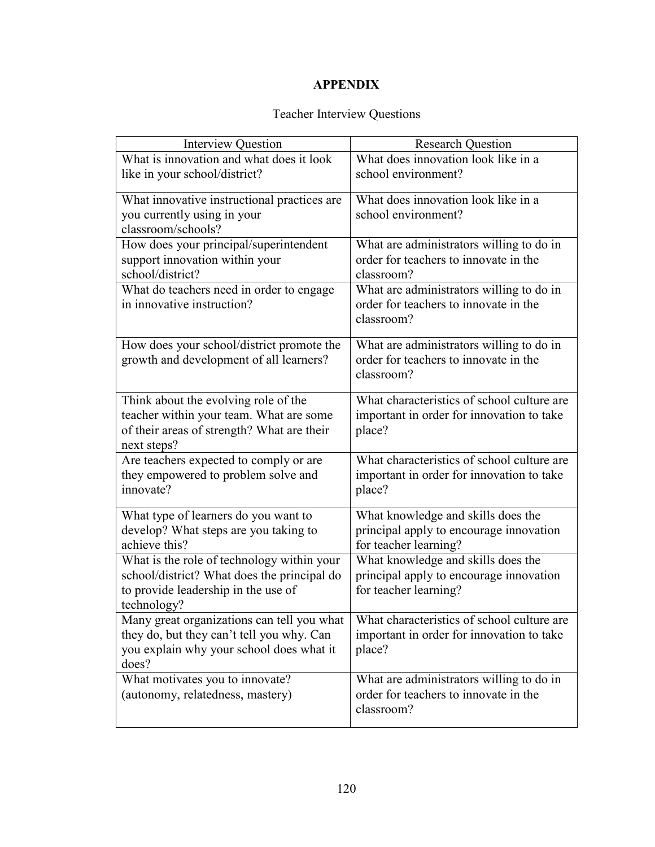# **APPENDIX**

# Teacher Interview Questions

| <b>Interview Question</b>                   | <b>Research Question</b>                   |
|---------------------------------------------|--------------------------------------------|
| What is innovation and what does it look    | What does innovation look like in a        |
| like in your school/district?               | school environment?                        |
| What innovative instructional practices are | What does innovation look like in a        |
| you currently using in your                 | school environment?                        |
| classroom/schools?                          |                                            |
| How does your principal/superintendent      | What are administrators willing to do in   |
| support innovation within your              | order for teachers to innovate in the      |
| school/district?                            | classroom?                                 |
| What do teachers need in order to engage    | What are administrators willing to do in   |
| in innovative instruction?                  | order for teachers to innovate in the      |
|                                             | classroom?                                 |
| How does your school/district promote the   | What are administrators willing to do in   |
| growth and development of all learners?     | order for teachers to innovate in the      |
|                                             | classroom?                                 |
|                                             |                                            |
| Think about the evolving role of the        | What characteristics of school culture are |
| teacher within your team. What are some     | important in order for innovation to take  |
| of their areas of strength? What are their  | place?                                     |
| next steps?                                 |                                            |
| Are teachers expected to comply or are      | What characteristics of school culture are |
| they empowered to problem solve and         | important in order for innovation to take  |
| innovate?                                   | place?                                     |
| What type of learners do you want to        | What knowledge and skills does the         |
| develop? What steps are you taking to       | principal apply to encourage innovation    |
| achieve this?                               | for teacher learning?                      |
| What is the role of technology within your  | What knowledge and skills does the         |
| school/district? What does the principal do | principal apply to encourage innovation    |
| to provide leadership in the use of         | for teacher learning?                      |
| technology?                                 |                                            |
| Many great organizations can tell you what  | What characteristics of school culture are |
| they do, but they can't tell you why. Can   | important in order for innovation to take  |
| you explain why your school does what it    | place?                                     |
| does?                                       |                                            |
| What motivates you to innovate?             | What are administrators willing to do in   |
| (autonomy, relatedness, mastery)            | order for teachers to innovate in the      |
|                                             | classroom?                                 |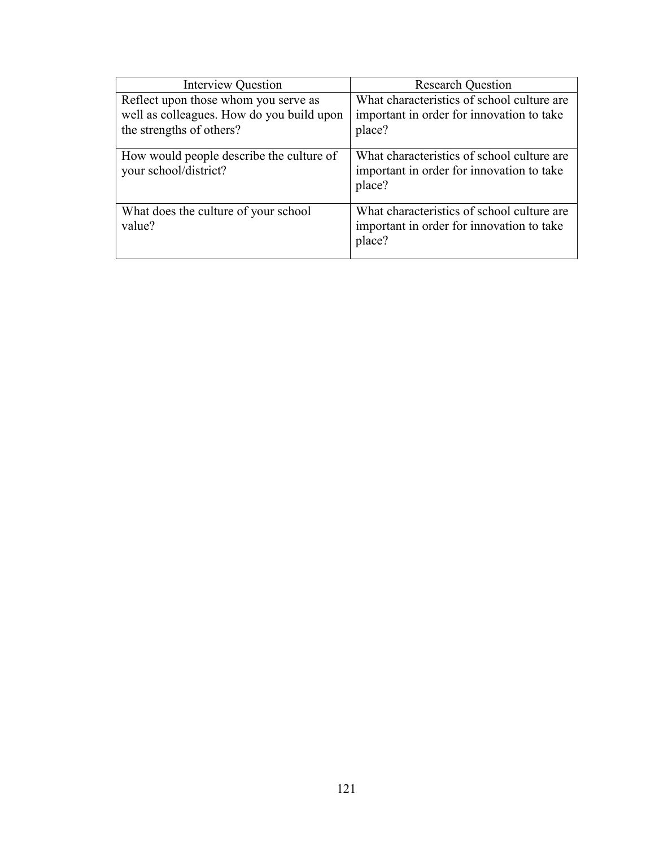| <b>Interview Question</b>                                                                                     | <b>Research Question</b>                                                                          |
|---------------------------------------------------------------------------------------------------------------|---------------------------------------------------------------------------------------------------|
| Reflect upon those whom you serve as<br>well as colleagues. How do you build upon<br>the strengths of others? | What characteristics of school culture are<br>important in order for innovation to take<br>place? |
| How would people describe the culture of<br>your school/district?                                             | What characteristics of school culture are<br>important in order for innovation to take<br>place? |
| What does the culture of your school<br>value?                                                                | What characteristics of school culture are<br>important in order for innovation to take<br>place? |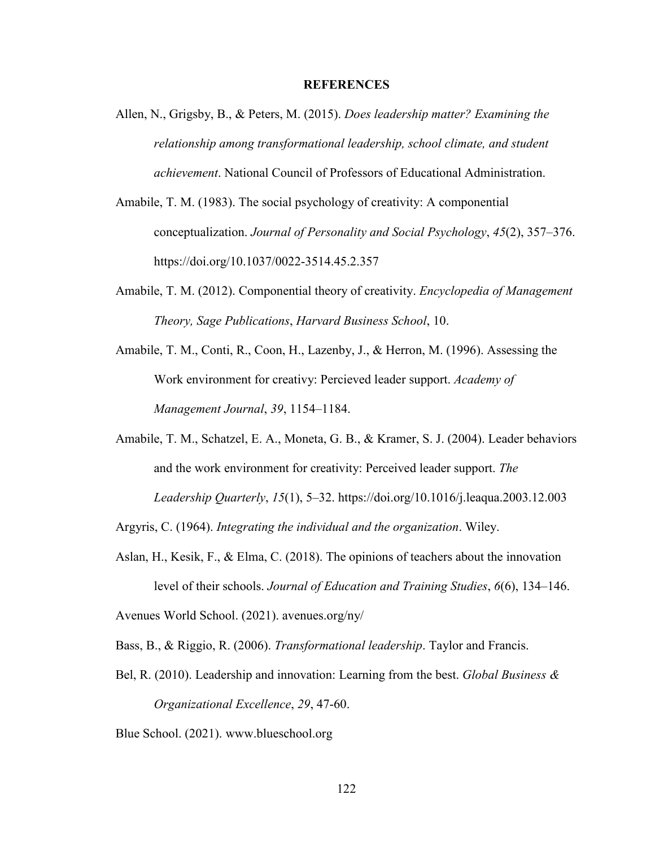#### **REFERENCES**

- Allen, N., Grigsby, B., & Peters, M. (2015). *Does leadership matter? Examining the relationship among transformational leadership, school climate, and student achievement*. National Council of Professors of Educational Administration.
- Amabile, T. M. (1983). The social psychology of creativity: A componential conceptualization. *Journal of Personality and Social Psychology*, *45*(2), 357–376. https://doi.org/10.1037/0022-3514.45.2.357
- Amabile, T. M. (2012). Componential theory of creativity. *Encyclopedia of Management Theory, Sage Publications*, *Harvard Business School*, 10.
- Amabile, T. M., Conti, R., Coon, H., Lazenby, J., & Herron, M. (1996). Assessing the Work environment for creativy: Percieved leader support. *Academy of Management Journal*, *39*, 1154–1184.
- Amabile, T. M., Schatzel, E. A., Moneta, G. B., & Kramer, S. J. (2004). Leader behaviors and the work environment for creativity: Perceived leader support. *The Leadership Quarterly*, *15*(1), 5–32. https://doi.org/10.1016/j.leaqua.2003.12.003

Argyris, C. (1964). *Integrating the individual and the organization*. Wiley.

- Aslan, H., Kesik, F., & Elma, C. (2018). The opinions of teachers about the innovation level of their schools. *Journal of Education and Training Studies*, *6*(6), 134–146. Avenues World School. (2021). avenues.org/ny/
- Bass, B., & Riggio, R. (2006). *Transformational leadership*. Taylor and Francis.
- Bel, R. (2010). Leadership and innovation: Learning from the best. *Global Business & Organizational Excellence*, *29*, 47-60.

Blue School. (2021). www.blueschool.org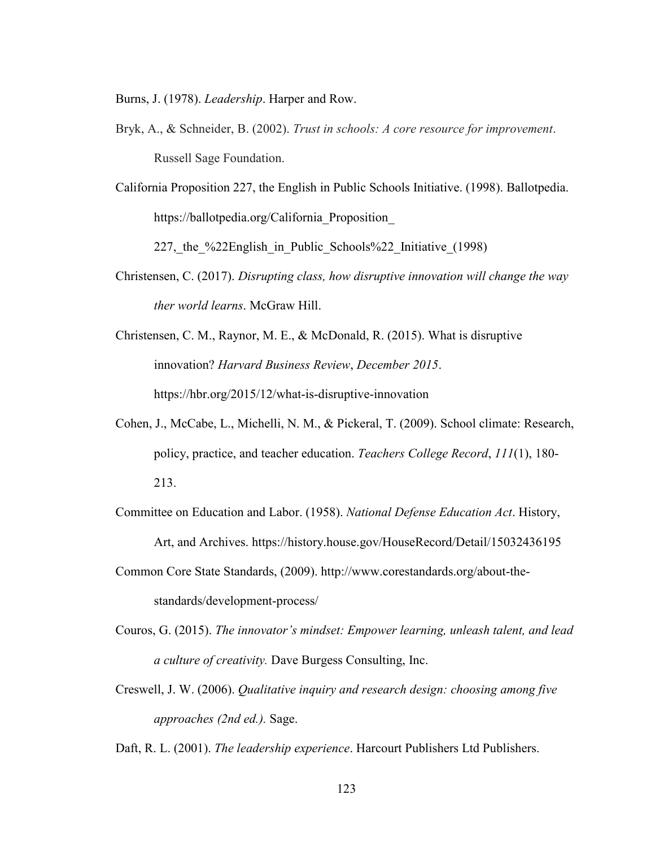Burns, J. (1978). *Leadership*. Harper and Row.

- Bryk, A., & Schneider, B. (2002). *Trust in schools: A core resource for improvement*. Russell Sage Foundation.
- California Proposition 227, the English in Public Schools Initiative. (1998). Ballotpedia. https://ballotpedia.org/California\_Proposition\_

227, the %22English in Public Schools%22 Initiative (1998)

- Christensen, C. (2017). *Disrupting class, how disruptive innovation will change the way ther world learns*. McGraw Hill.
- Christensen, C. M., Raynor, M. E., & McDonald, R. (2015). What is disruptive innovation? *Harvard Business Review*, *December 2015*. https://hbr.org/2015/12/what-is-disruptive-innovation
- Cohen, J., McCabe, L., Michelli, N. M., & Pickeral, T. (2009). School climate: Research, policy, practice, and teacher education. *Teachers College Record*, *111*(1), 180- 213.
- Committee on Education and Labor. (1958). *National Defense Education Act*. History, Art, and Archives. https://history.house.gov/HouseRecord/Detail/15032436195
- Common Core State Standards, (2009). http://www.corestandards.org/about-thestandards/development-process/
- Couros, G. (2015). *The innovator's mindset: Empower learning, unleash talent, and lead a culture of creativity.* Dave Burgess Consulting, Inc.
- Creswell, J. W. (2006). *Qualitative inquiry and research design: choosing among five approaches (2nd ed.).* Sage.

Daft, R. L. (2001). *The leadership experience*. Harcourt Publishers Ltd Publishers.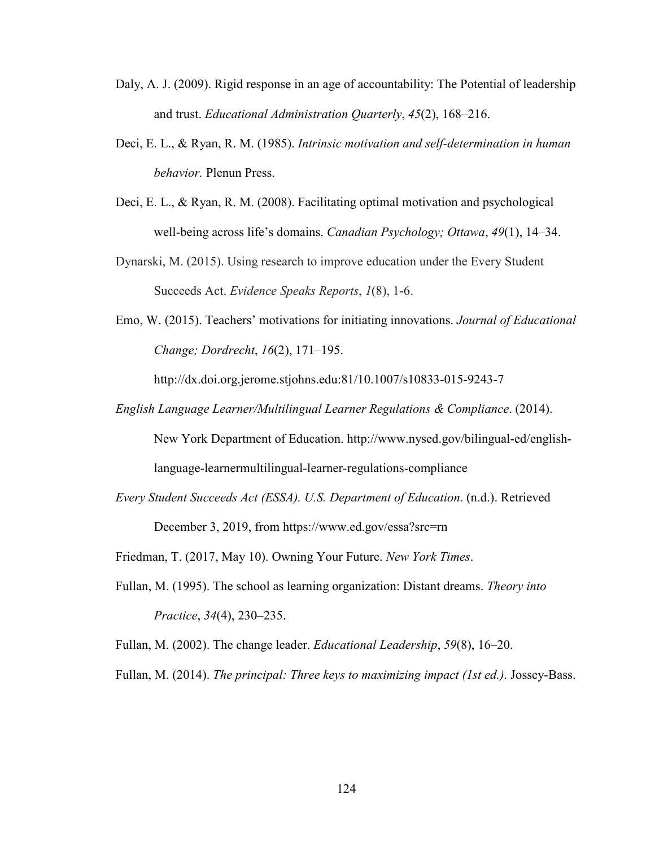- Daly, A. J. (2009). Rigid response in an age of accountability: The Potential of leadership and trust. *Educational Administration Quarterly*, *45*(2), 168–216.
- Deci, E. L., & Ryan, R. M. (1985). *Intrinsic motivation and self-determination in human behavior.* Plenun Press.
- Deci, E. L., & Ryan, R. M. (2008). Facilitating optimal motivation and psychological well-being across life's domains. *Canadian Psychology; Ottawa*, *49*(1), 14–34.
- Dynarski, M. (2015). Using research to improve education under the Every Student Succeeds Act. *Evidence Speaks Reports*, *1*(8), 1-6.
- Emo, W. (2015). Teachers' motivations for initiating innovations. *Journal of Educational Change; Dordrecht*, *16*(2), 171–195.

http://dx.doi.org.jerome.stjohns.edu:81/10.1007/s10833-015-9243-7

- *English Language Learner/Multilingual Learner Regulations & Compliance*. (2014). New York Department of Education. http://www.nysed.gov/bilingual-ed/englishlanguage-learnermultilingual-learner-regulations-compliance
- *Every Student Succeeds Act (ESSA). U.S. Department of Education*. (n.d.). Retrieved December 3, 2019, from https://www.ed.gov/essa?src=rn

Friedman, T. (2017, May 10). Owning Your Future. *New York Times*.

Fullan, M. (1995). The school as learning organization: Distant dreams. *Theory into Practice*, *34*(4), 230–235.

Fullan, M. (2002). The change leader. *Educational Leadership*, *59*(8), 16–20.

Fullan, M. (2014). *The principal: Three keys to maximizing impact (1st ed.)*. Jossey-Bass.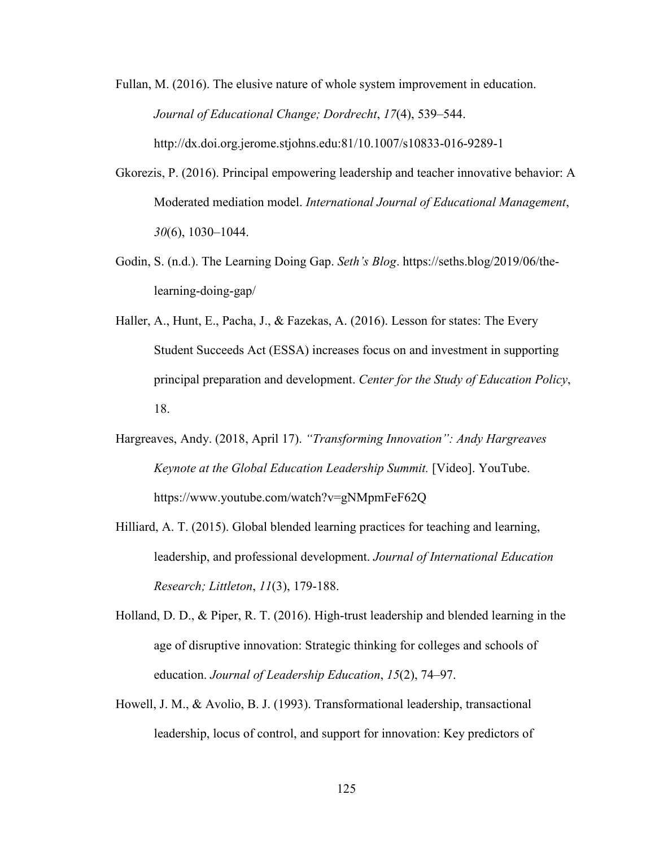Fullan, M. (2016). The elusive nature of whole system improvement in education. *Journal of Educational Change; Dordrecht*, *17*(4), 539–544. http://dx.doi.org.jerome.stjohns.edu:81/10.1007/s10833-016-9289-1

- Gkorezis, P. (2016). Principal empowering leadership and teacher innovative behavior: A Moderated mediation model. *International Journal of Educational Management*, *30*(6), 1030–1044.
- Godin, S. (n.d.). The Learning Doing Gap. *Seth's Blog*. https://seths.blog/2019/06/thelearning-doing-gap/
- Haller, A., Hunt, E., Pacha, J., & Fazekas, A. (2016). Lesson for states: The Every Student Succeeds Act (ESSA) increases focus on and investment in supporting principal preparation and development. *Center for the Study of Education Policy*, 18.
- Hargreaves, Andy. (2018, April 17). *"Transforming Innovation": Andy Hargreaves Keynote at the Global Education Leadership Summit.* [Video]. YouTube. https://www.youtube.com/watch?v=gNMpmFeF62Q
- Hilliard, A. T. (2015). Global blended learning practices for teaching and learning, leadership, and professional development. *Journal of International Education Research; Littleton*, *11*(3), 179-188.
- Holland, D. D., & Piper, R. T. (2016). High-trust leadership and blended learning in the age of disruptive innovation: Strategic thinking for colleges and schools of education. *Journal of Leadership Education*, *15*(2), 74–97.
- Howell, J. M., & Avolio, B. J. (1993). Transformational leadership, transactional leadership, locus of control, and support for innovation: Key predictors of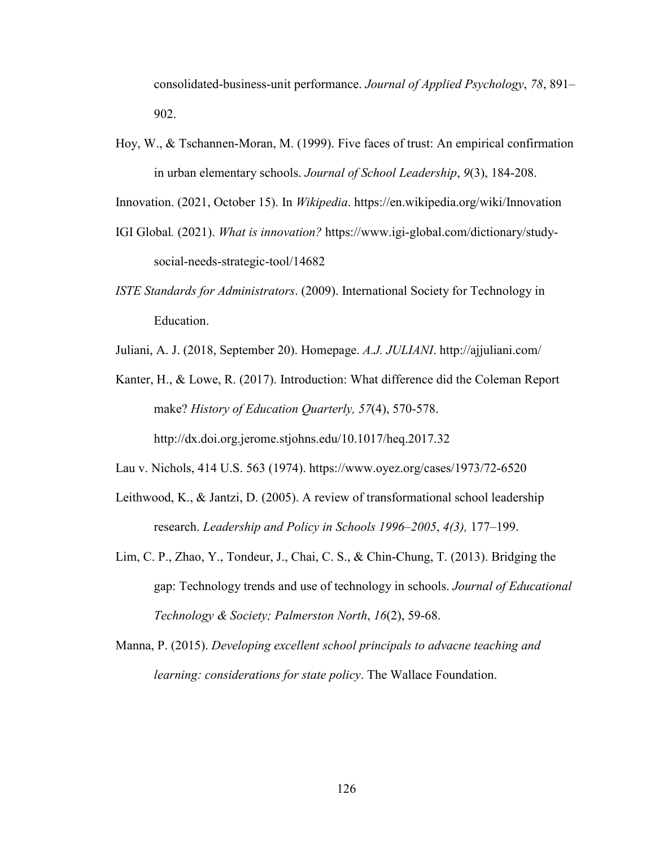consolidated-business-unit performance. *Journal of Applied Psychology*, *78*, 891– 902.

Hoy, W., & Tschannen-Moran, M. (1999). Five faces of trust: An empirical confirmation in urban elementary schools. *Journal of School Leadership*, *9*(3), 184-208.

Innovation. (2021, October 15). In *Wikipedia*. https://en.wikipedia.org/wiki/Innovation

- IGI Global*.* (2021). *What is innovation?* https://www.igi-global.com/dictionary/studysocial-needs-strategic-tool/14682
- *ISTE Standards for Administrators*. (2009). International Society for Technology in Education.
- Juliani, A. J. (2018, September 20). Homepage. *A.J. JULIANI*. http://ajjuliani.com/

Kanter, H., & Lowe, R. (2017). Introduction: What difference did the Coleman Report make? *History of Education Quarterly, 57*(4), 570-578. http://dx.doi.org.jerome.stjohns.edu/10.1017/heq.2017.32

Lau v. Nichols, 414 U.S. 563 (1974). https://www.oyez.org/cases/1973/72-6520

- Leithwood, K., & Jantzi, D. (2005). A review of transformational school leadership research. *Leadership and Policy in Schools 1996–2005*, *4(3),* 177–199.
- Lim, C. P., Zhao, Y., Tondeur, J., Chai, C. S., & Chin-Chung, T. (2013). Bridging the gap: Technology trends and use of technology in schools. *Journal of Educational Technology & Society; Palmerston North*, *16*(2), 59-68.
- Manna, P. (2015). *Developing excellent school principals to advacne teaching and learning: considerations for state policy*. The Wallace Foundation.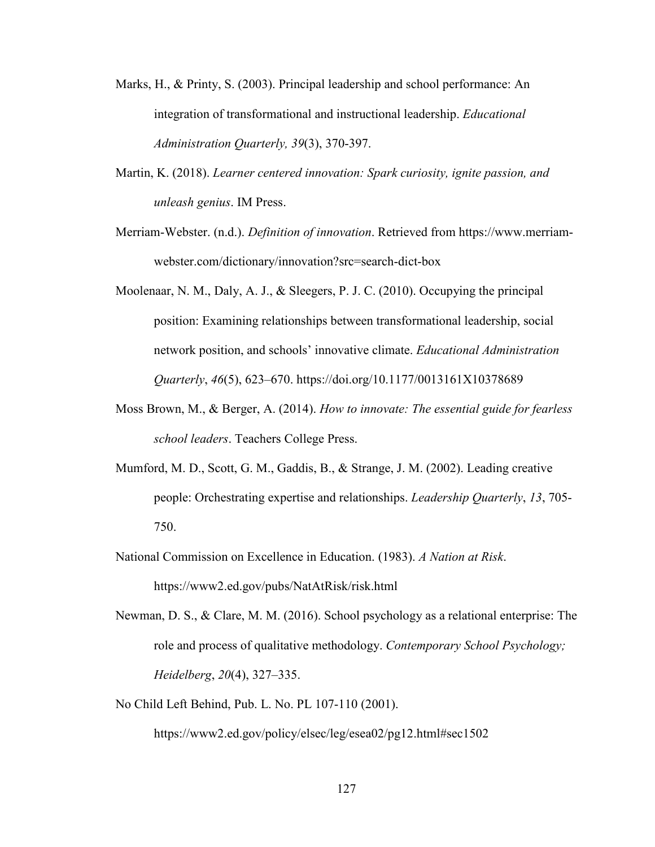- Marks, H., & Printy, S. (2003). Principal leadership and school performance: An integration of transformational and instructional leadership. *Educational Administration Quarterly, 39*(3), 370-397.
- Martin, K. (2018). *Learner centered innovation: Spark curiosity, ignite passion, and unleash genius*. IM Press.
- Merriam-Webster. (n.d.). *Definition of innovation*. Retrieved from https://www.merriamwebster.com/dictionary/innovation?src=search-dict-box
- Moolenaar, N. M., Daly, A. J., & Sleegers, P. J. C. (2010). Occupying the principal position: Examining relationships between transformational leadership, social network position, and schools' innovative climate. *Educational Administration Quarterly*, *46*(5), 623–670. https://doi.org/10.1177/0013161X10378689
- Moss Brown, M., & Berger, A. (2014). *How to innovate: The essential guide for fearless school leaders*. Teachers College Press.
- Mumford, M. D., Scott, G. M., Gaddis, B., & Strange, J. M. (2002). Leading creative people: Orchestrating expertise and relationships. *Leadership Quarterly*, *13*, 705- 750.
- National Commission on Excellence in Education. (1983). *A Nation at Risk*. https://www2.ed.gov/pubs/NatAtRisk/risk.html
- Newman, D. S., & Clare, M. M. (2016). School psychology as a relational enterprise: The role and process of qualitative methodology. *Contemporary School Psychology; Heidelberg*, *20*(4), 327–335.
- No Child Left Behind, Pub. L. No. PL 107-110 (2001).

https://www2.ed.gov/policy/elsec/leg/esea02/pg12.html#sec1502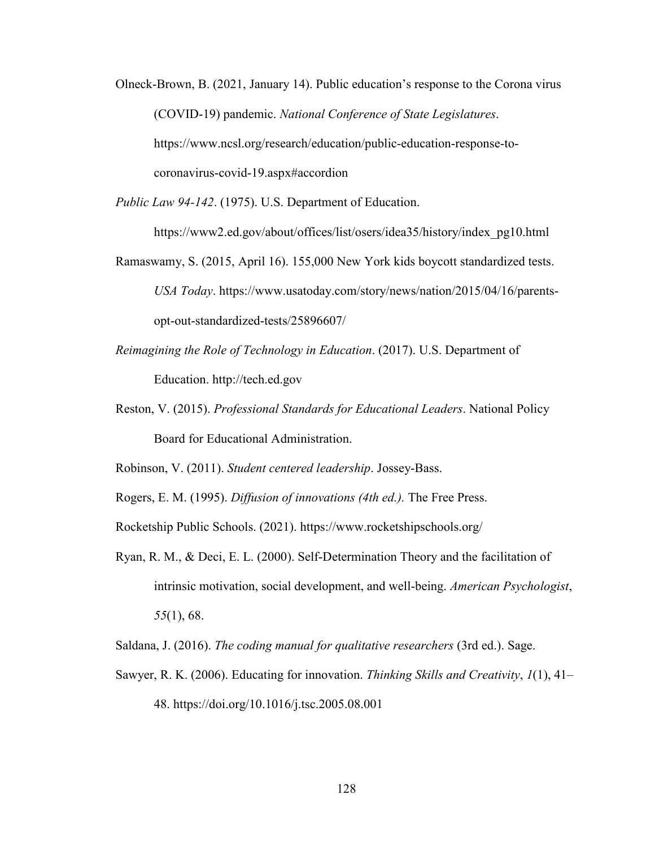- Olneck-Brown, B. (2021, January 14). Public education's response to the Corona virus (COVID-19) pandemic. *National Conference of State Legislatures*. https://www.ncsl.org/research/education/public-education-response-tocoronavirus-covid-19.aspx#accordion
- *Public Law 94-142*. (1975). U.S. Department of Education.

https://www2.ed.gov/about/offices/list/osers/idea35/history/index\_pg10.html

- Ramaswamy, S. (2015, April 16). 155,000 New York kids boycott standardized tests. *USA Today*. https://www.usatoday.com/story/news/nation/2015/04/16/parentsopt-out-standardized-tests/25896607/
- *Reimagining the Role of Technology in Education*. (2017). U.S. Department of Education. http://tech.ed.gov
- Reston, V. (2015). *Professional Standards for Educational Leaders*. National Policy Board for Educational Administration.

Robinson, V. (2011). *Student centered leadership*. Jossey-Bass.

Rogers, E. M. (1995). *Diffusion of innovations (4th ed.).* The Free Press.

Rocketship Public Schools. (2021). https://www.rocketshipschools.org/

- Ryan, R. M., & Deci, E. L. (2000). Self-Determination Theory and the facilitation of intrinsic motivation, social development, and well-being. *American Psychologist*, *55*(1), 68.
- Saldana, J. (2016). *The coding manual for qualitative researchers* (3rd ed.). Sage.
- Sawyer, R. K. (2006). Educating for innovation. *Thinking Skills and Creativity*, *1*(1), 41– 48. https://doi.org/10.1016/j.tsc.2005.08.001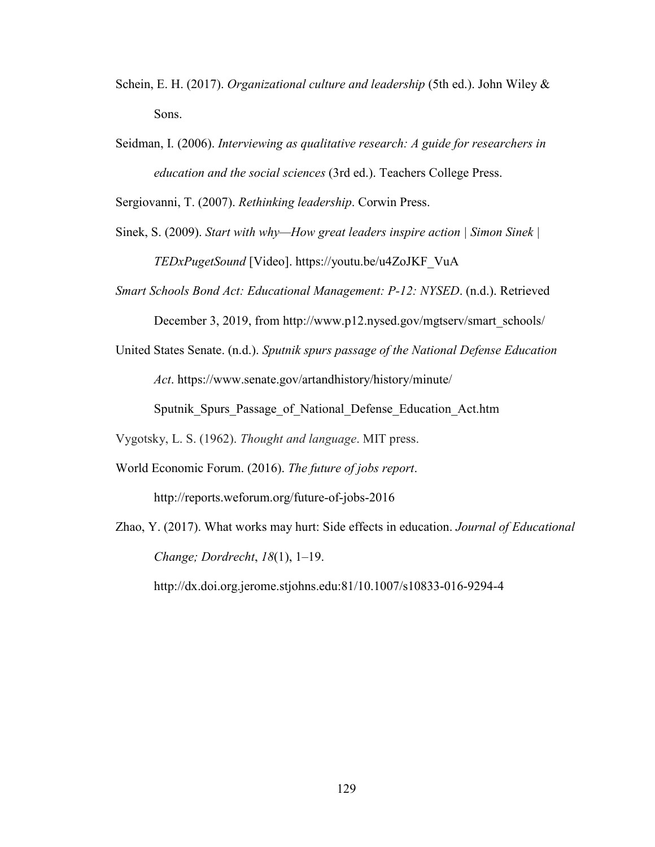- Schein, E. H. (2017). *Organizational culture and leadership* (5th ed.). John Wiley & Sons.
- Seidman, I. (2006). *Interviewing as qualitative research: A guide for researchers in education and the social sciences* (3rd ed.). Teachers College Press.

Sergiovanni, T. (2007). *Rethinking leadership*. Corwin Press.

- Sinek, S. (2009). *Start with why—How great leaders inspire action | Simon Sinek | TEDxPugetSound* [Video]. https://youtu.be/u4ZoJKF\_VuA
- *Smart Schools Bond Act: Educational Management: P-12: NYSED*. (n.d.). Retrieved

December 3, 2019, from http://www.p12.nysed.gov/mgtserv/smart\_schools/

United States Senate. (n.d.). *Sputnik spurs passage of the National Defense Education Act*. https://www.senate.gov/artandhistory/history/minute/

Sputnik\_Spurs\_Passage\_of\_National\_Defense\_Education\_Act.htm

Vygotsky, L. S. (1962). *Thought and language*. MIT press.

- World Economic Forum. (2016). *The future of jobs report*. http://reports.weforum.org/future-of-jobs-2016
- Zhao, Y. (2017). What works may hurt: Side effects in education. *Journal of Educational Change; Dordrecht*, *18*(1), 1–19.

http://dx.doi.org.jerome.stjohns.edu:81/10.1007/s10833-016-9294-4